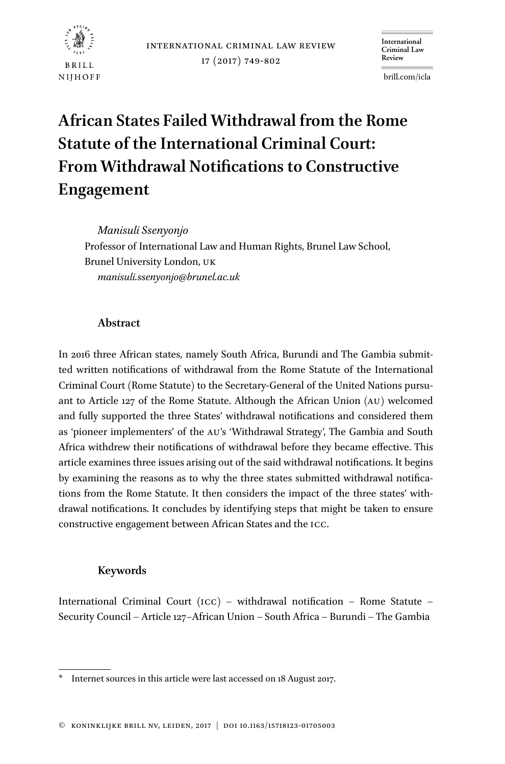

**International Criminal Law Review**

brill.com/icla

# **African States Failed Withdrawal from the Rome Statute of the International Criminal Court: From Withdrawal Notifications to Constructive Engagement**

*Manisuli Ssenyonjo* Professor of International Law and Human Rights, Brunel Law School, Brunel University London, uk *manisuli.ssenyonjo@brunel.ac.uk*

## **Abstract**

In 2016 three African states, namely South Africa, Burundi and The Gambia submitted written notifications of withdrawal from the Rome Statute of the International Criminal Court (Rome Statute) to the Secretary-General of the United Nations pursuant to Article 127 of the Rome Statute. Although the African Union (au) welcomed and fully supported the three States' withdrawal notifications and considered them as 'pioneer implementers' of the au's 'Withdrawal Strategy', The Gambia and South Africa withdrew their notifications of withdrawal before they became effective. This article examines three issues arising out of the said withdrawal notifications. It begins by examining the reasons as to why the three states submitted withdrawal notifications from the Rome Statute. It then considers the impact of the three states' withdrawal notifications. It concludes by identifying steps that might be taken to ensure constructive engagement between African States and the icc.

## **Keywords**

International Criminal Court (icc) – withdrawal notification – Rome Statute – Security Council – Article 127−African Union – South Africa – Burundi – The Gambia

Internet sources in this article were last accessed on 18 August 2017.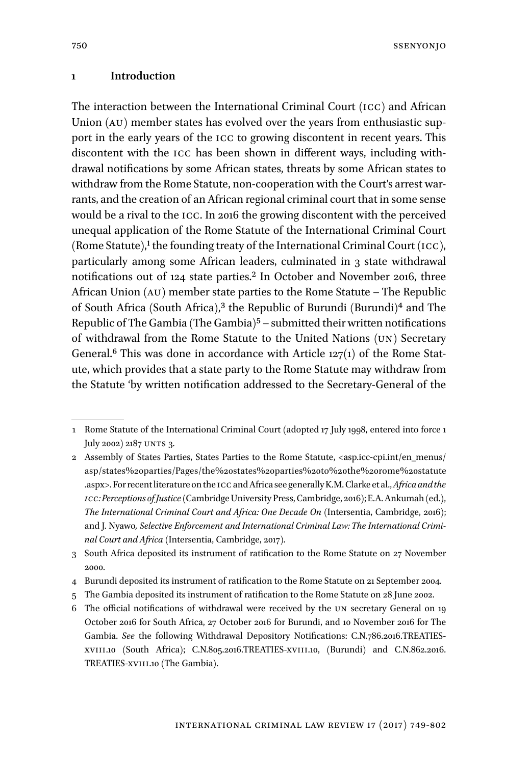Ssenyonjo

#### **1 Introduction**

The interaction between the International Criminal Court (icc) and African Union  $(AU)$  member states has evolved over the years from enthusiastic support in the early years of the icc to growing discontent in recent years. This discontent with the icc has been shown in different ways, including withdrawal notifications by some African states, threats by some African states to withdraw from the Rome Statute, non-cooperation with the Court's arrest warrants, and the creation of an African regional criminal court that in some sense would be a rival to the icc. In 2016 the growing discontent with the perceived unequal application of the Rome Statute of the International Criminal Court (Rome Statute),<sup>1</sup> the founding treaty of the International Criminal Court (ICC), particularly among some African leaders, culminated in 3 state withdrawal notifications out of 124 state parties.<sup>2</sup> In October and November 2016, three African Union (au) member state parties to the Rome Statute – The Republic of South Africa (South Africa),<sup>3</sup> the Republic of Burundi (Burundi)<sup>4</sup> and The Republic of The Gambia (The Gambia)<sup>5</sup> – submitted their written notifications of withdrawal from the Rome Statute to the United Nations (un) Secretary General.<sup>6</sup> This was done in accordance with Article  $127(1)$  of the Rome Statute, which provides that a state party to the Rome Statute may withdraw from the Statute 'by written notification addressed to the Secretary-General of the

<sup>1</sup> Rome Statute of the International Criminal Court (adopted 17 July 1998, entered into force 1 July 2002)  $2187$  UNTS 3.

<sup>2</sup> Assembly of States Parties, States Parties to the Rome Statute, [<asp.icc-cpi.int/en\\_menus/](http://asp.icc-cpi.int/en_menus/asp/states%20parties/Pages/the%20states%20parties%20to%20the%20rome%20statute.aspx) [asp/states%20parties/Pages/the%20states%20parties%20to%20the%20rome%20statute](http://asp.icc-cpi.int/en_menus/asp/states%20parties/Pages/the%20states%20parties%20to%20the%20rome%20statute.aspx) [.aspx](http://asp.icc-cpi.int/en_menus/asp/states%20parties/Pages/the%20states%20parties%20to%20the%20rome%20statute.aspx)>. For recent literature on the icc and Africa see generally K.M. Clarke et al., *Africa and the icc: Perceptions of Justice* (Cambridge University Press, Cambridge, 2016); E.A. Ankumah (ed.), *The International Criminal Court and Africa: One Decade On* (Intersentia, Cambridge, 2016); and J. Nyawo*, Selective Enforcement and International Criminal Law: The International Criminal Court and Africa* (Intersentia, Cambridge, 2017).

<sup>3</sup> South Africa deposited its instrument of ratification to the Rome Statute on 27 November 2000.

<sup>4</sup> Burundi deposited its instrument of ratification to the Rome Statute on 21 September 2004.

<sup>5</sup> The Gambia deposited its instrument of ratification to the Rome Statute on 28 June 2002.

<sup>6</sup> The official notifications of withdrawal were received by the un secretary General on 19 October 2016 for South Africa, 27 October 2016 for Burundi, and 10 November 2016 for The Gambia. *See* the following Withdrawal Depository Notifications: C.N.786.2016.TREATIESxviii.10 (South Africa); C.N.805.2016.TREATIES-xviii.10, (Burundi) and C.N.862.2016. TREATIES-xviii.10 (The Gambia).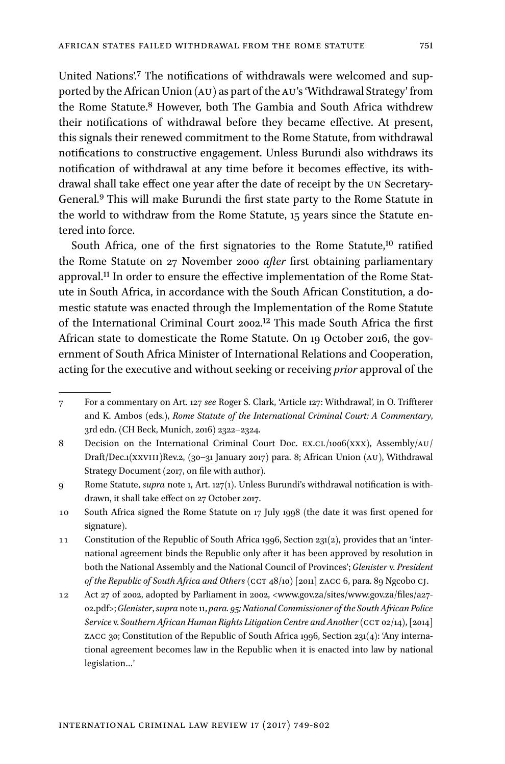United Nations'.7 The notifications of withdrawals were welcomed and supported by the African Union (au) as part of the au's 'Withdrawal Strategy' from the Rome Statute.8 However, both The Gambia and South Africa withdrew their notifications of withdrawal before they became effective. At present, this signals their renewed commitment to the Rome Statute, from withdrawal notifications to constructive engagement. Unless Burundi also withdraws its notification of withdrawal at any time before it becomes effective, its withdrawal shall take effect one year after the date of receipt by the un Secretary-General.9 This will make Burundi the first state party to the Rome Statute in the world to withdraw from the Rome Statute, 15 years since the Statute entered into force.

South Africa, one of the first signatories to the Rome Statute,<sup>10</sup> ratified the Rome Statute on 27 November 2000 *after* first obtaining parliamentary approval.<sup>11</sup> In order to ensure the effective implementation of the Rome Statute in South Africa, in accordance with the South African Constitution, a domestic statute was enacted through the Implementation of the Rome Statute of the International Criminal Court 2002.12 This made South Africa the first African state to domesticate the Rome Statute. On 19 October 2016, the government of South Africa Minister of International Relations and Cooperation, acting for the executive and without seeking or receiving *prior* approval of the

<sup>7</sup> For a commentary on Art. 127 *see* Roger S. Clark, 'Article 127: Withdrawal', in O. Triffterer and K. Ambos (eds.), *Rome Statute of the International Criminal Court: A Commentary*, 3rd edn. (CH Beck, Munich, 2016) 2322–2324.

<sup>8</sup> Decision on the International Criminal Court Doc. EX.CL/1006(XXX), Assembly/AU/ Draft/Dec.1(XXVIII)Rev.2, (30-31 January 2017) para. 8; African Union (AU), Withdrawal Strategy Document (2017, on file with author).

<sup>9</sup> Rome Statute, *supra* note 1, Art. 127(1). Unless Burundi's withdrawal notification is withdrawn, it shall take effect on 27 October 2017.

<sup>10</sup> South Africa signed the Rome Statute on 17 July 1998 (the date it was first opened for signature).

<sup>11</sup> Constitution of the Republic of South Africa 1996, Section 231(2), provides that an 'international agreement binds the Republic only after it has been approved by resolution in both the National Assembly and the National Council of Provinces'; *Glenister* v. *President of the Republic of South Africa and Others* (CCT 48/10) [2011] ZACC 6, para. 89 Ngcobo CJ.

<sup>12</sup> Act 27 of 2002, adopted by Parliament in 2002, <[www.gov.za/sites/www.gov.za/files/a27-](http://www.gov.za/sites/www.gov.za/files/a27-02.pdf) [02.pdf>](http://www.gov.za/sites/www.gov.za/files/a27-02.pdf); *Glenister*, *supra* note 11, *para. 95; National Commissioner of the South African Police Service v. Southern African Human Rights Litigation Centre and Another* (CCT 02/14), [2014] zacc 30; Constitution of the Republic of South Africa 1996, Section 231(4): 'Any international agreement becomes law in the Republic when it is enacted into law by national legislation…'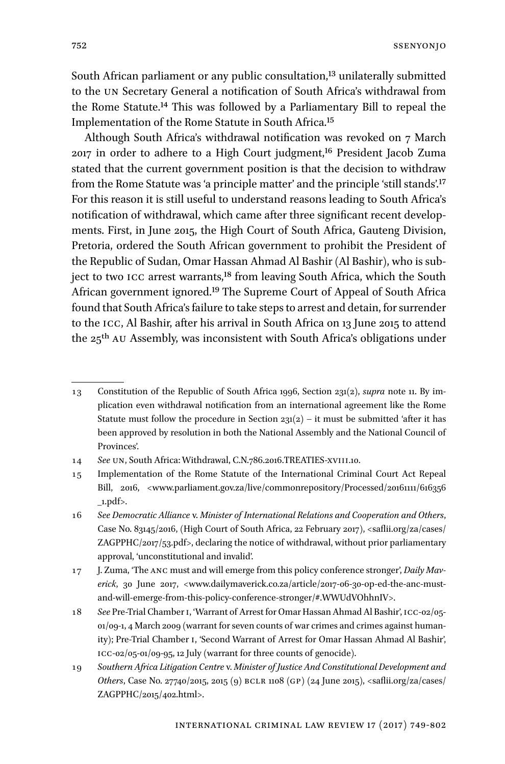Ssenyonjo

South African parliament or any public consultation,<sup>13</sup> unilaterally submitted to the un Secretary General a notification of South Africa's withdrawal from the Rome Statute.14 This was followed by a Parliamentary Bill to repeal the Implementation of the Rome Statute in South Africa.15

Although South Africa's withdrawal notification was revoked on 7 March 2017 in order to adhere to a High Court judgment,<sup>16</sup> President Jacob Zuma stated that the current government position is that the decision to withdraw from the Rome Statute was 'a principle matter' and the principle 'still stands'.17 For this reason it is still useful to understand reasons leading to South Africa's notification of withdrawal, which came after three significant recent developments. First, in June 2015, the High Court of South Africa, Gauteng Division, Pretoria, ordered the South African government to prohibit the President of the Republic of Sudan, Omar Hassan Ahmad Al Bashir (Al Bashir), who is subject to two ICC arrest warrants,<sup>18</sup> from leaving South Africa, which the South African government ignored.19 The Supreme Court of Appeal of South Africa found that South Africa's failure to take steps to arrest and detain, for surrender to the icc, Al Bashir, after his arrival in South Africa on 13 June 2015 to attend the 25th au Assembly, was inconsistent with South Africa's obligations under

<sup>13</sup> Constitution of the Republic of South Africa 1996, Section 231(2), *supra* note 11. By implication even withdrawal notification from an international agreement like the Rome Statute must follow the procedure in Section  $231(2)$  – it must be submitted 'after it has been approved by resolution in both the National Assembly and the National Council of Provinces'.

<sup>14</sup> *See* un, South Africa: Withdrawal, C.N.786.2016.TREATIES-xviii.10.

<sup>15</sup> Implementation of the Rome Statute of the International Criminal Court Act Repeal Bill, 2016, <[www.parliament.gov.za/live/commonrepository/Processed/20161111/616356](http://www.parliament.gov.za/live/commonrepository/Processed/20161111/616356_1.pdf)  $_1.pdf$ .

<sup>16</sup> *See Democratic Alliance* v. *Minister of International Relations and Cooperation and Others*, Case No. 83145/2016, (High Court of South Africa, 22 February 2017), [<saflii.org/za/cases/](http://saflii.org/za/cases/ZAGPPHC/2017/53.pdf) [ZAGPPHC/2017/53.pdf](http://saflii.org/za/cases/ZAGPPHC/2017/53.pdf)>, declaring the notice of withdrawal, without prior parliamentary approval, 'unconstitutional and invalid'.

<sup>17</sup> J. Zuma, 'The anc must and will emerge from this policy conference stronger', *Daily Maverick*, 30 June 2017, [<www.dailymaverick.co.za/article/2017-06-30-op-ed-the-anc-must](http://www.dailymaverick.co.za/article/2017-06-30-op-ed-the-anc-must-and-will-emerge-from-this-policy-conference-stronger/#.WWUdVOhhnIV)[and-will-emerge-from-this-policy-conference-stronger/#.WWUdVOhhnIV](http://www.dailymaverick.co.za/article/2017-06-30-op-ed-the-anc-must-and-will-emerge-from-this-policy-conference-stronger/#.WWUdVOhhnIV)>.

<sup>18</sup> *See* Pre-Trial Chamber i, 'Warrant of Arrest for Omar Hassan Ahmad Al Bashir', icc-02/05- 01/09-1, 4 March 2009 (warrant for seven counts of war crimes and crimes against humanity); Pre-Trial Chamber i, 'Second Warrant of Arrest for Omar Hassan Ahmad Al Bashir', icc-02/05-01/09-95, 12 July (warrant for three counts of genocide).

<sup>19</sup> *Southern Africa Litigation Centre* v. *Minister of Justice And Constitutional Development and Others*, Case No. 27740/2015, 2015 (9) BCLR 1108 (GP) (24 June 2015), [<saflii.org/za/cases/](http://saflii.org/za/cases/ZAGPPHC/2015/402.html) [ZAGPPHC/2015/402.html>](http://saflii.org/za/cases/ZAGPPHC/2015/402.html).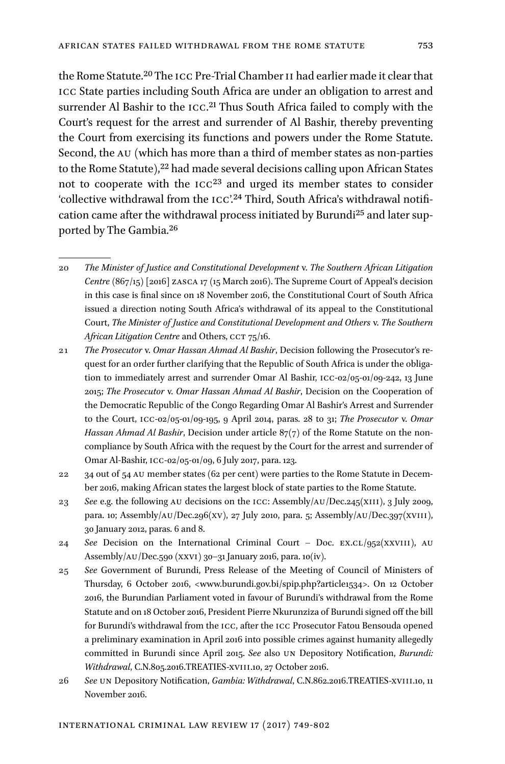the Rome Statute.<sup>20</sup> The ICC Pre-Trial Chamber II had earlier made it clear that icc State parties including South Africa are under an obligation to arrest and surrender Al Bashir to the ICC.<sup>21</sup> Thus South Africa failed to comply with the Court's request for the arrest and surrender of Al Bashir, thereby preventing the Court from exercising its functions and powers under the Rome Statute. Second, the au (which has more than a third of member states as non-parties to the Rome Statute),<sup>22</sup> had made several decisions calling upon African States not to cooperate with the  $ICC<sup>23</sup>$  and urged its member states to consider 'collective withdrawal from the icc'.24 Third, South Africa's withdrawal notification came after the withdrawal process initiated by Burundi<sup>25</sup> and later supported by The Gambia.26

- 20 *The Minister of Justice and Constitutional Development* v. *The Southern African Litigation Centre* (867/15) [2016] zasca 17 (15 March 2016). The Supreme Court of Appeal's decision in this case is final since on 18 November 2016, the Constitutional Court of South Africa issued a direction noting South Africa's withdrawal of its appeal to the Constitutional Court, *The Minister of Justice and Constitutional Development and Others* v. *The Southern African Litigation Centre* and Others, CCT 75/16.
- 21 *The Prosecutor* v. *Omar Hassan Ahmad Al Bashir*, Decision following the Prosecutor's request for an order further clarifying that the Republic of South Africa is under the obligation to immediately arrest and surrender Omar Al Bashir, icc-02/05-01/09-242, 13 June 2015; *The Prosecutor* v. *Omar Hassan Ahmad Al Bashir*, Decision on the Cooperation of the Democratic Republic of the Congo Regarding Omar Al Bashir's Arrest and Surrender to the Court, icc-02/05-01/09-195, 9 April 2014, paras. 28 to 31; *The Prosecutor* v. *Omar Hassan Ahmad Al Bashir*, Decision under article 87(7) of the Rome Statute on the noncompliance by South Africa with the request by the Court for the arrest and surrender of Omar Al-Bashir, icc-02/05-01/09, 6 July 2017, para. 123.
- 22 34 out of 54 au member states (62 per cent) were parties to the Rome Statute in December 2016, making African states the largest block of state parties to the Rome Statute.
- 23 *See* e.g. the following au decisions on the icc: Assembly/au/Dec.245(xiii), 3 July 2009, para. 10; Assembly/AU/Dec.296(xv), 27 July 2010, para. 5; Assembly/AU/Dec.397(XVIII), 30 January 2012, paras. 6 and 8.
- 24 *See* Decision on the International Criminal Court Doc. EX.CL/952(XXVIII), AU Assembly/au/Dec.590 (xxvi) 30–31 January 2016, para. 10(iv).
- 25 *See* Government of Burundi, Press Release of the Meeting of Council of Ministers of Thursday, 6 October 2016, [<www.burundi.gov.bi/spip.php?article1534](http://www.burundi.gov.bi/spip.php?article1534)>. On 12 October 2016, the Burundian Parliament voted in favour of Burundi's withdrawal from the Rome Statute and on 18 October 2016, President Pierre Nkurunziza of Burundi signed off the bill for Burundi's withdrawal from the icc, after the icc Prosecutor Fatou Bensouda opened a preliminary examination in April 2016 into possible crimes against humanity allegedly committed in Burundi since April 2015. *See* also un Depository Notification, *Burundi: Withdrawal*, C.N.805.2016.TREATIES-xviii.10, 27 October 2016.
- 26 *See* un Depository Notification, *Gambia: Withdrawal*, C.N.862.2016.TREATIES-xviii.10, 11 November 2016.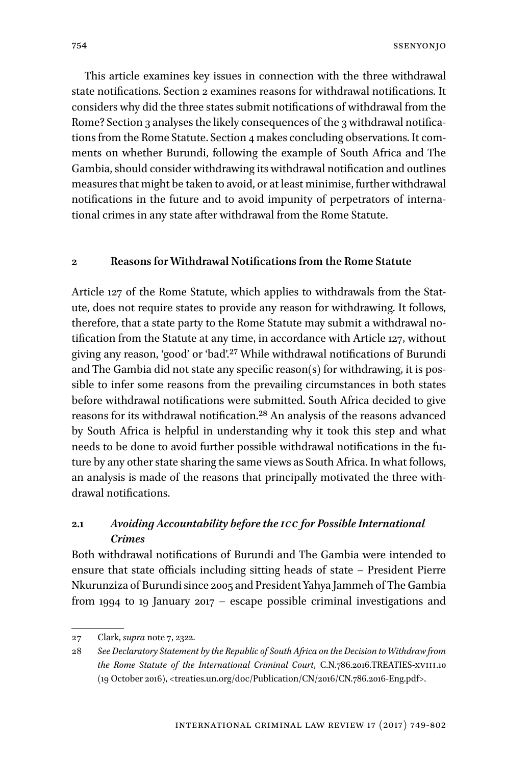This article examines key issues in connection with the three withdrawal state notifications. Section 2 examines reasons for withdrawal notifications. It considers why did the three states submit notifications of withdrawal from the Rome? Section 3 analyses the likely consequences of the 3 withdrawal notifications from the Rome Statute. Section 4 makes concluding observations. It comments on whether Burundi, following the example of South Africa and The Gambia, should consider withdrawing its withdrawal notification and outlines measures that might be taken to avoid, or at least minimise, further withdrawal notifications in the future and to avoid impunity of perpetrators of international crimes in any state after withdrawal from the Rome Statute.

## **2 Reasons for Withdrawal Notifications from the Rome Statute**

Article 127 of the Rome Statute, which applies to withdrawals from the Statute, does not require states to provide any reason for withdrawing. It follows, therefore, that a state party to the Rome Statute may submit a withdrawal notification from the Statute at any time, in accordance with Article 127, without giving any reason, 'good' or 'bad'.27 While withdrawal notifications of Burundi and The Gambia did not state any specific reason(s) for withdrawing, it is possible to infer some reasons from the prevailing circumstances in both states before withdrawal notifications were submitted. South Africa decided to give reasons for its withdrawal notification.28 An analysis of the reasons advanced by South Africa is helpful in understanding why it took this step and what needs to be done to avoid further possible withdrawal notifications in the future by any other state sharing the same views as South Africa. In what follows, an analysis is made of the reasons that principally motivated the three withdrawal notifications.

# **2.1** *Avoiding Accountability before the icc for Possible International Crimes*

Both withdrawal notifications of Burundi and The Gambia were intended to ensure that state officials including sitting heads of state – President Pierre Nkurunziza of Burundi since 2005 and President Yahya Jammeh of The Gambia from 1994 to 19 January 2017 – escape possible criminal investigations and

<sup>27</sup> Clark, *supra* note 7, 2322.

<sup>28</sup> *See Declaratory Statement by the Republic of South Africa on the Decision to Withdraw from the Rome Statute of the International Criminal Court*, C.N.786.2016.TREATIES-xviii.10 (19 October 2016), [<treaties.un.org/doc/Publication/CN/2016/CN.786.2016-Eng.pdf>](http://treaties.un.org/doc/Publication/CN/2016/CN.786.2016-Eng.pdf).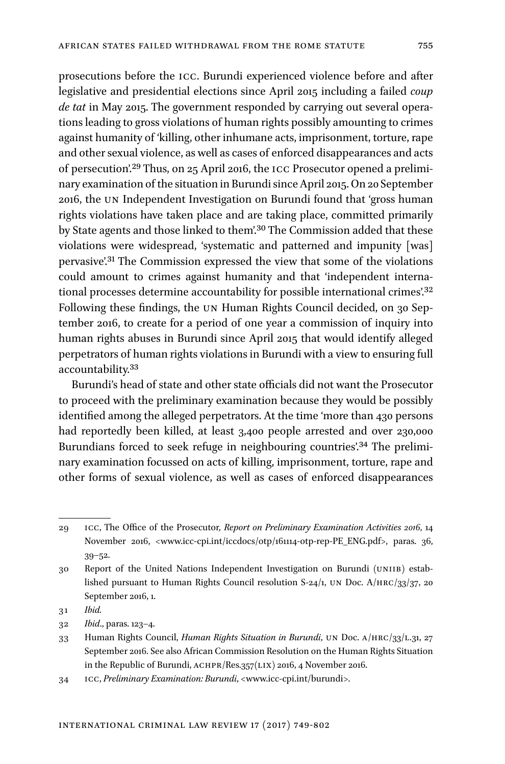prosecutions before the icc. Burundi experienced violence before and after legislative and presidential elections since April 2015 including a failed *coup de tat* in May 2015. The government responded by carrying out several operations leading to gross violations of human rights possibly amounting to crimes against humanity of 'killing, other inhumane acts, imprisonment, torture, rape and other sexual violence, as well as cases of enforced disappearances and acts of persecution'.29 Thus, on 25 April 2016, the icc Prosecutor opened a preliminary examination of the situation in Burundi since April 2015. On 20 September 2016, the un Independent Investigation on Burundi found that 'gross human rights violations have taken place and are taking place, committed primarily by State agents and those linked to them'.<sup>30</sup> The Commission added that these violations were widespread, 'systematic and patterned and impunity [was] pervasive'.31 The Commission expressed the view that some of the violations could amount to crimes against humanity and that 'independent international processes determine accountability for possible international crimes'.32 Following these findings, the un Human Rights Council decided, on 30 September 2016, to create for a period of one year a commission of inquiry into human rights abuses in Burundi since April 2015 that would identify alleged perpetrators of human rights violations in Burundi with a view to ensuring full accountability.33

Burundi's head of state and other state officials did not want the Prosecutor to proceed with the preliminary examination because they would be possibly identified among the alleged perpetrators. At the time 'more than 430 persons had reportedly been killed, at least 3,400 people arrested and over 230,000 Burundians forced to seek refuge in neighbouring countries'.<sup>34</sup> The preliminary examination focussed on acts of killing, imprisonment, torture, rape and other forms of sexual violence, as well as cases of enforced disappearances

<sup>29</sup> icc, The Office of the Prosecutor*, Report on Preliminary Examination Activities 2016*, 14 November 2016, <[www.icc-cpi.int/iccdocs/otp/161114-otp-rep-PE\\_ENG.pdf](http://www.icc-cpi.int/iccdocs/otp/161114-otp-rep-PE_ENG.pdf)>, paras. 36, 39–52.

<sup>30</sup> Report of the United Nations Independent Investigation on Burundi (uniib) established pursuant to Human Rights Council resolution S-24/1, UN Doc.  $A/HRC/33/37$ , 20 September 2016, 1.

<sup>31</sup> *Ibid.*

<sup>32</sup> *Ibid*., paras. 123–4.

<sup>33</sup> Human Rights Council, *Human Rights Situation in Burundi*, UN Doc. A/HRC/33/L.31, 27 September 2016. See also African Commission Resolution on the Human Rights Situation in the Republic of Burundi, ACHPR/Res.357(LIX) 2016, 4 November 2016.

<sup>34</sup> icc, *Preliminary Examination: Burundi*, [<www.icc-cpi.int/burundi>](http://www.icc-cpi.int/burundi).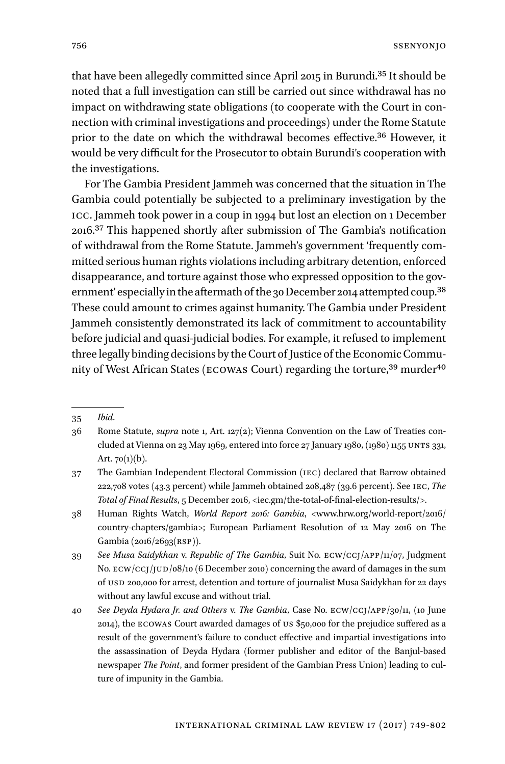that have been allegedly committed since April 2015 in Burundi.35 It should be noted that a full investigation can still be carried out since withdrawal has no impact on withdrawing state obligations (to cooperate with the Court in connection with criminal investigations and proceedings) under the Rome Statute prior to the date on which the withdrawal becomes effective.36 However, it would be very difficult for the Prosecutor to obtain Burundi's cooperation with the investigations.

For The Gambia President Jammeh was concerned that the situation in The Gambia could potentially be subjected to a preliminary investigation by the icc. Jammeh took power in a coup in 1994 but lost an election on 1 December 2016.37 This happened shortly after submission of The Gambia's notification of withdrawal from the Rome Statute. Jammeh's government 'frequently committed serious human rights violations including arbitrary detention, enforced disappearance, and torture against those who expressed opposition to the government' especially in the aftermath of the 30 December 2014 attempted coup.<sup>38</sup> These could amount to crimes against humanity. The Gambia under President Jammeh consistently demonstrated its lack of commitment to accountability before judicial and quasi-judicial bodies. For example, it refused to implement three legally binding decisions by the Court of Justice of the Economic Community of West African States (ECOWAS Court) regarding the torture,<sup>39</sup> murder<sup>40</sup>

<sup>35</sup> *Ibid*.

<sup>36</sup> Rome Statute, *supra* note 1, Art. 127(2); Vienna Convention on the Law of Treaties concluded at Vienna on 23 May 1969, entered into force 27 January 1980, (1980) 1155 UNTS 331, Art.  $70(1)(b)$ .

<sup>37</sup> The Gambian Independent Electoral Commission (iec) declared that Barrow obtained 222,708 votes (43.3 percent) while Jammeh obtained 208,487 (39.6 percent). See iec, *The Total of Final Results*, 5 December 2016, [<iec.gm/the-total-of-final-election-results/](http://iec.gm/the-total-of-final-election-results/)>.

<sup>38</sup> Human Rights Watch, *World Report 2016: Gambia*, [<www.hrw.org/world-report/2016/](http://www.hrw.org/world-report/2016/country-chapters/gambia) [country-chapters/gambia](http://www.hrw.org/world-report/2016/country-chapters/gambia)>; European Parliament Resolution of 12 May 2016 on The Gambia (2016/2693(RSP)).

<sup>39</sup> *See Musa Saidykhan* v. *Republic of The Gambia*, Suit No. ecw/ccj/app/11/07, Judgment No. ECW/CCJ/JUD/08/10 (6 December 2010) concerning the award of damages in the sum of USD 200,000 for arrest, detention and torture of journalist Musa Saidykhan for 22 days without any lawful excuse and without trial.

<sup>40</sup> *See Deyda Hydara Jr. and Others* v. *The Gambia*, Case No. ecw/ccj/app/30/11, (10 June 2014), the ecowas Court awarded damages of us \$50,000 for the prejudice suffered as a result of the government's failure to conduct effective and impartial investigations into the assassination of Deyda Hydara (former publisher and editor of the Banjul-based newspaper *The Point*, and former president of the Gambian Press Union) leading to culture of impunity in the Gambia.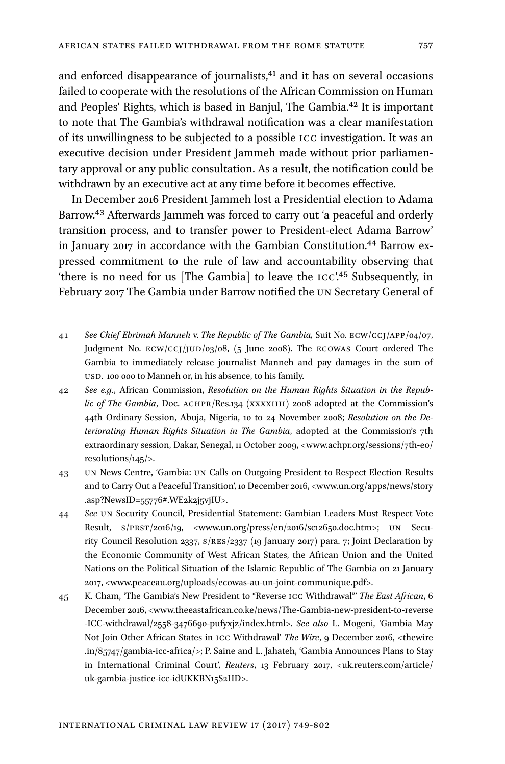and enforced disappearance of journalists,<sup>41</sup> and it has on several occasions failed to cooperate with the resolutions of the African Commission on Human and Peoples' Rights, which is based in Banjul, The Gambia.42 It is important to note that The Gambia's withdrawal notification was a clear manifestation of its unwillingness to be subjected to a possible icc investigation. It was an executive decision under President Jammeh made without prior parliamentary approval or any public consultation. As a result, the notification could be withdrawn by an executive act at any time before it becomes effective.

In December 2016 President Jammeh lost a Presidential election to Adama Barrow.<sup>43</sup> Afterwards Jammeh was forced to carry out 'a peaceful and orderly transition process, and to transfer power to President-elect Adama Barrow' in January 2017 in accordance with the Gambian Constitution.44 Barrow expressed commitment to the rule of law and accountability observing that 'there is no need for us [The Gambia] to leave the ICC'.45 Subsequently, in February 2017 The Gambia under Barrow notified the un Secretary General of

- 42 *See e.g*., African Commission, *Resolution on the Human Rights Situation in the Republic of The Gambia*, Doc. ACHPR/Res.134 (XXXXIIII) 2008 adopted at the Commission's 44th Ordinary Session, Abuja, Nigeria, 10 to 24 November 2008; *Resolution on the Deteriorating Human Rights Situation in The Gambia*, adopted at the Commission's 7th extraordinary session, Dakar, Senegal, 11 October 2009, [<www.achpr.org/sessions/7th-eo/](http://www.achpr.org/sessions/7th-eo/resolutions/145/) [resolutions/145/>](http://www.achpr.org/sessions/7th-eo/resolutions/145/).
- 43 un News Centre, 'Gambia: un Calls on Outgoing President to Respect Election Results and to Carry Out a Peaceful Transition', 10 December 2016, <[www.un.org/apps/news/story](http://www.un.org/apps/news/story.asp?NewsID=55776#.WE2k2j5vjIU) [.asp?NewsID=55776#.WE2k2j5vjIU](http://www.un.org/apps/news/story.asp?NewsID=55776#.WE2k2j5vjIU)>.
- 44 *See* un Security Council, Presidential Statement: Gambian Leaders Must Respect Vote Result, s/prst/2016/19, <[www.un.org/press/en/2016/sc12650.doc.htm>](http://www.un.org/press/en/2016/sc12650.doc.htm); un Security Council Resolution 2337, s/res/2337 (19 January 2017) para. 7; Joint Declaration by the Economic Community of West African States, the African Union and the United Nations on the Political Situation of the Islamic Republic of The Gambia on 21 January 2017, [<www.peaceau.org/uploads/ecowas-au-un-joint-communique.pdf>](http://www.peaceau.org/uploads/ecowas-au-un-joint-communique.pdf).
- 45 K. Cham, 'The Gambia's New President to "Reverse icc Withdrawal"' *The East African*, 6 December 2016, <[www.theeastafrican.co.ke/news/The-Gambia-new-president-to-reverse](http://www.theeastafrican.co.ke/news/The-Gambia-new-president-to-reverse-ICC-withdrawal/2558-3476690-pufyxjz/index.html) [-ICC-withdrawal/2558-3476690-pufyxjz/index.html>](http://www.theeastafrican.co.ke/news/The-Gambia-new-president-to-reverse-ICC-withdrawal/2558-3476690-pufyxjz/index.html). *See also* L. Mogeni, 'Gambia May Not Join Other African States in icc Withdrawal' *The Wire*, 9 December 2016, <[thewire](http://thewire.in/85747/gambia-icc-africa/) [.in/85747/gambia-icc-africa/](http://thewire.in/85747/gambia-icc-africa/)>; P. Saine and L. Jahateh, 'Gambia Announces Plans to Stay in International Criminal Court', *Reuters*, 13 February 2017, <[uk.reuters.com/article/](http://uk.reuters.com/article/uk-gambia-justice-icc-idUKKBN15S2HD) [uk-gambia-justice-icc-idUKKBN15S2HD>](http://uk.reuters.com/article/uk-gambia-justice-icc-idUKKBN15S2HD).

<sup>41</sup> *See Chief Ebrimah Manneh* v. *The Republic of The Gambia,* Suit No. ecw/ccj/app/04/07, Judgment No. ecw/ccj/jud/03/08, (5 June 2008). The ecowas Court ordered The Gambia to immediately release journalist Manneh and pay damages in the sum of usd. 100 000 to Manneh or, in his absence, to his family.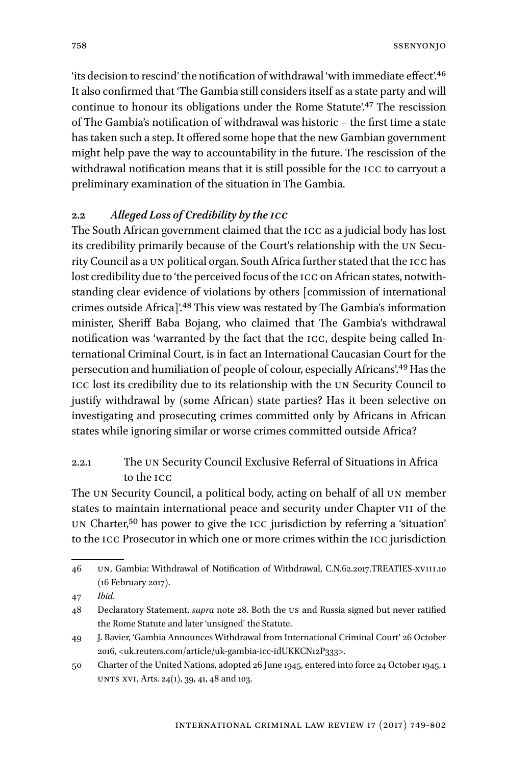'its decision to rescind' the notification of withdrawal 'with immediate effect'.46 It also confirmed that 'The Gambia still considers itself as a state party and will continue to honour its obligations under the Rome Statute'.47 The rescission of The Gambia's notification of withdrawal was historic – the first time a state has taken such a step. It offered some hope that the new Gambian government might help pave the way to accountability in the future. The rescission of the withdrawal notification means that it is still possible for the icc to carryout a preliminary examination of the situation in The Gambia.

### **2.2** *Alleged Loss of Credibility by the icc*

The South African government claimed that the icc as a judicial body has lost its credibility primarily because of the Court's relationship with the un Security Council as a un political organ. South Africa further stated that the icc has lost credibility due to 'the perceived focus of the icc on African states, notwithstanding clear evidence of violations by others [commission of international crimes outside Africa]'.48 This view was restated by The Gambia's information minister, Sheriff Baba Bojang, who claimed that The Gambia's withdrawal notification was 'warranted by the fact that the icc, despite being called International Criminal Court, is in fact an International Caucasian Court for the persecution and humiliation of people of colour, especially Africans'.49 Has the icc lost its credibility due to its relationship with the un Security Council to justify withdrawal by (some African) state parties? Has it been selective on investigating and prosecuting crimes committed only by Africans in African states while ignoring similar or worse crimes committed outside Africa?

# 2.2.1 The un Security Council Exclusive Referral of Situations in Africa to the icc

The un Security Council, a political body, acting on behalf of all un member states to maintain international peace and security under Chapter vii of the un Charter,50 has power to give the icc jurisdiction by referring a 'situation' to the icc Prosecutor in which one or more crimes within the icc jurisdiction

<sup>46</sup> un, Gambia: Withdrawal of Notification of Withdrawal, C.N.62.2017.TREATIES-xviii.10 (16 February 2017).

<sup>47</sup> *Ibid*.

<sup>48</sup> Declaratory Statement, *supra* note 28. Both the us and Russia signed but never ratified the Rome Statute and later 'unsigned' the Statute.

<sup>49</sup> J. Bavier, 'Gambia Announces Withdrawal from International Criminal Court' 26 October 2016, <[uk.reuters.com/article/uk-gambia-icc-idUKKCN12P333>](http://uk.reuters.com/article/uk-gambia-icc-idUKKCN12P333).

<sup>50</sup> Charter of the United Nations, adopted 26 June 1945, entered into force 24 October 1945, 1 unts xvi, Arts. 24(1), 39, 41, 48 and 103.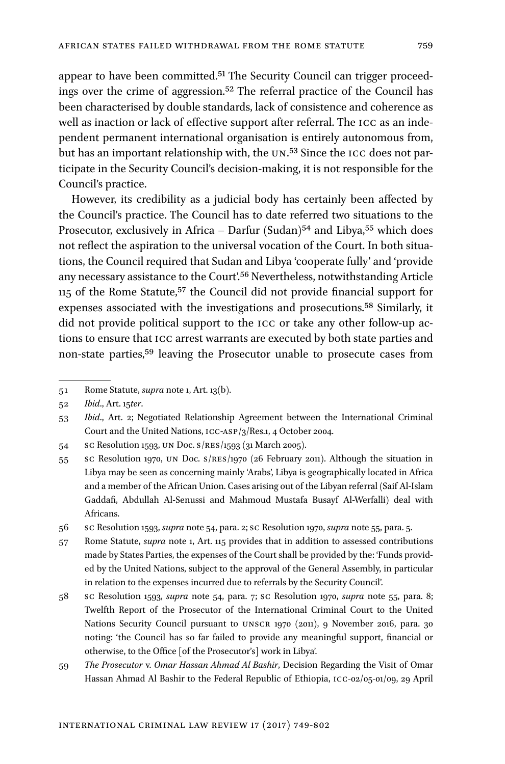appear to have been committed.<sup>51</sup> The Security Council can trigger proceedings over the crime of aggression.52 The referral practice of the Council has been characterised by double standards, lack of consistence and coherence as well as inaction or lack of effective support after referral. The icc as an independent permanent international organisation is entirely autonomous from, but has an important relationship with, the UN.<sup>53</sup> Since the ICC does not participate in the Security Council's decision-making, it is not responsible for the Council's practice.

However, its credibility as a judicial body has certainly been affected by the Council's practice. The Council has to date referred two situations to the Prosecutor, exclusively in Africa – Darfur (Sudan)<sup>54</sup> and Libya,<sup>55</sup> which does not reflect the aspiration to the universal vocation of the Court. In both situations, the Council required that Sudan and Libya 'cooperate fully' and 'provide any necessary assistance to the Court'.56 Nevertheless, notwithstanding Article 115 of the Rome Statute,57 the Council did not provide financial support for expenses associated with the investigations and prosecutions.58 Similarly, it did not provide political support to the icc or take any other follow-up actions to ensure that icc arrest warrants are executed by both state parties and non-state parties,59 leaving the Prosecutor unable to prosecute cases from

<sup>51</sup> Rome Statute, *supra* note 1, Art. 13(b).

<sup>52</sup> *Ibid*., Art. 15*ter*.

<sup>53</sup> *Ibid*., Art. 2; Negotiated Relationship Agreement between the International Criminal Court and the United Nations, icc-asp/3/Res.1, 4 October 2004.

<sup>54</sup> sc Resolution 1593, un Doc. s/res/1593 (31 March 2005).

<sup>55</sup> sc Resolution 1970, un Doc. s/res/1970 (26 February 2011). Although the situation in Libya may be seen as concerning mainly 'Arabs', Libya is geographically located in Africa and a member of the African Union. Cases arising out of the Libyan referral (Saif Al-Islam Gaddafi, Abdullah Al-Senussi and Mahmoud Mustafa Busayf Al-Werfalli) deal with Africans.

<sup>56</sup> sc Resolution 1593, *supra* note 54, para. 2; sc Resolution 1970, *supra* note 55, para. 5.

<sup>57</sup> Rome Statute, *supra* note 1, Art. 115 provides that in addition to assessed contributions made by States Parties, the expenses of the Court shall be provided by the: 'Funds provided by the United Nations, subject to the approval of the General Assembly, in particular in relation to the expenses incurred due to referrals by the Security Council'.

<sup>58</sup> sc Resolution 1593, *supra* note 54, para. 7; sc Resolution 1970, *supra* note 55, para. 8; Twelfth Report of the Prosecutor of the International Criminal Court to the United Nations Security Council pursuant to UNSCR 1970 (2011), 9 November 2016, para. 30 noting: **'**the Council has so far failed to provide any meaningful support, financial or otherwise, to the Office [of the Prosecutor's] work in Libya'.

<sup>59</sup> *The Prosecutor* v. *Omar Hassan Ahmad Al Bashir*, Decision Regarding the Visit of Omar Hassan Ahmad Al Bashir to the Federal Republic of Ethiopia, icc-02/05-01/09, 29 April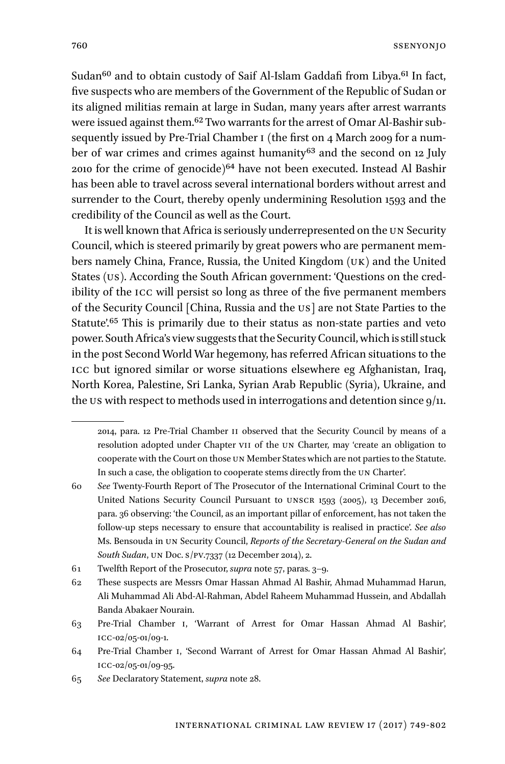Sudan<sup>60</sup> and to obtain custody of Saif Al-Islam Gaddafi from Libya.<sup>61</sup> In fact, five suspects who are members of the Government of the Republic of Sudan or its aligned militias remain at large in Sudan, many years after arrest warrants were issued against them.62 Two warrants for the arrest of Omar Al-Bashir subsequently issued by Pre-Trial Chamber i (the first on 4 March 2009 for a number of war crimes and crimes against humanity<sup>63</sup> and the second on 12 July 2010 for the crime of genocide)<sup>64</sup> have not been executed. Instead Al Bashir has been able to travel across several international borders without arrest and surrender to the Court, thereby openly undermining Resolution 1593 and the credibility of the Council as well as the Court.

It is well known that Africa is seriously underrepresented on the un Security Council, which is steered primarily by great powers who are permanent members namely China, France, Russia, the United Kingdom (UK) and the United States (us). According the South African government: 'Questions on the credibility of the icc will persist so long as three of the five permanent members of the Security Council [China, Russia and the us] are not State Parties to the Statute'.<sup>65</sup> This is primarily due to their status as non-state parties and veto power. South Africa's view suggests that the Security Council, which is still stuck in the post Second World War hegemony, has referred African situations to the icc but ignored similar or worse situations elsewhere eg Afghanistan, Iraq, North Korea, Palestine, Sri Lanka, Syrian Arab Republic (Syria), Ukraine, and the us with respect to methods used in interrogations and detention since  $9/11$ .

61 Twelfth Report of the Prosecutor, *supra* note 57, paras. 3–9.

<sup>2014,</sup> para. 12 Pre-Trial Chamber ii observed that the Security Council by means of a resolution adopted under Chapter vii of the un Charter, may 'create an obligation to cooperate with the Court on those un Member States which are not parties to the Statute. In such a case, the obligation to cooperate stems directly from the un Charter'.

<sup>60</sup> *See* Twenty-Fourth Report of The Prosecutor of the International Criminal Court to the United Nations Security Council Pursuant to UNSCR 1593 (2005), 13 December 2016, para. 36 observing: 'the Council, as an important pillar of enforcement, has not taken the follow-up steps necessary to ensure that accountability is realised in practice'. *See also* Ms. Bensouda in un Security Council, *Reports of the Secretary-General on the Sudan and South Sudan*, un Doc. s/pv.7337 (12 December 2014), 2.

<sup>62</sup> These suspects are Messrs Omar Hassan Ahmad Al Bashir, Ahmad Muhammad Harun, Ali Muhammad Ali Abd-Al-Rahman, Abdel Raheem Muhammad Hussein, and Abdallah Banda Abakaer Nourain.

<sup>63</sup> Pre-Trial Chamber i, 'Warrant of Arrest for Omar Hassan Ahmad Al Bashir', icc-02/05-01/09-1.

<sup>64</sup> Pre-Trial Chamber i, 'Second Warrant of Arrest for Omar Hassan Ahmad Al Bashir', icc-02/05-01/09-95.

<sup>65</sup> *See* Declaratory Statement, *supra* note 28.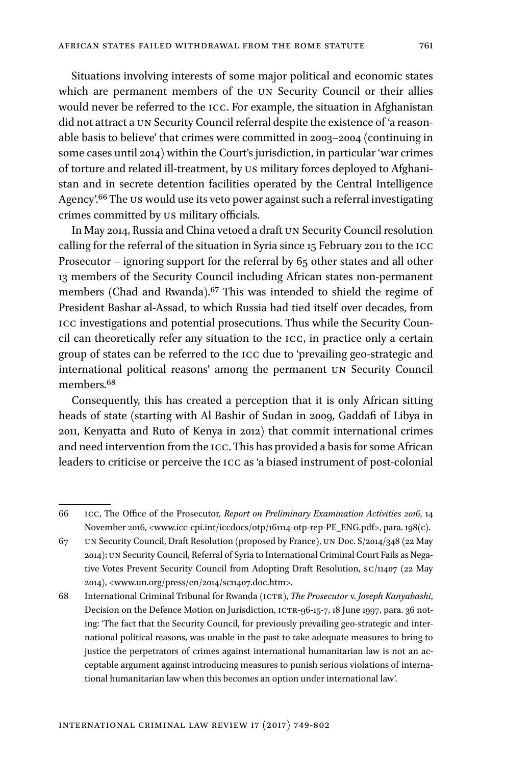Situations involving interests of some major political and economic states which are permanent members of the un Security Council or their allies would never be referred to the icc. For example, the situation in Afghanistan did not attract a un Security Council referral despite the existence of 'a reasonable basis to believe' that crimes were committed in 2003–2004 (continuing in some cases until 2014) within the Court's jurisdiction, in particular 'war crimes of torture and related ill-treatment, by us military forces deployed to Afghanistan and in secrete detention facilities operated by the Central Intelligence Agency'.<sup>66</sup> The US would use its veto power against such a referral investigating crimes committed by us military officials.

In May 2014, Russia and China vetoed a draft un Security Council resolution calling for the referral of the situation in Syria since 15 February 2011 to the icc Prosecutor – ignoring support for the referral by 65 other states and all other 13 members of the Security Council including African states non-permanent members (Chad and Rwanda).<sup>67</sup> This was intended to shield the regime of President Bashar al-Assad, to which Russia had tied itself over decades, from icc investigations and potential prosecutions. Thus while the Security Council can theoretically refer any situation to the icc, in practice only a certain group of states can be referred to the icc due to 'prevailing geo-strategic and international political reasons' among the permanent un Security Council members<sup>68</sup>

Consequently, this has created a perception that it is only African sitting heads of state (starting with Al Bashir of Sudan in 2009, Gaddafi of Libya in 2011, Kenyatta and Ruto of Kenya in 2012) that commit international crimes and need intervention from the icc. This has provided a basis for some African leaders to criticise or perceive the icc as 'a biased instrument of post-colonial

<sup>66</sup> icc, The Office of the Prosecutor*, Report on Preliminary Examination Activities 2016*, 14 November 2016, [<www.icc-cpi.int/iccdocs/otp/161114-otp-rep-PE\\_ENG.pdf>](http://www.icc-cpi.int/iccdocs/otp/161114-otp-rep-PE_ENG.pdf), para. 198(c).

<sup>67</sup> un Security Council, Draft Resolution (proposed by France), un Doc. S/2014/348 (22 May 2014); un Security Council, Referral of Syria to International Criminal Court Fails as Negative Votes Prevent Security Council from Adopting Draft Resolution, sc/11407 (22 May 2014), [<www.un.org/press/en/2014/sc11407.doc.htm>](http://www.un.org/press/en/2014/sc11407.doc.htm).

<sup>68</sup> International Criminal Tribunal for Rwanda (ictr), *The Prosecutor* v. *Joseph Kanyabashi*, Decision on the Defence Motion on Jurisdiction, ICTR-96-15-7, 18 June 1997, para. 36 noting: 'The fact that the Security Council, for previously prevailing geo-strategic and international political reasons, was unable in the past to take adequate measures to bring to justice the perpetrators of crimes against international humanitarian law is not an acceptable argument against introducing measures to punish serious violations of international humanitarian law when this becomes an option under international law'.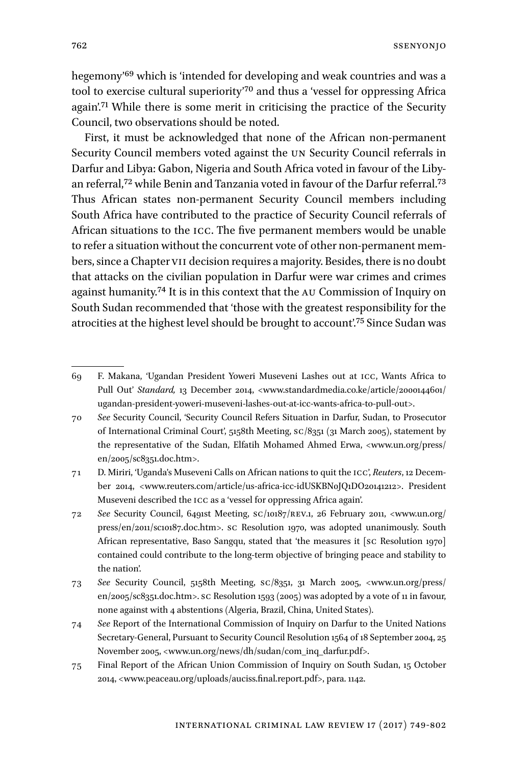Ssenyonjo

hegemony'69 which is 'intended for developing and weak countries and was a tool to exercise cultural superiority'70 and thus a 'vessel for oppressing Africa again'.<sup>71</sup> While there is some merit in criticising the practice of the Security Council, two observations should be noted.

First, it must be acknowledged that none of the African non-permanent Security Council members voted against the un Security Council referrals in Darfur and Libya: Gabon, Nigeria and South Africa voted in favour of the Libyan referral,<sup>72</sup> while Benin and Tanzania voted in favour of the Darfur referral.<sup>73</sup> Thus African states non-permanent Security Council members including South Africa have contributed to the practice of Security Council referrals of African situations to the icc. The five permanent members would be unable to refer a situation without the concurrent vote of other non-permanent members, since a Chapter vii decision requires a majority. Besides, there is no doubt that attacks on the civilian population in Darfur were war crimes and crimes against humanity.74 It is in this context that the au Commission of Inquiry on South Sudan recommended that 'those with the greatest responsibility for the atrocities at the highest level should be brought to account'.<sup>75</sup> Since Sudan was

71 D. Miriri, 'Uganda's Museveni Calls on African nations to quit the icc', *Reuters*, 12 December 2014, <[www.reuters.com/article/us-africa-icc-idUSKBN0JQ1DO20141212](http://www.reuters.com/article/us-africa-icc-idUSKBN0JQ1DO20141212)>. President Museveni described the icc as a 'vessel for oppressing Africa again'.

72 *See* Security Council, 6491st Meeting, sc/10187/rev.1, 26 February 2011, <[www.un.org/](http://www.un.org/press/en/2011/sc10187.doc.htm) [press/en/2011/sc10187.doc.htm](http://www.un.org/press/en/2011/sc10187.doc.htm)>. sc Resolution 1970, was adopted unanimously. South African representative, Baso Sangqu, stated that 'the measures it [sc Resolution 1970] contained could contribute to the long-term objective of bringing peace and stability to the nation'.

- 73 *See* Security Council, 5158th Meeting, sc/8351, 31 March 2005, [<www.un.org/press/](http://www.un.org/press/en/2005/sc8351.doc.htm) [en/2005/sc8351.doc.htm](http://www.un.org/press/en/2005/sc8351.doc.htm)>. sc Resolution 1593 (2005) was adopted by a vote of 11 in favour, none against with 4 abstentions (Algeria, Brazil, China, United States).
- 74 *See* Report of the International Commission of Inquiry on Darfur to the United Nations Secretary-General, Pursuant to Security Council Resolution 1564 of 18 September 2004, 25 November 2005, <[www.un.org/news/dh/sudan/com\\_inq\\_darfur.pdf](http://www.un.org/news/dh/sudan/com_inq_darfur.pdf)>.
- 75 Final Report of the African Union Commission of Inquiry on South Sudan, 15 October 2014, <[www.peaceau.org/uploads/auciss.final.report.pdf](http://www.peaceau.org/uploads/auciss.final.report.pdf)>, para. 1142.

<sup>69</sup> F. Makana, 'Ugandan President Yoweri Museveni Lashes out at icc, Wants Africa to Pull Out' *Standard,* 13 December 2014, [<www.standardmedia.co.ke/article/2000144601/](http://www.standardmedia.co.ke/article/2000144601/ugandan-president-yoweri-museveni-lashes-out-at-icc-wants-africa-to-pull-out) [ugandan-president-yoweri-museveni-lashes-out-at-icc-wants-africa-to-pull-out](http://www.standardmedia.co.ke/article/2000144601/ugandan-president-yoweri-museveni-lashes-out-at-icc-wants-africa-to-pull-out)>.

<sup>70</sup> *See* Security Council, 'Security Council Refers Situation in Darfur, Sudan, to Prosecutor of International Criminal Court', 5158th Meeting, sc/8351 (31 March 2005), statement by the representative of the Sudan, Elfatih Mohamed Ahmed Erwa, [<www.un.org/press/](http://www.un.org/press/en/2005/sc8351.doc.htm) [en/2005/sc8351.doc.htm](http://www.un.org/press/en/2005/sc8351.doc.htm)>.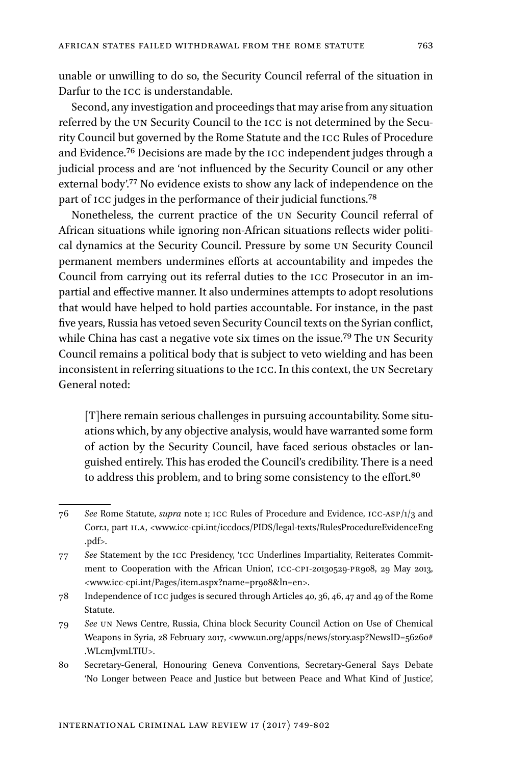unable or unwilling to do so, the Security Council referral of the situation in Darfur to the icc is understandable.

Second, any investigation and proceedings that may arise from any situation referred by the un Security Council to the icc is not determined by the Security Council but governed by the Rome Statute and the icc Rules of Procedure and Evidence.76 Decisions are made by the icc independent judges through a judicial process and are 'not influenced by the Security Council or any other external body'.77 No evidence exists to show any lack of independence on the part of ICC judges in the performance of their judicial functions.<sup>78</sup>

Nonetheless, the current practice of the un Security Council referral of African situations while ignoring non-African situations reflects wider political dynamics at the Security Council. Pressure by some un Security Council permanent members undermines efforts at accountability and impedes the Council from carrying out its referral duties to the icc Prosecutor in an impartial and effective manner. It also undermines attempts to adopt resolutions that would have helped to hold parties accountable. For instance, in the past five years, Russia has vetoed seven Security Council texts on the Syrian conflict, while China has cast a negative vote six times on the issue.<sup>79</sup> The UN Security Council remains a political body that is subject to veto wielding and has been inconsistent in referring situations to the icc. In this context, the un Secretary General noted:

[T]here remain serious challenges in pursuing accountability. Some situations which, by any objective analysis, would have warranted some form of action by the Security Council, have faced serious obstacles or languished entirely. This has eroded the Council's credibility. There is a need to address this problem, and to bring some consistency to the effort.<sup>80</sup>

<sup>76</sup> *See* Rome Statute, *supra* note 1; icc Rules of Procedure and Evidence, icc-asp/1/3 and Corr.1, part ii.a, [<www.icc-cpi.int/iccdocs/PIDS/legal-texts/RulesProcedureEvidenceEng](http://www.icc-cpi.int/iccdocs/PIDS/legal-texts/RulesProcedureEvidenceEng.pdf) [.pdf>](http://www.icc-cpi.int/iccdocs/PIDS/legal-texts/RulesProcedureEvidenceEng.pdf).

<sup>77</sup> *See* Statement by the icc Presidency, 'icc Underlines Impartiality, Reiterates Commitment to Cooperation with the African Union', ICC-CPI-20130529-PR908, 29 May 2013, [<www.icc-cpi.int/Pages/item.aspx?name=pr908&ln=en](http://www.icc-cpi.int/Pages/item.aspx?name=pr908&ln=en)>.

<sup>78</sup> Independence of icc judges is secured through Articles 40, 36, 46, 47 and 49 of the Rome Statute.

<sup>79</sup> *See* un News Centre, Russia, China block Security Council Action on Use of Chemical Weapons in Syria, 28 February 2017, <[www.un.org/apps/news/story.asp?NewsID=56260#](http://www.un.org/apps/news/story.asp?NewsID=56260#.WLcmJvmLTIU) [.WLcmJvmLTIU>](http://www.un.org/apps/news/story.asp?NewsID=56260#.WLcmJvmLTIU).

<sup>80</sup> Secretary-General, Honouring Geneva Conventions, Secretary-General Says Debate 'No Longer between Peace and Justice but between Peace and What Kind of Justice',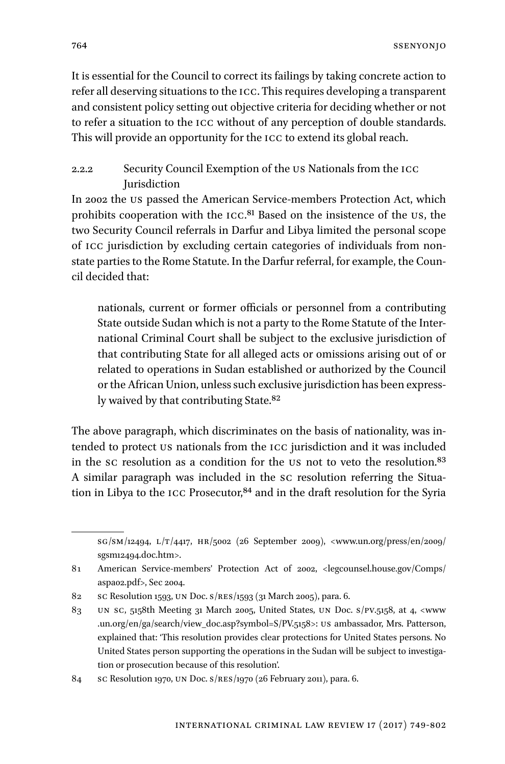It is essential for the Council to correct its failings by taking concrete action to refer all deserving situations to the icc. This requires developing a transparent and consistent policy setting out objective criteria for deciding whether or not to refer a situation to the icc without of any perception of double standards. This will provide an opportunity for the icc to extend its global reach.

## 2.2.2 Security Council Exemption of the us Nationals from the icc Jurisdiction

In 2002 the us passed the American Service-members Protection Act, which prohibits cooperation with the ICC.<sup>81</sup> Based on the insistence of the US, the two Security Council referrals in Darfur and Libya limited the personal scope of icc jurisdiction by excluding certain categories of individuals from nonstate parties to the Rome Statute. In the Darfur referral, for example, the Council decided that:

nationals, current or former officials or personnel from a contributing State outside Sudan which is not a party to the Rome Statute of the International Criminal Court shall be subject to the exclusive jurisdiction of that contributing State for all alleged acts or omissions arising out of or related to operations in Sudan established or authorized by the Council or the African Union, unless such exclusive jurisdiction has been expressly waived by that contributing State.82

The above paragraph, which discriminates on the basis of nationality, was intended to protect us nationals from the icc jurisdiction and it was included in the sc resolution as a condition for the us not to veto the resolution.<sup>83</sup> A similar paragraph was included in the sc resolution referring the Situation in Libya to the ICC Prosecutor,<sup>84</sup> and in the draft resolution for the Syria

sg/sm/12494, l/t/4417, hr/5002 (26 September 2009), [<www.un.org/press/en/2009/](http://www.un.org/press/en/2009/sgsm12494.doc.htm) [sgsm12494.doc.htm>](http://www.un.org/press/en/2009/sgsm12494.doc.htm).

<sup>81</sup> American Service-members' Protection Act of 2002, [<legcounsel.house.gov/Comps/](http://legcounsel.house.gov/Comps/aspa02.pdf) [aspa02.pdf>](http://legcounsel.house.gov/Comps/aspa02.pdf), Sec 2004.

<sup>82</sup> sc Resolution 1593, un Doc. s/res/1593 (31 March 2005), para. 6.

<sup>83</sup> UN SC, 5158th Meeting 31 March 2005, United States, UN Doc. s/PV.5158, at 4, [<www](http://www.un.org/en/ga/search/view_doc.asp?symbol=S/PV.5158) [.un.org/en/ga/search/view\\_doc.asp?symbol=S/PV.5158](http://www.un.org/en/ga/search/view_doc.asp?symbol=S/PV.5158)>: us ambassador, Mrs. Patterson, explained that: 'This resolution provides clear protections for United States persons. No United States person supporting the operations in the Sudan will be subject to investigation or prosecution because of this resolution'.

<sup>84</sup> sc Resolution 1970, un Doc. s/res/1970 (26 February 2011), para. 6.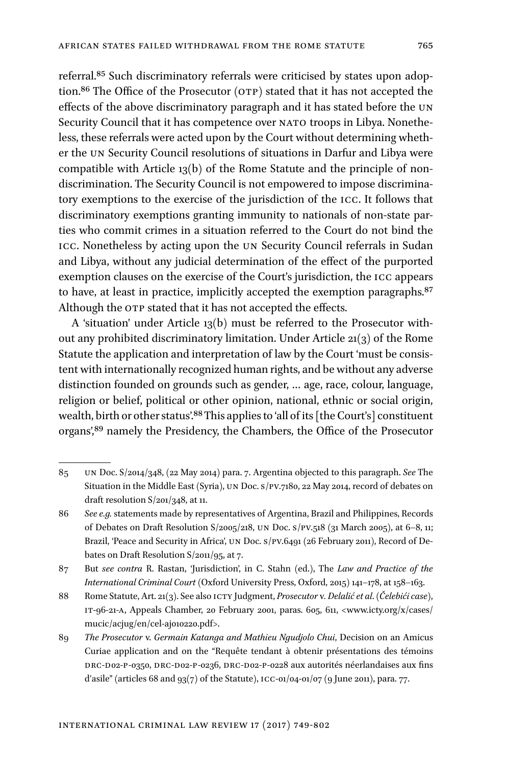referral.85 Such discriminatory referrals were criticised by states upon adoption.<sup>86</sup> The Office of the Prosecutor (OTP) stated that it has not accepted the effects of the above discriminatory paragraph and it has stated before the un Security Council that it has competence over NATO troops in Libya. Nonetheless, these referrals were acted upon by the Court without determining whether the un Security Council resolutions of situations in Darfur and Libya were compatible with Article 13(b) of the Rome Statute and the principle of nondiscrimination. The Security Council is not empowered to impose discriminatory exemptions to the exercise of the jurisdiction of the icc. It follows that discriminatory exemptions granting immunity to nationals of non-state parties who commit crimes in a situation referred to the Court do not bind the icc. Nonetheless by acting upon the un Security Council referrals in Sudan and Libya, without any judicial determination of the effect of the purported exemption clauses on the exercise of the Court's jurisdiction, the icc appears to have, at least in practice, implicitly accepted the exemption paragraphs.<sup>87</sup> Although the OTP stated that it has not accepted the effects.

A 'situation' under Article 13(b) must be referred to the Prosecutor without any prohibited discriminatory limitation. Under Article 21(3) of the Rome Statute the application and interpretation of law by the Court 'must be consistent with internationally recognized human rights, and be without any adverse distinction founded on grounds such as gender, … age, race, colour, language, religion or belief, political or other opinion, national, ethnic or social origin, wealth, birth or other status'.<sup>88</sup> This applies to 'all of its [the Court's] constituent organs',89 namely the Presidency, the Chambers, the Office of the Prosecutor

<sup>85</sup> un Doc. S/2014/348, (22 May 2014) para. 7. Argentina objected to this paragraph. *See* The Situation in the Middle East (Syria), un Doc. s/pv.7180, 22 May 2014, record of debates on draft resolution S/201/348, at 11.

<sup>86</sup> *See e.g.* statements made by representatives of Argentina, Brazil and Philippines, Records of Debates on Draft Resolution S/2005/218, un Doc. s/pv.518 (31 March 2005), at 6–8, 11; Brazil, 'Peace and Security in Africa', un Doc. s/pv.6491 (26 February 2011), Record of Debates on Draft Resolution S/2011/95, at 7.

<sup>87</sup> But *see contra* R. Rastan, 'Jurisdiction', in C. Stahn (ed.), The *Law and Practice of the International Criminal Court* (Oxford University Press, Oxford, 2015) 141–178, at 158–163.

<sup>88</sup> Rome Statute, Art. 21(3). See also icty Judgment, *Prosecutor* v*. Delalić et al*. (*Čelebići case*), it-96-21-a, Appeals Chamber, 20 February 2001, paras. 605, 611, <[www.icty.org/x/cases/](http://www.icty.org/x/cases/mucic/acjug/en/cel-aj010220.pdf) [mucic/acjug/en/cel-aj010220.pdf](http://www.icty.org/x/cases/mucic/acjug/en/cel-aj010220.pdf)>.

<sup>89</sup> *The Prosecutor* v. *Germain Katanga and Mathieu Ngudjolo Chui*, Decision on an Amicus Curiae application and on the "Requête tendant à obtenir présentations des témoins DRC-D02-P-0350, DRC-D02-P-0236, DRC-D02-P-0228 aux autorités néerlandaises aux fins d'asile" (articles 68 and 93(7) of the Statute),  $\text{ICC-01}/\text{04-01}/\text{07}$  (9 June 2011), para. 77.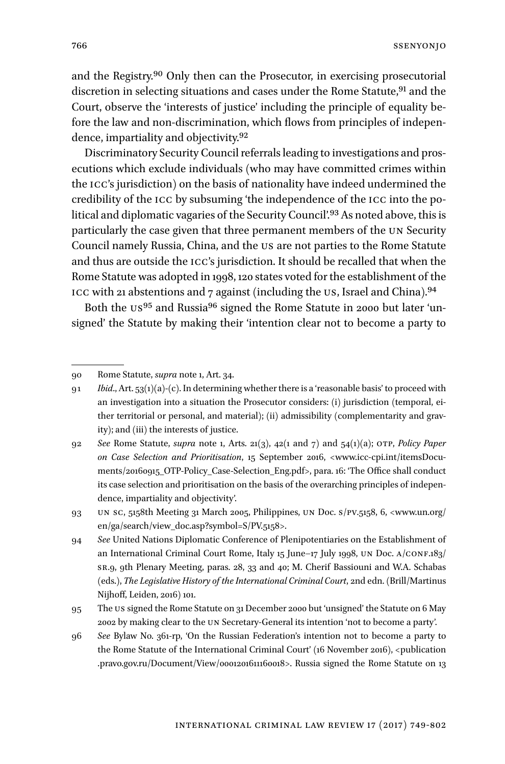and the Registry.90 Only then can the Prosecutor, in exercising prosecutorial discretion in selecting situations and cases under the Rome Statute,<sup>91</sup> and the Court, observe the 'interests of justice' including the principle of equality before the law and non-discrimination, which flows from principles of independence, impartiality and objectivity.92

Discriminatory Security Council referrals leading to investigations and prosecutions which exclude individuals (who may have committed crimes within the icc's jurisdiction) on the basis of nationality have indeed undermined the credibility of the icc by subsuming 'the independence of the icc into the political and diplomatic vagaries of the Security Council'.93 As noted above, this is particularly the case given that three permanent members of the un Security Council namely Russia, China, and the us are not parties to the Rome Statute and thus are outside the icc's jurisdiction. It should be recalled that when the Rome Statute was adopted in 1998, 120 states voted for the establishment of the icc with 21 abstentions and 7 against (including the us, Israel and China).94

Both the US<sup>95</sup> and Russia<sup>96</sup> signed the Rome Statute in 2000 but later 'unsigned' the Statute by making their 'intention clear not to become a party to

<sup>90</sup> Rome Statute, *supra* note 1, Art. 34.

<sup>91</sup> *Ibid*., Art. 53(1)(a)-(c). In determining whether there is a 'reasonable basis' to proceed with an investigation into a situation the Prosecutor considers: (i) jurisdiction (temporal, either territorial or personal, and material); (ii) admissibility (complementarity and gravity); and (iii) the interests of justice.

<sup>92</sup> *See* Rome Statute, *supra* note 1, Arts. 21(3), 42(1 and 7) and 54(1)(a); otp, *Policy Paper on Case Selection and Prioritisation*, 15 September 2016, <[www.icc-cpi.int/itemsDocu](http://www.icc-cpi.int/itemsDocuments/20160915_OTP-Policy_Case-Selection_Eng.pdf)[ments/20160915\\_OTP-Policy\\_Case-Selection\\_Eng.pdf](http://www.icc-cpi.int/itemsDocuments/20160915_OTP-Policy_Case-Selection_Eng.pdf)>, para. 16: 'The Office shall conduct its case selection and prioritisation on the basis of the overarching principles of independence, impartiality and objectivity'.

<sup>93</sup> un sc, 5158th Meeting 31 March 2005, Philippines, un Doc. s/pv.5158, 6, <[www.un.org/](http://www.un.org/en/ga/search/view_doc.asp?symbol=S/PV.5158) [en/ga/search/view\\_doc.asp?symbol=S/PV.5158](http://www.un.org/en/ga/search/view_doc.asp?symbol=S/PV.5158)>.

<sup>94</sup> *See* United Nations Diplomatic Conference of Plenipotentiaries on the Establishment of an International Criminal Court Rome, Italy 15 June–17 July 1998, UN Doc. A/CONF.183/ sr.9, 9th Plenary Meeting, paras. 28, 33 and 40; M. Cherif Bassiouni and W.A. Schabas (eds.), *The Legislative History of the International Criminal Court*, 2nd edn. (Brill/Martinus Nijhoff, Leiden, 2016) 101.

<sup>95</sup> The us signed the Rome Statute on 31 December 2000 but 'unsigned' the Statute on 6 May 2002 by making clear to the un Secretary-General its intention 'not to become a party'.

<sup>96</sup> *See* Bylaw No. 361-rp, 'On the Russian Federation's intention not to become a party to the Rome Statute of the International Criminal Court' (16 November 2016), <[publication](http://publication.pravo.gov.ru/Document/View/0001201611160018) [.pravo.gov.ru/Document/View/0001201611160018>](http://publication.pravo.gov.ru/Document/View/0001201611160018). Russia signed the Rome Statute on 13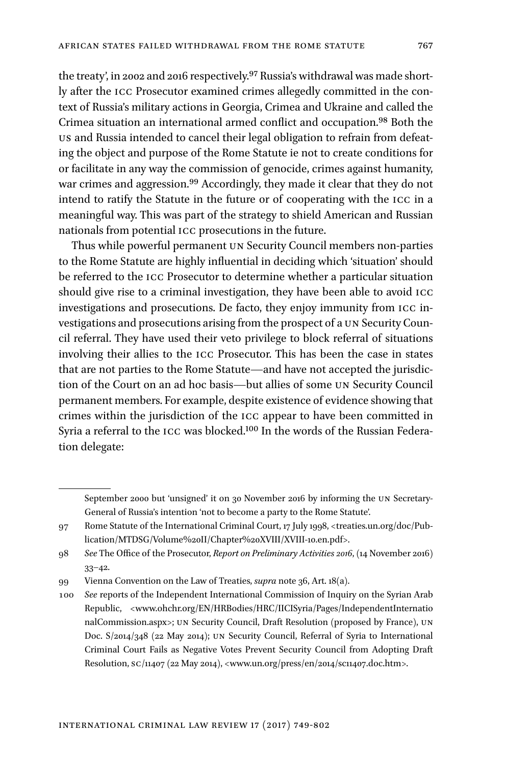nationals from potential icc prosecutions in the future.

the treaty', in 2002 and 2016 respectively.<sup>97</sup> Russia's withdrawal was made shortly after the icc Prosecutor examined crimes allegedly committed in the context of Russia's military actions in Georgia, Crimea and Ukraine and called the Crimea situation an international armed conflict and occupation.98 Both the us and Russia intended to cancel their legal obligation to refrain from defeating the object and purpose of the Rome Statute ie not to create conditions for or facilitate in any way the commission of genocide, crimes against humanity, war crimes and aggression.<sup>99</sup> Accordingly, they made it clear that they do not intend to ratify the Statute in the future or of cooperating with the icc in a meaningful way. This was part of the strategy to shield American and Russian

Thus while powerful permanent un Security Council members non-parties to the Rome Statute are highly influential in deciding which 'situation' should be referred to the icc Prosecutor to determine whether a particular situation should give rise to a criminal investigation, they have been able to avoid icc investigations and prosecutions. De facto, they enjoy immunity from icc investigations and prosecutions arising from the prospect of a un Security Council referral. They have used their veto privilege to block referral of situations involving their allies to the icc Prosecutor. This has been the case in states that are not parties to the Rome Statute—and have not accepted the jurisdiction of the Court on an ad hoc basis—but allies of some un Security Council permanent members. For example, despite existence of evidence showing that crimes within the jurisdiction of the icc appear to have been committed in Syria a referral to the ICC was blocked.<sup>100</sup> In the words of the Russian Federation delegate:

September 2000 but 'unsigned' it on 30 November 2016 by informing the un Secretary-General of Russia's intention 'not to become a party to the Rome Statute'.

<sup>97</sup> Rome Statute of the International Criminal Court, 17 July 1998, <[treaties.un.org/doc/Pub](http://treaties.un.org/doc/Publication/MTDSG/Volume%20II/Chapter%20XVIII/XVIII-10.en.pdf)[lication/MTDSG/Volume%20II/Chapter%20XVIII/XVIII-10.en.pdf](http://treaties.un.org/doc/Publication/MTDSG/Volume%20II/Chapter%20XVIII/XVIII-10.en.pdf)>.

<sup>98</sup> *See* The Office of the Prosecutor, *Report on Preliminary Activities 2016*, (14 November 2016) 33–42.

<sup>99</sup> Vienna Convention on the Law of Treaties, *supra* note 36, Art. 18(a).

<sup>100</sup> *See* reports of the Independent International Commission of Inquiry on the Syrian Arab Republic, <[www.ohchr.org/EN/HRBodies/HRC/IICISyria/Pages/IndependentInternatio](http://www.ohchr.org/EN/HRBodies/HRC/IICISyria/Pages/IndependentInternationalCommission.aspx) [nalCommission.aspx](http://www.ohchr.org/EN/HRBodies/HRC/IICISyria/Pages/IndependentInternationalCommission.aspx)>; un Security Council, Draft Resolution (proposed by France), un Doc. S/2014/348 (22 May 2014); un Security Council, Referral of Syria to International Criminal Court Fails as Negative Votes Prevent Security Council from Adopting Draft Resolution, sc/11407 (22 May 2014), [<www.un.org/press/en/2014/sc11407.doc.htm](http://www.un.org/press/en/2014/sc11407.doc.htm)>.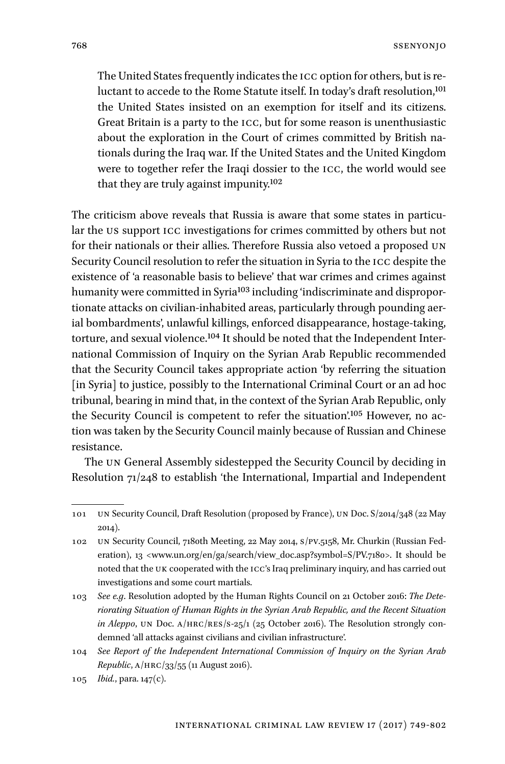The United States frequently indicates the icc option for others, but is reluctant to accede to the Rome Statute itself. In today's draft resolution,<sup>101</sup> the United States insisted on an exemption for itself and its citizens. Great Britain is a party to the icc, but for some reason is unenthusiastic about the exploration in the Court of crimes committed by British nationals during the Iraq war. If the United States and the United Kingdom were to together refer the Iraqi dossier to the icc, the world would see that they are truly against impunity.102

The criticism above reveals that Russia is aware that some states in particular the us support icc investigations for crimes committed by others but not for their nationals or their allies. Therefore Russia also vetoed a proposed un Security Council resolution to refer the situation in Syria to the icc despite the existence of 'a reasonable basis to believe' that war crimes and crimes against humanity were committed in Syria<sup>103</sup> including 'indiscriminate and disproportionate attacks on civilian-inhabited areas, particularly through pounding aerial bombardments', unlawful killings, enforced disappearance, hostage-taking, torture, and sexual violence.<sup>104</sup> It should be noted that the Independent International Commission of Inquiry on the Syrian Arab Republic recommended that the Security Council takes appropriate action 'by referring the situation [in Syria] to justice, possibly to the International Criminal Court or an ad hoc tribunal, bearing in mind that, in the context of the Syrian Arab Republic, only the Security Council is competent to refer the situation'.105 However, no action was taken by the Security Council mainly because of Russian and Chinese resistance.

The un General Assembly sidestepped the Security Council by deciding in Resolution 71/248 to establish 'the International, Impartial and Independent

<sup>101</sup> un Security Council, Draft Resolution (proposed by France), un Doc. S/2014/348 (22 May 2014).

<sup>102</sup> un Security Council, 7180th Meeting, 22 May 2014, s/pv.5158, Mr. Churkin (Russian Federation), 13 <[www.un.org/en/ga/search/view\\_doc.asp?symbol=S/PV.7180>](http://www.un.org/en/ga/search/view_doc.asp?symbol=S/PV.7180). It should be noted that the uk cooperated with the icc's Iraq preliminary inquiry, and has carried out investigations and some court martials.

<sup>103</sup> *See e.g*. Resolution adopted by the Human Rights Council on 21 October 2016: *The Deteriorating Situation of Human Rights in the Syrian Arab Republic, and the Recent Situation in Aleppo*, UN Doc.  $A/HRC/RES/S-25/1$  (25 October 2016). The Resolution strongly condemned 'all attacks against civilians and civilian infrastructure'.

<sup>104</sup> *See Report of the Independent International Commission of Inquiry on the Syrian Arab Republic*, a/hrc/33/55 (11 August 2016).

<sup>105</sup> *Ibid.*, para. 147(c).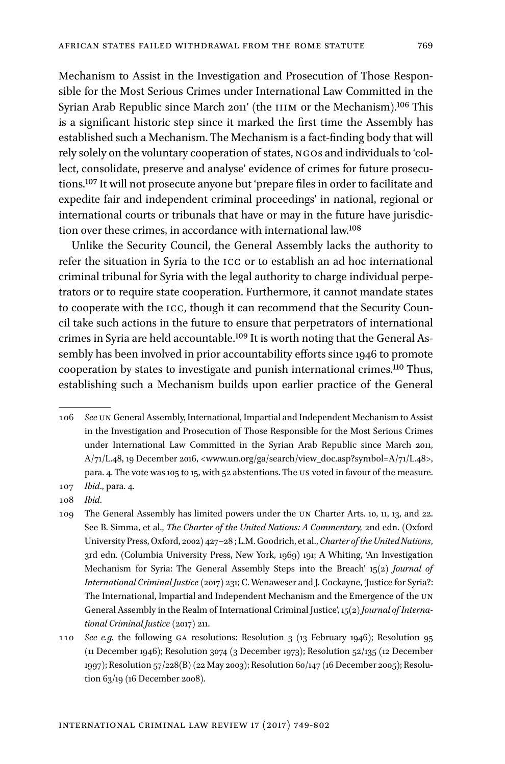Mechanism to Assist in the Investigation and Prosecution of Those Responsible for the Most Serious Crimes under International Law Committed in the Syrian Arab Republic since March 2011' (the IIIM or the Mechanism).<sup>106</sup> This is a significant historic step since it marked the first time the Assembly has established such a Mechanism. The Mechanism is a fact-finding body that will rely solely on the voluntary cooperation of states, ngos and individuals to 'collect, consolidate, preserve and analyse' evidence of crimes for future prosecutions.107 It will not prosecute anyone but 'prepare files in order to facilitate and expedite fair and independent criminal proceedings' in national, regional or international courts or tribunals that have or may in the future have jurisdiction over these crimes, in accordance with international law.108

Unlike the Security Council, the General Assembly lacks the authority to refer the situation in Syria to the icc or to establish an ad hoc international criminal tribunal for Syria with the legal authority to charge individual perpetrators or to require state cooperation. Furthermore, it cannot mandate states to cooperate with the icc, though it can recommend that the Security Council take such actions in the future to ensure that perpetrators of international crimes in Syria are held accountable.<sup>109</sup> It is worth noting that the General Assembly has been involved in prior accountability efforts since 1946 to promote cooperation by states to investigate and punish international crimes.110 Thus, establishing such a Mechanism builds upon earlier practice of the General

<sup>106</sup> *See* un General Assembly, International, Impartial and Independent Mechanism to Assist in the Investigation and Prosecution of Those Responsible for the Most Serious Crimes under International Law Committed in the Syrian Arab Republic since March 2011, A/71/L.48, 19 December 2016, [<www.un.org/ga/search/view\\_doc.asp?symbol=A/71/L.48>](http://www.un.org/ga/search/view_doc.asp?symbol=A/71/L.48), para. 4. The vote was 105 to 15, with 52 abstentions. The us voted in favour of the measure.

<sup>107</sup> *Ibid*., para. 4.

<sup>108</sup> *Ibid*.

<sup>109</sup> The General Assembly has limited powers under the un Charter Arts. 10, 11, 13, and 22. See B. Simma, et al., *The Charter of the United Nations: A Commentary,* 2nd edn. (Oxford University Press, Oxford, 2002) 427–28 ; L.M. Goodrich, et al., *Charter of the United Nations*, 3rd edn. (Columbia University Press, New York, 1969) 191; A Whiting, 'An Investigation Mechanism for Syria: The General Assembly Steps into the Breach' 15(2) *Journal of International Criminal Justice* (2017) 231; C. Wenaweser and J. Cockayne, 'Justice for Syria?: The International, Impartial and Independent Mechanism and the Emergence of the un General Assembly in the Realm of International Criminal Justice', 15(2) *Journal of International Criminal Justice* (2017) 211.

<sup>110</sup> *See e.g.* the following ga resolutions: Resolution 3 (13 February 1946); Resolution 95 (11 December 1946); Resolution 3074 (3 December 1973); Resolution 52/135 (12 December 1997); Resolution 57/228(B) (22 May 2003); Resolution 60/147 (16 December 2005); Resolution 63/19 (16 December 2008).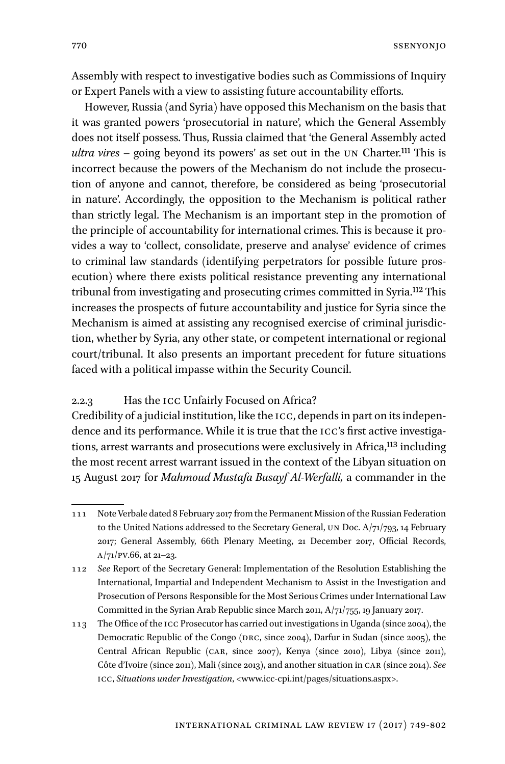Assembly with respect to investigative bodies such as Commissions of Inquiry or Expert Panels with a view to assisting future accountability efforts.

However, Russia (and Syria) have opposed this Mechanism on the basis that it was granted powers 'prosecutorial in nature', which the General Assembly does not itself possess. Thus, Russia claimed that 'the General Assembly acted *ultra vires* – going beyond its powers' as set out in the un Charter.111 This is incorrect because the powers of the Mechanism do not include the prosecution of anyone and cannot, therefore, be considered as being 'prosecutorial in nature'. Accordingly, the opposition to the Mechanism is political rather than strictly legal. The Mechanism is an important step in the promotion of the principle of accountability for international crimes. This is because it provides a way to 'collect, consolidate, preserve and analyse' evidence of crimes to criminal law standards (identifying perpetrators for possible future prosecution) where there exists political resistance preventing any international tribunal from investigating and prosecuting crimes committed in Syria.112 This increases the prospects of future accountability and justice for Syria since the Mechanism is aimed at assisting any recognised exercise of criminal jurisdiction, whether by Syria, any other state, or competent international or regional court/tribunal. It also presents an important precedent for future situations faced with a political impasse within the Security Council.

## 2.2.3 Has the icc Unfairly Focused on Africa?

Credibility of a judicial institution, like the icc, depends in part on its independence and its performance. While it is true that the icc's first active investigations, arrest warrants and prosecutions were exclusively in Africa,<sup>113</sup> including the most recent arrest warrant issued in the context of the Libyan situation on 15 August 2017 for *Mahmoud Mustafa Busayf Al-Werfalli,* a commander in the

<sup>111</sup> Note Verbale dated 8 February 2017 from the Permanent Mission of the Russian Federation to the United Nations addressed to the Secretary General, un Doc. A/71/793, 14 February 2017; General Assembly, 66th Plenary Meeting, 21 December 2017, Official Records, a/71/pv.66, at 21–23.

<sup>112</sup> *See* Report of the Secretary General: Implementation of the Resolution Establishing the International, Impartial and Independent Mechanism to Assist in the Investigation and Prosecution of Persons Responsible for the Most Serious Crimes under International Law Committed in the Syrian Arab Republic since March 2011, A/71/755, 19 January 2017.

<sup>113</sup> The Office of the icc Prosecutor has carried out investigations in Uganda (since 2004), the Democratic Republic of the Congo (DRC, since 2004), Darfur in Sudan (since 2005), the Central African Republic (car, since 2007), Kenya (since 2010), Libya (since 2011), Côte d'Ivoire (since 2011), Mali (since 2013), and another situation in car (since 2014). *See* icc, *Situations under Investigation*, [<www.icc-cpi.int/pages/situations.aspx>](http://www.icc-cpi.int/pages/situations.aspx).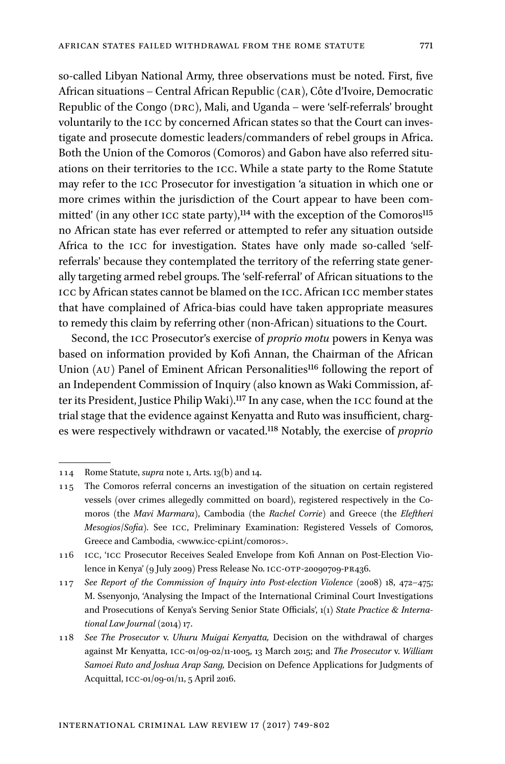so-called Libyan National Army, three observations must be noted. First, five African situations – Central African Republic (car), Côte d'Ivoire, Democratic Republic of the Congo (DRC), Mali, and Uganda – were 'self-referrals' brought voluntarily to the icc by concerned African states so that the Court can investigate and prosecute domestic leaders/commanders of rebel groups in Africa. Both the Union of the Comoros (Comoros) and Gabon have also referred situations on their territories to the icc. While a state party to the Rome Statute may refer to the icc Prosecutor for investigation 'a situation in which one or more crimes within the jurisdiction of the Court appear to have been committed' (in any other ICC state party),<sup>114</sup> with the exception of the Comoros<sup>115</sup> no African state has ever referred or attempted to refer any situation outside Africa to the icc for investigation. States have only made so-called 'selfreferrals' because they contemplated the territory of the referring state generally targeting armed rebel groups. The 'self-referral' of African situations to the icc by African states cannot be blamed on the icc. African icc member states that have complained of Africa-bias could have taken appropriate measures to remedy this claim by referring other (non-African) situations to the Court.

Second, the icc Prosecutor's exercise of *proprio motu* powers in Kenya was based on information provided by Kofi Annan, the Chairman of the African Union (AU) Panel of Eminent African Personalities<sup>116</sup> following the report of an Independent Commission of Inquiry (also known as Waki Commission, after its President, Justice Philip Waki).117 In any case, when the icc found at the trial stage that the evidence against Kenyatta and Ruto was insufficient, charges were respectively withdrawn or vacated.118 Notably, the exercise of *proprio* 

<sup>114</sup> Rome Statute, *supra* note 1, Arts. 13(b) and 14.

<sup>115</sup> The Comoros referral concerns an investigation of the situation on certain registered vessels (over crimes allegedly committed on board), registered respectively in the Comoros (the *Mavi Marmara*), Cambodia (the *Rachel Corrie*) and Greece (the *Eleftheri Mesogios*/*Sofia*). See icc, Preliminary Examination: Registered Vessels of Comoros, Greece and Cambodia, [<www.icc-cpi.int/comoros>](http://www.icc-cpi.int/comoros).

<sup>116</sup> icc, 'icc Prosecutor Receives Sealed Envelope from Kofi Annan on Post-Election Violence in Kenya' (9 July 2009) Press Release No. ICC-OTP-20090709-PR436.

<sup>117</sup> *See Report of the Commission of Inquiry into Post-election Violence* (2008) 18, 472–475; M. Ssenyonjo, 'Analysing the Impact of the International Criminal Court Investigations and Prosecutions of Kenya's Serving Senior State Officials', 1(1) *State Practice & International Law Journal* (2014) 17.

<sup>118</sup> *See The Prosecutor* v. *Uhuru Muigai Kenyatta,* Decision on the withdrawal of charges against Mr Kenyatta, icc-01/09-02/11-1005, 13 March 2015; and *The Prosecutor* v. *William Samoei Ruto and Joshua Arap Sang,* Decision on Defence Applications for Judgments of Acquittal, icc-01/09-01/11, 5 April 2016.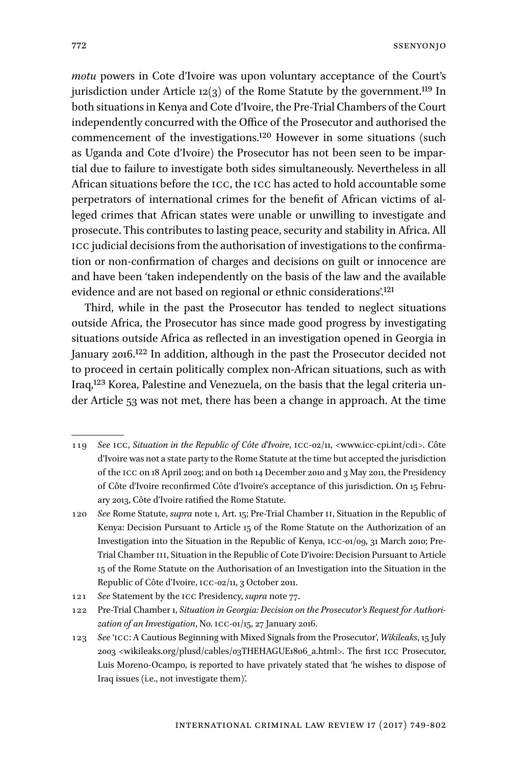*motu* powers in Cote d'Ivoire was upon voluntary acceptance of the Court's jurisdiction under Article 12(3) of the Rome Statute by the government.<sup>119</sup> In both situations in Kenya and Cote d'Ivoire, the Pre-Trial Chambers of the Court independently concurred with the Office of the Prosecutor and authorised the commencement of the investigations.120 However in some situations (such as Uganda and Cote d'Ivoire) the Prosecutor has not been seen to be impartial due to failure to investigate both sides simultaneously. Nevertheless in all African situations before the icc, the icc has acted to hold accountable some perpetrators of international crimes for the benefit of African victims of alleged crimes that African states were unable or unwilling to investigate and prosecute. This contributes to lasting peace, security and stability in Africa. All icc judicial decisions from the authorisation of investigations to the confirmation or non-confirmation of charges and decisions on guilt or innocence are and have been 'taken independently on the basis of the law and the available evidence and are not based on regional or ethnic considerations'.121

Third, while in the past the Prosecutor has tended to neglect situations outside Africa, the Prosecutor has since made good progress by investigating situations outside Africa as reflected in an investigation opened in Georgia in January 2016.<sup>122</sup> In addition, although in the past the Prosecutor decided not to proceed in certain politically complex non-African situations, such as with Iraq,123 Korea, Palestine and Venezuela, on the basis that the legal criteria under Article 53 was not met, there has been a change in approach. At the time

<sup>119</sup> *See* icc, *Situation in the Republic of Côte d'Ivoire*, icc-02/11, [<www.icc-cpi.int/cdi>](http://www.icc-cpi.int/cdi). Côte d'Ivoire was not a state party to the Rome Statute at the time but accepted the jurisdiction of the icc on 18 April 2003; and on both 14 December 2010 and 3 May 2011, the Presidency of Côte d'Ivoire reconfirmed Côte d'Ivoire's acceptance of this jurisdiction. On 15 February 2013, Côte d'Ivoire ratified the Rome Statute.

<sup>120</sup> *See* Rome Statute, *supra* note 1, Art. 15; Pre-Trial Chamber ii, Situation in the Republic of Kenya: Decision Pursuant to Article 15 of the Rome Statute on the Authorization of an Investigation into the Situation in the Republic of Kenya, icc-01/09, 31 March 2010; Pre-Trial Chamber III, Situation in the Republic of Cote D'ivoire: Decision Pursuant to Article 15 of the Rome Statute on the Authorisation of an Investigation into the Situation in the Republic of Côte d'Ivoire, icc-02/11, 3 October 2011.

<sup>121</sup> *See* Statement by the icc Presidency, *supra* note 77.

<sup>122</sup> Pre-Trial Chamber 1, *Situation in Georgia: Decision on the Prosecutor's Request for Authori*zation of an Investigation, No. ICC-01/15, 27 January 2016.

<sup>123</sup> *See* 'icc: A Cautious Beginning with Mixed Signals from the Prosecutor', *Wikileaks*, 15 July 2003 <[wikileaks.org/plusd/cables/03THEHAGUE1806\\_a.html>](http://wikileaks.org/plusd/cables/03THEHAGUE1806_a.html). The first icc Prosecutor, Luis Moreno-Ocampo, is reported to have privately stated that 'he wishes to dispose of Iraq issues (i.e., not investigate them)'.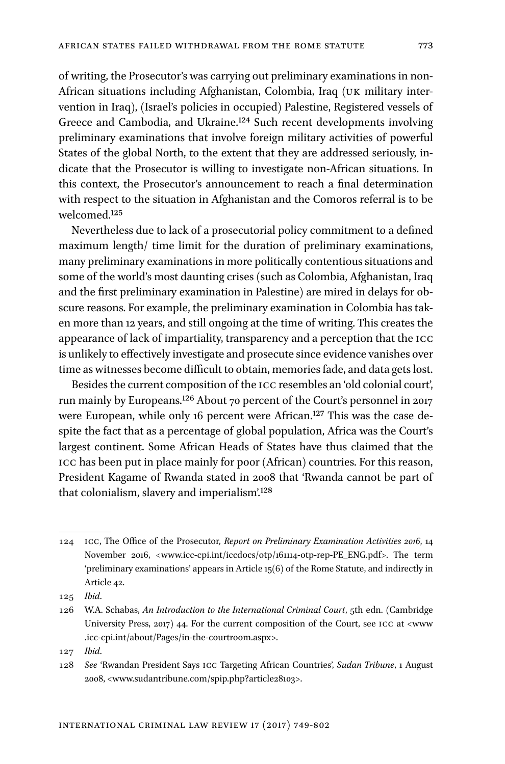of writing, the Prosecutor's was carrying out preliminary examinations in non-African situations including Afghanistan, Colombia, Iraq (uk military intervention in Iraq), (Israel's policies in occupied) Palestine, Registered vessels of Greece and Cambodia, and Ukraine.124 Such recent developments involving preliminary examinations that involve foreign military activities of powerful States of the global North, to the extent that they are addressed seriously, indicate that the Prosecutor is willing to investigate non-African situations. In this context, the Prosecutor's announcement to reach a final determination with respect to the situation in Afghanistan and the Comoros referral is to be welcomed.125

Nevertheless due to lack of a prosecutorial policy commitment to a defined maximum length/ time limit for the duration of preliminary examinations, many preliminary examinations in more politically contentious situations and some of the world's most daunting crises (such as Colombia, Afghanistan, Iraq and the first preliminary examination in Palestine) are mired in delays for obscure reasons. For example, the preliminary examination in Colombia has taken more than 12 years, and still ongoing at the time of writing. This creates the appearance of lack of impartiality, transparency and a perception that the icc is unlikely to effectively investigate and prosecute since evidence vanishes over time as witnesses become difficult to obtain, memories fade, and data gets lost.

Besides the current composition of the icc resembles an 'old colonial court', run mainly by Europeans.126 About 70 percent of the Court's personnel in 2017 were European, while only 16 percent were African.<sup>127</sup> This was the case despite the fact that as a percentage of global population, Africa was the Court's largest continent. Some African Heads of States have thus claimed that the icc has been put in place mainly for poor (African) countries. For this reason, President Kagame of Rwanda stated in 2008 that 'Rwanda cannot be part of that colonialism, slavery and imperialism'.128

<sup>124</sup> icc, The Office of the Prosecutor*, Report on Preliminary Examination Activities 2016*, 14 November 2016, [<www.icc-cpi.int/iccdocs/otp/161114-otp-rep-PE\\_ENG.pdf>](http://www.icc-cpi.int/iccdocs/otp/161114-otp-rep-PE_ENG.pdf). The term 'preliminary examinations' appears in Article 15(6) of the Rome Statute, and indirectly in Article 42.

<sup>125</sup> *Ibid*.

<sup>126</sup> W.A. Schabas, *An Introduction to the International Criminal Court*, 5th edn. (Cambridge University Press, 2017) 44. For the current composition of the Court, see icc at [<www](http://www.icc-cpi.int/about/Pages/in-the-courtroom.aspx) [.icc-cpi.int/about/Pages/in-the-courtroom.aspx>](http://www.icc-cpi.int/about/Pages/in-the-courtroom.aspx).

<sup>127</sup> *Ibid*.

<sup>128</sup> *See* 'Rwandan President Says icc Targeting African Countries', *Sudan Tribune*, 1 August 2008, <[www.sudantribune.com/spip.php?article28103>](http://www.sudantribune.com/spip.php?article28103).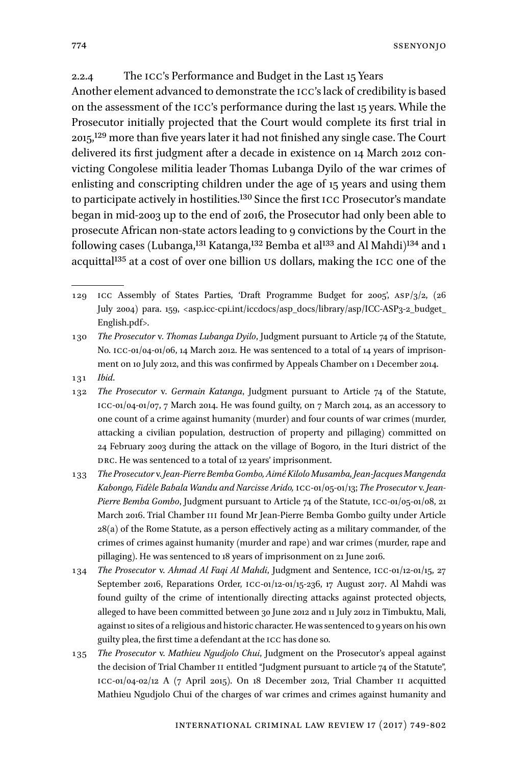2.2.4 The icc's Performance and Budget in the Last 15 Years Another element advanced to demonstrate the icc's lack of credibility is based on the assessment of the icc's performance during the last 15 years. While the Prosecutor initially projected that the Court would complete its first trial in  $2015$ <sup>129</sup> more than five years later it had not finished any single case. The Court delivered its first judgment after a decade in existence on 14 March 2012 convicting Congolese militia leader Thomas Lubanga Dyilo of the war crimes of enlisting and conscripting children under the age of 15 years and using them to participate actively in hostilities.<sup>130</sup> Since the first ICC Prosecutor's mandate began in mid-2003 up to the end of 2016, the Prosecutor had only been able to prosecute African non-state actors leading to 9 convictions by the Court in the following cases (Lubanga,<sup>131</sup> Katanga,<sup>132</sup> Bemba et al<sup>133</sup> and Al Mahdi)<sup>134</sup> and 1 acquittal135 at a cost of over one billion us dollars, making the icc one of the

- 
- 132 *The Prosecutor* v*. Germain Katanga*, Judgment pursuant to Article 74 of the Statute, icc-01/04-01/07, 7 March 2014. He was found guilty, on 7 March 2014, as an accessory to one count of a crime against humanity (murder) and four counts of war crimes (murder, attacking a civilian population, destruction of property and pillaging) committed on 24 February 2003 during the attack on the village of Bogoro, in the Ituri district of the DRC. He was sentenced to a total of 12 years' imprisonment.
- 133 *The Prosecutor* v. *Jean-Pierre Bemba Gombo, Aimé Kilolo Musamba, Jean-Jacques Mangenda Kabongo, Fidèle Babala Wandu and Narcisse Arido,* icc-01/05-01/13; *The Prosecutor* v. *Jean-Pierre Bemba Gombo*, Judgment pursuant to Article 74 of the Statute, icc-01/05-01/08, 21 March 2016. Trial Chamber III found Mr Jean-Pierre Bemba Gombo guilty under Article  $28(a)$  of the Rome Statute, as a person effectively acting as a military commander, of the crimes of crimes against humanity (murder and rape) and war crimes (murder, rape and pillaging). He was sentenced to 18 years of imprisonment on 21 June 2016.
- 134 *The Prosecutor* v. *Ahmad Al Faqi Al Mahdi*, Judgment and Sentence, icc-01/12-01/15, 27 September 2016, Reparations Order, ICC-01/12-01/15-236, 17 August 2017. Al Mahdi was found guilty of the crime of intentionally directing attacks against protected objects, alleged to have been committed between 30 June 2012 and 11 July 2012 in Timbuktu, Mali, against 10 sites of a religious and historic character. He was sentenced to 9 years on his own guilty plea, the first time a defendant at the icc has done so.
- 135 *The Prosecutor* v. *Mathieu Ngudjolo Chui*, Judgment on the Prosecutor's appeal against the decision of Trial Chamber II entitled "Judgment pursuant to article  $74$  of the Statute", icc-01/04-02/12 A (7 April 2015). On 18 December 2012, Trial Chamber ii acquitted Mathieu Ngudjolo Chui of the charges of war crimes and crimes against humanity and

<sup>129</sup> icc Assembly of States Parties, 'Draft Programme Budget for 2005', asp/3/2, (26 July 2004) para. 159, <[asp.icc-cpi.int/iccdocs/asp\\_docs/library/asp/ICC-ASP3-2\\_budget\\_](http://asp.icc-cpi.int/iccdocs/asp_docs/library/asp/ICC-ASP3-2_budget_English.pdf) [English.pdf>](http://asp.icc-cpi.int/iccdocs/asp_docs/library/asp/ICC-ASP3-2_budget_English.pdf).

<sup>130</sup> *The Prosecutor* v*. Thomas Lubanga Dyilo*, Judgment pursuant to Article 74 of the Statute, No. ICC-01/04-01/06, 14 March 2012. He was sentenced to a total of 14 years of imprisonment on 10 July 2012, and this was confirmed by Appeals Chamber on 1 December 2014. 131 *Ibid*.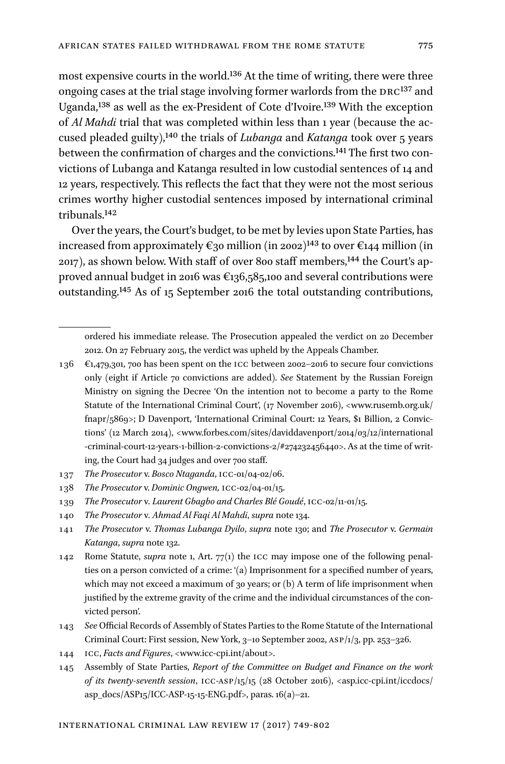most expensive courts in the world.136 At the time of writing, there were three ongoing cases at the trial stage involving former warlords from the DRC<sup>137</sup> and Uganda,138 as well as the ex-President of Cote d'Ivoire.139 With the exception of *Al Mahdi* trial that was completed within less than 1 year (because the accused pleaded guilty),140 the trials of *Lubanga* and *Katanga* took over 5 years between the confirmation of charges and the convictions.<sup>141</sup> The first two convictions of Lubanga and Katanga resulted in low custodial sentences of 14 and 12 years, respectively. This reflects the fact that they were not the most serious crimes worthy higher custodial sentences imposed by international criminal tribunals.142

Over the years, the Court's budget, to be met by levies upon State Parties, has increased from approximately  $\xi_{30}$  million (in 2002)<sup>143</sup> to over  $\xi_{144}$  million (in 2017), as shown below. With staff of over 800 staff members,<sup>144</sup> the Court's approved annual budget in 2016 was €136,585,100 and several contributions were outstanding.145 As of 15 September 2016 the total outstanding contributions,

- 136 €1,479,301, 700 has been spent on the icc between 2002–2016 to secure four convictions only (eight if Article 70 convictions are added). *See* Statement by the Russian Foreign Ministry on signing the Decree 'On the intention not to become a party to the Rome Statute of the International Criminal Court', (17 November 2016), <[www.rusemb.org.uk/](http://www.rusemb.org.uk/fnapr/5869) [fnapr/5869>](http://www.rusemb.org.uk/fnapr/5869); D Davenport, 'International Criminal Court: 12 Years, \$1 Billion, 2 Convictions' (12 March 2014), [<www.forbes.com/sites/daviddavenport/2014/03/12/international](http://www.forbes.com/sites/daviddavenport/2014/03/12/international-criminal-court-12-years-1-billion-2-convictions-2/#274232456440) [-criminal-court-12-years-1-billion-2-convictions-2/#274232456440>](http://www.forbes.com/sites/daviddavenport/2014/03/12/international-criminal-court-12-years-1-billion-2-convictions-2/#274232456440). As at the time of writing, the Court had 34 judges and over 700 staff.
- 137 *The Prosecutor* v. *Bosco Ntaganda*, icc-01/04-02/06.
- 138 *The Prosecutor* v. *Dominic Ongwen,* icc-02/04-01/15.
- 139 *The Prosecutor* v*. Laurent Gbagbo and Charles Blé Goudé*, icc-02/11-01/15.
- 140 *The Prosecutor* v*. Ahmad Al Faqi Al Mahdi*, *supra* note 134.
- 141 *The Prosecutor* v. *Thomas Lubanga Dyilo*, *supra* note 130; and *The Prosecutor* v. *Germain Katanga*, *supra* note 132.
- 142 Rome Statute, *supra* note 1, Art. 77(1) the icc may impose one of the following penalties on a person convicted of a crime: '(a) Imprisonment for a specified number of years, which may not exceed a maximum of 30 years; or (b) A term of life imprisonment when justified by the extreme gravity of the crime and the individual circumstances of the convicted person'.
- 143 *See* Official Records of Assembly of States Parties to the Rome Statute of the International Criminal Court: First session, New York, 3–10 September 2002, asp/1/3, pp. 253–326.
- 144 icc, *Facts and Figures*, <[www.icc-cpi.int/about](http://www.icc-cpi.int/about)>.
- 145 Assembly of State Parties, *Report of the Committee on Budget and Finance on the work of its twenty-seventh session*, icc-asp/15/15 (28 October 2016), <[asp.icc-cpi.int/iccdocs/](http://asp.icc-cpi.int/iccdocs/asp_docs/ASP15/ICC-ASP-15-15-ENG.pdf) [asp\\_docs/ASP15/ICC-ASP-15-15-ENG.pdf](http://asp.icc-cpi.int/iccdocs/asp_docs/ASP15/ICC-ASP-15-15-ENG.pdf)>, paras. 16(a)–21.

ordered his immediate release. The Prosecution appealed the verdict on 20 December 2012. On 27 February 2015, the verdict was upheld by the Appeals Chamber.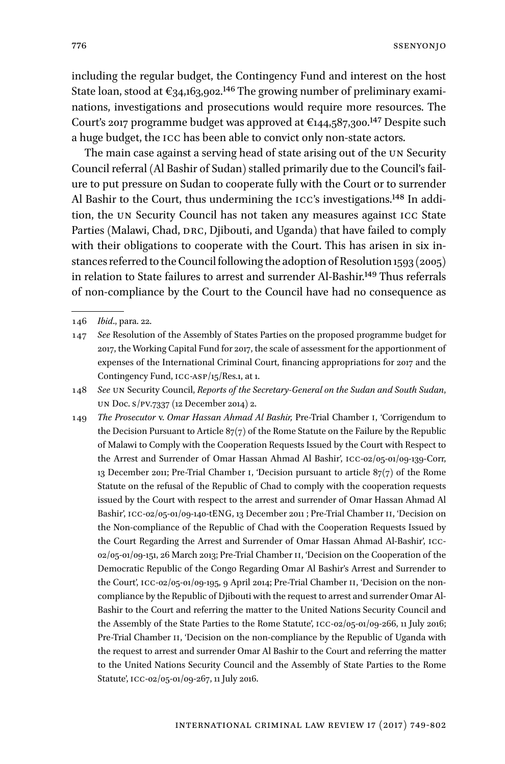including the regular budget, the Contingency Fund and interest on the host State loan, stood at  $\epsilon_{34}$ ,163,902.<sup>146</sup> The growing number of preliminary examinations, investigations and prosecutions would require more resources. The Court's 2017 programme budget was approved at  $\epsilon_{144,587,300}$ ,<sup>147</sup> Despite such a huge budget, the icc has been able to convict only non-state actors.

The main case against a serving head of state arising out of the un Security Council referral (Al Bashir of Sudan) stalled primarily due to the Council's failure to put pressure on Sudan to cooperate fully with the Court or to surrender Al Bashir to the Court, thus undermining the icc's investigations.148 In addition, the un Security Council has not taken any measures against icc State Parties (Malawi, Chad, DRC, Djibouti, and Uganda) that have failed to comply with their obligations to cooperate with the Court. This has arisen in six instances referred to the Council following the adoption of Resolution 1593 (2005) in relation to State failures to arrest and surrender Al-Bashir.149 Thus referrals of non-compliance by the Court to the Council have had no consequence as

<sup>146</sup> *Ibid*., para. 22.

<sup>147</sup> *See* Resolution of the Assembly of States Parties on the proposed programme budget for 2017, the Working Capital Fund for 2017, the scale of assessment for the apportionment of expenses of the International Criminal Court, financing appropriations for 2017 and the Contingency Fund, icc-asp/15/Res.1, at 1.

<sup>148</sup> *See* un Security Council, *Reports of the Secretary-General on the Sudan and South Sudan*, un Doc. s/pv.7337 (12 December 2014) 2.

<sup>149</sup> *The Prosecutor* v. *Omar Hassan Ahmad Al Bashir,* Pre-Trial Chamber i, 'Corrigendum to the Decision Pursuant to Article  $87(7)$  of the Rome Statute on the Failure by the Republic of Malawi to Comply with the Cooperation Requests Issued by the Court with Respect to the Arrest and Surrender of Omar Hassan Ahmad Al Bashir', icc-02/05-01/09-139-Corr, 13 December 2011; Pre-Trial Chamber i, 'Decision pursuant to article 87(7) of the Rome Statute on the refusal of the Republic of Chad to comply with the cooperation requests issued by the Court with respect to the arrest and surrender of Omar Hassan Ahmad Al Bashir', ICC-02/05-01/09-140-tENG, 13 December 2011 ; Pre-Trial Chamber II, 'Decision on the Non-compliance of the Republic of Chad with the Cooperation Requests Issued by the Court Regarding the Arrest and Surrender of Omar Hassan Ahmad Al-Bashir', icc-02/05-01/09-151, 26 March 2013; Pre-Trial Chamber ii, 'Decision on the Cooperation of the Democratic Republic of the Congo Regarding Omar Al Bashir's Arrest and Surrender to the Court', ICC-02/05-01/09-195, 9 April 2014; Pre-Trial Chamber II, 'Decision on the noncompliance by the Republic of Djibouti with the request to arrest and surrender Omar Al-Bashir to the Court and referring the matter to the United Nations Security Council and the Assembly of the State Parties to the Rome Statute', icc-02/05-01/09-266, 11 July 2016; Pre-Trial Chamber II, 'Decision on the non-compliance by the Republic of Uganda with the request to arrest and surrender Omar Al Bashir to the Court and referring the matter to the United Nations Security Council and the Assembly of State Parties to the Rome Statute', icc-02/05-01/09-267, 11 July 2016.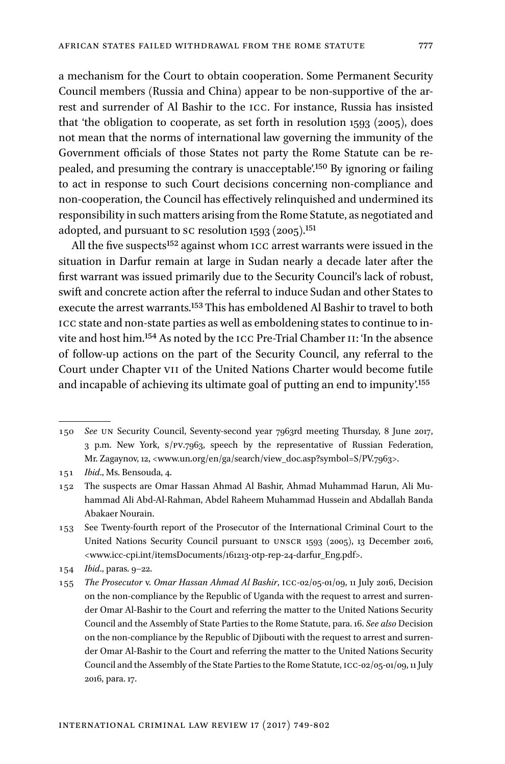a mechanism for the Court to obtain cooperation. Some Permanent Security Council members (Russia and China) appear to be non-supportive of the arrest and surrender of Al Bashir to the icc. For instance, Russia has insisted that 'the obligation to cooperate, as set forth in resolution 1593 (2005), does not mean that the norms of international law governing the immunity of the Government officials of those States not party the Rome Statute can be repealed, and presuming the contrary is unacceptable'.150 By ignoring or failing to act in response to such Court decisions concerning non-compliance and non-cooperation, the Council has effectively relinquished and undermined its responsibility in such matters arising from the Rome Statute, as negotiated and adopted, and pursuant to sc resolution 1593 (2005).151

All the five suspects<sup>152</sup> against whom ICC arrest warrants were issued in the situation in Darfur remain at large in Sudan nearly a decade later after the first warrant was issued primarily due to the Security Council's lack of robust, swift and concrete action after the referral to induce Sudan and other States to execute the arrest warrants.153 This has emboldened Al Bashir to travel to both icc state and non-state parties as well as emboldening states to continue to invite and host him.<sup>154</sup> As noted by the ICC Pre-Trial Chamber II: 'In the absence of follow-up actions on the part of the Security Council, any referral to the Court under Chapter vii of the United Nations Charter would become futile and incapable of achieving its ultimate goal of putting an end to impunity'.155

<sup>150</sup> *See* un Security Council, Seventy-second year 7963rd meeting Thursday, 8 June 2017, 3 p.m. New York, s/pv.7963, speech by the representative of Russian Federation, Mr. Zagaynov, 12, [<www.un.org/en/ga/search/view\\_doc.asp?symbol=S/PV.7963](http://www.un.org/en/ga/search/view_doc.asp?symbol=S/PV.7963)>.

<sup>151</sup> *Ibid*., Ms. Bensouda, 4.

<sup>152</sup> The suspects are Omar Hassan Ahmad Al Bashir, Ahmad Muhammad Harun, Ali Muhammad Ali Abd-Al-Rahman, Abdel Raheem Muhammad Hussein and Abdallah Banda Abakaer Nourain.

<sup>153</sup> See Twenty-fourth report of the Prosecutor of the International Criminal Court to the United Nations Security Council pursuant to unscr 1593 (2005), 13 December 2016, [<www.icc-cpi.int/itemsDocuments/161213-otp-rep-24-darfur\\_Eng.pdf](http://www.icc-cpi.int/itemsDocuments/161213-otp-rep-24-darfur_Eng.pdf)>.

<sup>154</sup> *Ibid*., paras. 9–22.

<sup>155</sup> *The Prosecutor* v. *Omar Hassan Ahmad Al Bashir*, icc-02/05-01/09, 11 July 2016, Decision on the non-compliance by the Republic of Uganda with the request to arrest and surrender Omar Al-Bashir to the Court and referring the matter to the United Nations Security Council and the Assembly of State Parties to the Rome Statute, para. 16. *See also* Decision on the non-compliance by the Republic of Djibouti with the request to arrest and surrender Omar Al-Bashir to the Court and referring the matter to the United Nations Security Council and the Assembly of the State Parties to the Rome Statute, icc-02/05-01/09, 11 July 2016, para. 17.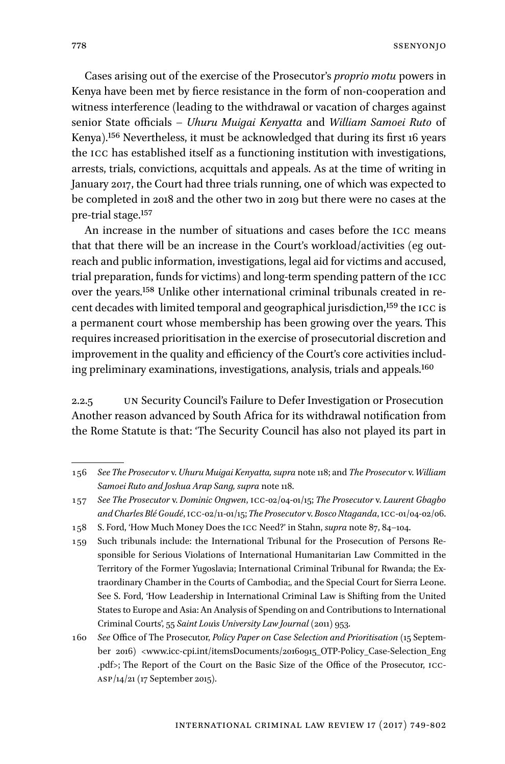Cases arising out of the exercise of the Prosecutor's *proprio motu* powers in Kenya have been met by fierce resistance in the form of non-cooperation and witness interference (leading to the withdrawal or vacation of charges against senior State officials – *Uhuru Muigai Kenyatta* and *William Samoei Ruto* of Kenya).156 Nevertheless, it must be acknowledged that during its first 16 years the icc has established itself as a functioning institution with investigations, arrests, trials, convictions, acquittals and appeals. As at the time of writing in January 2017, the Court had three trials running, one of which was expected to be completed in 2018 and the other two in 2019 but there were no cases at the pre-trial stage.157

An increase in the number of situations and cases before the icc means that that there will be an increase in the Court's workload/activities (eg outreach and public information, investigations, legal aid for victims and accused, trial preparation, funds for victims) and long-term spending pattern of the icc over the years.158 Unlike other international criminal tribunals created in recent decades with limited temporal and geographical jurisdiction,159 the icc is a permanent court whose membership has been growing over the years. This requires increased prioritisation in the exercise of prosecutorial discretion and improvement in the quality and efficiency of the Court's core activities including preliminary examinations, investigations, analysis, trials and appeals.160

2.2.5 un Security Council's Failure to Defer Investigation or Prosecution Another reason advanced by South Africa for its withdrawal notification from the Rome Statute is that: 'The Security Council has also not played its part in

<sup>156</sup> *See The Prosecutor* v. *Uhuru Muigai Kenyatta, supra* note 118; and *The Prosecutor* v. *William Samoei Ruto and Joshua Arap Sang, supra* note 118.

<sup>157</sup> *See The Prosecutor* v. *Dominic Ongwen*, icc-02/04-01/15; *The Prosecutor* v. *Laurent Gbagbo and Charles Blé Goudé*, icc-02/11-01/15; *The Prosecutor* v. *Bosco Ntaganda*, icc-01/04-02/06.

<sup>158</sup> S. Ford, 'How Much Money Does the icc Need?' in Stahn, *supra* note 87, 84–104.

<sup>159</sup> Such tribunals include: the International Tribunal for the Prosecution of Persons Responsible for Serious Violations of International Humanitarian Law Committed in the Territory of the Former Yugoslavia; International Criminal Tribunal for Rwanda; the Extraordinary Chamber in the Courts of Cambodia;, and the Special Court for Sierra Leone. See S. Ford, 'How Leadership in International Criminal Law is Shifting from the United States to Europe and Asia: An Analysis of Spending on and Contributions to International Criminal Courts', 55 *Saint Lou*i*s University Law Journal* (2011) 953.

<sup>160</sup> *See* Office of The Prosecutor, *Policy Paper on Case Selection and Prioritisation* (15 September 2016) [<www.icc-cpi.int/itemsDocuments/20160915\\_OTP-Policy\\_Case-Selection\\_Eng](http://www.icc-cpi.int/itemsDocuments/20160915_OTP-Policy_Case-Selection_Eng.pdf) [.pdf](http://www.icc-cpi.int/itemsDocuments/20160915_OTP-Policy_Case-Selection_Eng.pdf)>; The Report of the Court on the Basic Size of the Office of the Prosecutor, iccasp/14/21 (17 September 2015).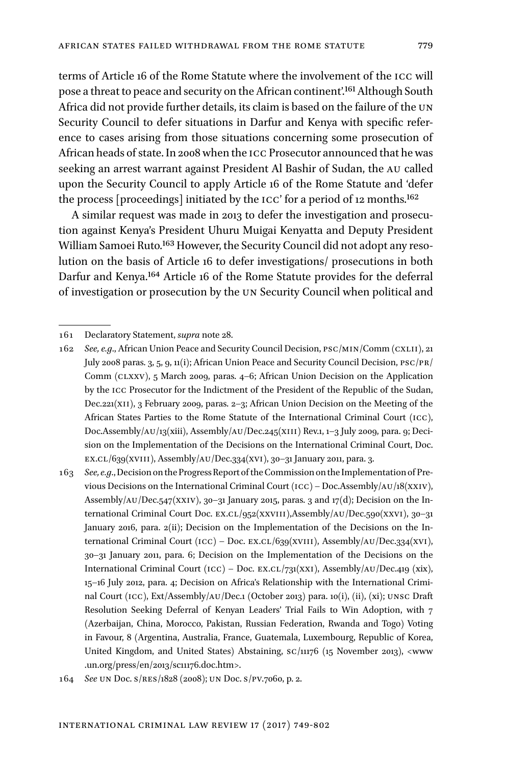terms of Article 16 of the Rome Statute where the involvement of the icc will pose a threat to peace and security on the African continent'.161 Although South Africa did not provide further details, its claim is based on the failure of the un Security Council to defer situations in Darfur and Kenya with specific reference to cases arising from those situations concerning some prosecution of African heads of state. In 2008 when the icc Prosecutor announced that he was seeking an arrest warrant against President Al Bashir of Sudan, the AU called upon the Security Council to apply Article 16 of the Rome Statute and 'defer the process [proceedings] initiated by the icc' for a period of 12 months.162

A similar request was made in 2013 to defer the investigation and prosecution against Kenya's President Uhuru Muigai Kenyatta and Deputy President William Samoei Ruto.<sup>163</sup> However, the Security Council did not adopt any resolution on the basis of Article 16 to defer investigations/ prosecutions in both Darfur and Kenya.164 Article 16 of the Rome Statute provides for the deferral of investigation or prosecution by the un Security Council when political and

- 162 *See, e.g*., African Union Peace and Security Council Decision, psc/min/Comm (cxlii), 21 July 2008 paras. 3, 5, 9, 11(i); African Union Peace and Security Council Decision,  $PSC/PR/$ Comm (clxxv), 5 March 2009, paras. 4–6; African Union Decision on the Application by the icc Prosecutor for the Indictment of the President of the Republic of the Sudan, Dec.221(XII), 3 February 2009, paras. 2–3; African Union Decision on the Meeting of the African States Parties to the Rome Statute of the International Criminal Court (icc), Doc.Assembly/ $AU/13(xiii)$ , Assembly/ $AU/Dec.245(xiii)$  Rev.1, 1–3 July 2009, para. 9; Decision on the Implementation of the Decisions on the International Criminal Court, Doc. ex.cl/639(xviii), Assembly/au/Dec.334(xvi), 30–31 January 2011, para. 3.
- 163 *See, e.g*., Decision on the Progress Report of the Commission on the Implementation of Previous Decisions on the International Criminal Court (icc) – Doc.Assembly/au/18(xxiv), Assembly/AU/Dec.547(XXIV), 30–31 January 2015, paras. 3 and 17(d); Decision on the International Criminal Court Doc. EX.CL/952(XXVIII),Assembly/AU/Dec.590(XXVI), 30-31 January 2016, para. 2(ii); Decision on the Implementation of the Decisions on the International Criminal Court ( $\text{ICC}$ ) – Doc.  $\text{EX.CL}/639(\text{XVIII})$ , Assembly/ $\text{AU}/\text{Dec.334}(\text{XVI})$ , 30–31 January 2011, para. 6; Decision on the Implementation of the Decisions on the International Criminal Court (ICC) – Doc.  $EX.CL/731(XXI)$ , Assembly/ $AU/Dec.419$  (xix), 15–16 July 2012, para. 4; Decision on Africa's Relationship with the International Criminal Court (icc), Ext/Assembly/au/Dec.1 (October 2013) para. 10(i), (ii), (xi); unsc Draft Resolution Seeking Deferral of Kenyan Leaders' Trial Fails to Win Adoption, with 7 (Azerbaijan, China, Morocco, Pakistan, Russian Federation, Rwanda and Togo) Voting in Favour, 8 (Argentina, Australia, France, Guatemala, Luxembourg, Republic of Korea, United Kingdom, and United States) Abstaining, sc/11176 (15 November 2013), [<www](http://www.un.org/press/en/2013/sc11176.doc.htm) [.un.org/press/en/2013/sc11176.doc.htm>](http://www.un.org/press/en/2013/sc11176.doc.htm).

<sup>161</sup> Declaratory Statement, *supra* note 28.

<sup>164</sup> *See* un Doc. s/res/1828 (2008); un Doc. s/pv.7060, p. 2.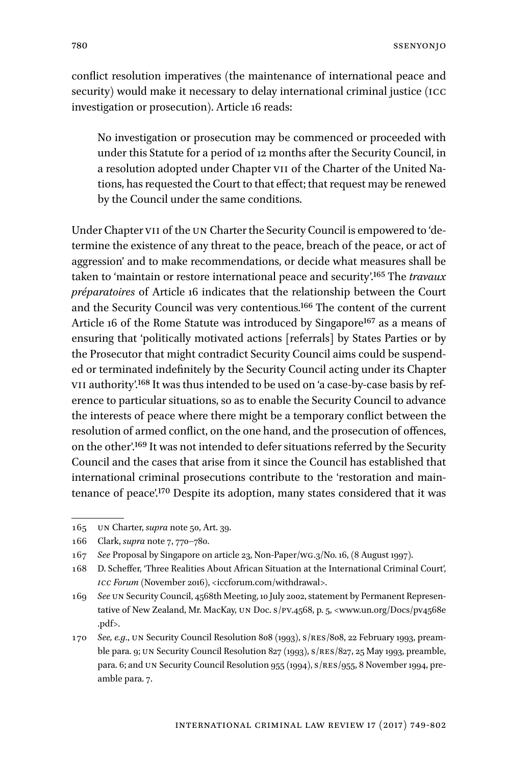conflict resolution imperatives (the maintenance of international peace and security) would make it necessary to delay international criminal justice (ICC investigation or prosecution). Article 16 reads:

No investigation or prosecution may be commenced or proceeded with under this Statute for a period of 12 months after the Security Council, in a resolution adopted under Chapter vii of the Charter of the United Nations, has requested the Court to that effect; that request may be renewed by the Council under the same conditions.

Under Chapter vii of the un Charter the Security Council is empowered to 'determine the existence of any threat to the peace, breach of the peace, or act of aggression' and to make recommendations, or decide what measures shall be taken to 'maintain or restore international peace and security'.165 The *travaux préparatoires* of Article 16 indicates that the relationship between the Court and the Security Council was very contentious.166 The content of the current Article 16 of the Rome Statute was introduced by Singapore<sup>167</sup> as a means of ensuring that 'politically motivated actions [referrals] by States Parties or by the Prosecutor that might contradict Security Council aims could be suspended or terminated indefinitely by the Security Council acting under its Chapter vii authority'.168 It was thus intended to be used on 'a case-by-case basis by reference to particular situations, so as to enable the Security Council to advance the interests of peace where there might be a temporary conflict between the resolution of armed conflict, on the one hand, and the prosecution of offences, on the other'.169 It was not intended to defer situations referred by the Security Council and the cases that arise from it since the Council has established that international criminal prosecutions contribute to the 'restoration and maintenance of peace'.170 Despite its adoption, many states considered that it was

<sup>165</sup> un Charter, *supra* note 50, Art. 39.

<sup>166</sup> Clark, *supra* note 7, 770–780.

<sup>167</sup> *See* Proposal by Singapore on article 23, Non-Paper/wg.3/No. 16, (8 August 1997).

<sup>168</sup> D. Scheffer, 'Three Realities About African Situation at the International Criminal Court', *icc Forum* (November 2016), [<iccforum.com/withdrawal>](http://iccforum.com/withdrawal).

<sup>169</sup> *See* un Security Council, 4568th Meeting, 10 July 2002, statement by Permanent Representative of New Zealand, Mr. MacKay, un Doc. s/pv.4568, p. 5, [<www.un.org/Docs/pv4568e](http://www.un.org/Docs/pv4568e.pdf) [.pdf](http://www.un.org/Docs/pv4568e.pdf)>.

<sup>170</sup> *See, e.g*., un Security Council Resolution 808 (1993), s/res/808, 22 February 1993, preamble para. 9; un Security Council Resolution 827 (1993), s/res/827, 25 May 1993, preamble, para. 6; and un Security Council Resolution 955 (1994), s/res/955, 8 November 1994, preamble para. 7.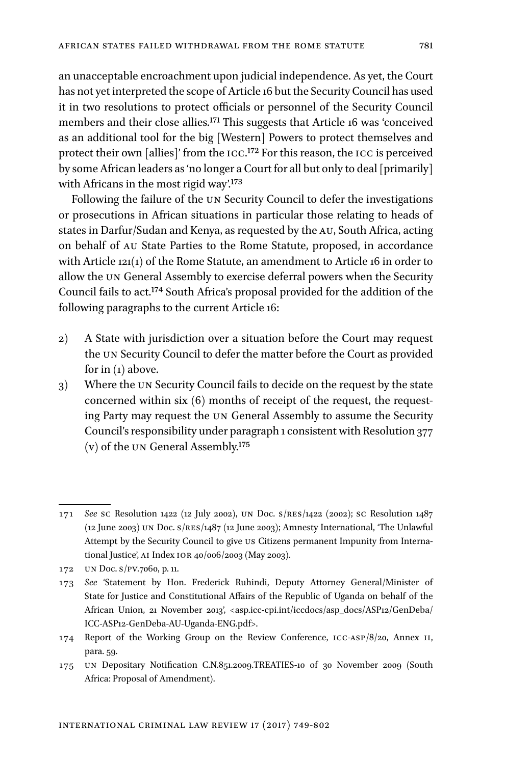an unacceptable encroachment upon judicial independence. As yet, the Court has not yet interpreted the scope of Article 16 but the Security Council has used it in two resolutions to protect officials or personnel of the Security Council members and their close allies.171 This suggests that Article 16 was 'conceived as an additional tool for the big [Western] Powers to protect themselves and protect their own [allies]' from the ICC.<sup>172</sup> For this reason, the ICC is perceived by some African leaders as 'no longer a Court for all but only to deal [primarily] with Africans in the most rigid way'.<sup>173</sup>

Following the failure of the un Security Council to defer the investigations or prosecutions in African situations in particular those relating to heads of states in Darfur/Sudan and Kenya, as requested by the au, South Africa, acting on behalf of au State Parties to the Rome Statute, proposed, in accordance with Article 121(1) of the Rome Statute, an amendment to Article 16 in order to allow the un General Assembly to exercise deferral powers when the Security Council fails to act.174 South Africa's proposal provided for the addition of the following paragraphs to the current Article 16:

- 2) A State with jurisdiction over a situation before the Court may request the un Security Council to defer the matter before the Court as provided for in (1) above.
- 3) Where the un Security Council fails to decide on the request by the state concerned within six (6) months of receipt of the request, the requesting Party may request the un General Assembly to assume the Security Council's responsibility under paragraph 1 consistent with Resolution 377 (v) of the un General Assembly.175

<sup>171</sup> *See* sc Resolution 1422 (12 July 2002), un Doc. s/res/1422 (2002); sc Resolution 1487 (12 June 2003) un Doc. s/res/1487 (12 June 2003); Amnesty International, 'The Unlawful Attempt by the Security Council to give us Citizens permanent Impunity from International Justice', ai Index ior 40/006/2003 (May 2003).

<sup>172</sup> un Doc. s/pv.7060, p. 11.

<sup>173</sup> *See* 'Statement by Hon. Frederick Ruhindi, Deputy Attorney General/Minister of State for Justice and Constitutional Affairs of the Republic of Uganda on behalf of the African Union, 21 November 2013', <[asp.icc-cpi.int/iccdocs/asp\\_docs/ASP12/GenDeba/](http://asp.icc-cpi.int/iccdocs/asp_docs/ASP12/GenDeba/ICC-ASP12-GenDeba-AU-Uganda-ENG.pdf) [ICC-ASP12-GenDeba-AU-Uganda-ENG.pdf](http://asp.icc-cpi.int/iccdocs/asp_docs/ASP12/GenDeba/ICC-ASP12-GenDeba-AU-Uganda-ENG.pdf)>.

<sup>174</sup> Report of the Working Group on the Review Conference, icc-asp/8/20, Annex ii, para. 59.

<sup>175</sup> un Depositary Notification C.N.851.2009.TREATIES-10 of 30 November 2009 (South Africa: Proposal of Amendment).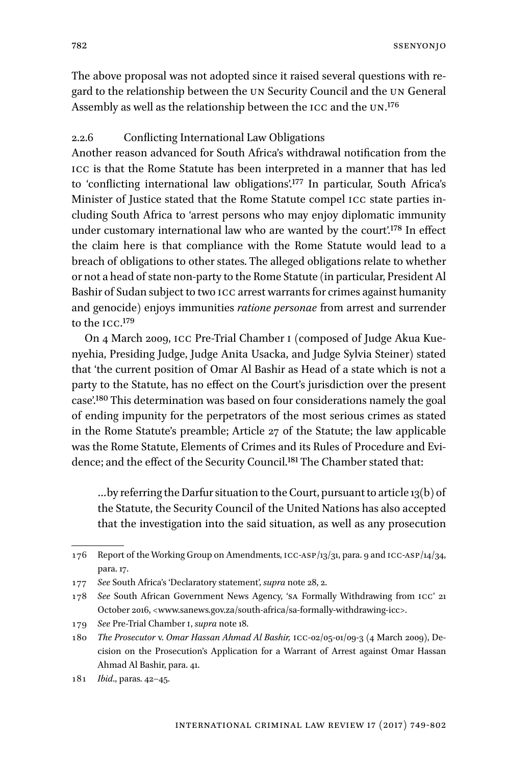The above proposal was not adopted since it raised several questions with regard to the relationship between the un Security Council and the un General Assembly as well as the relationship between the ICC and the UN.<sup>176</sup>

## 2.2.6 Conflicting International Law Obligations

Another reason advanced for South Africa's withdrawal notification from the icc is that the Rome Statute has been interpreted in a manner that has led to 'conflicting international law obligations'.177 In particular, South Africa's Minister of Justice stated that the Rome Statute compel icc state parties including South Africa to 'arrest persons who may enjoy diplomatic immunity under customary international law who are wanted by the court'.<sup>178</sup> In effect the claim here is that compliance with the Rome Statute would lead to a breach of obligations to other states. The alleged obligations relate to whether or not a head of state non-party to the Rome Statute (in particular, President Al Bashir of Sudan subject to two icc arrest warrants for crimes against humanity and genocide) enjoys immunities *ratione personae* from arrest and surrender to the icc.179

On 4 March 2009, icc Pre-Trial Chamber i (composed of Judge Akua Kuenyehia, Presiding Judge, Judge Anita Usacka, and Judge Sylvia Steiner) stated that 'the current position of Omar Al Bashir as Head of a state which is not a party to the Statute, has no effect on the Court's jurisdiction over the present case'.180 This determination was based on four considerations namely the goal of ending impunity for the perpetrators of the most serious crimes as stated in the Rome Statute's preamble; Article 27 of the Statute; the law applicable was the Rome Statute, Elements of Crimes and its Rules of Procedure and Evidence; and the effect of the Security Council.<sup>181</sup> The Chamber stated that:

…by referring the Darfur situation to the Court, pursuant to article 13(b) of the Statute, the Security Council of the United Nations has also accepted that the investigation into the said situation, as well as any prosecution

 $176$  Report of the Working Group on Amendments, ICC-ASP/13/31, para. 9 and ICC-ASP/14/34, para. 17.

<sup>177</sup> *See* South Africa's 'Declaratory statement', *supra* note 28, 2.

<sup>178</sup> *See* South African Government News Agency, 'sa Formally Withdrawing from icc' 21 October 2016, <[www.sanews.gov.za/south-africa/sa-formally-withdrawing-icc](http://www.sanews.gov.za/south-africa/sa-formally-withdrawing-icc)>.

<sup>179</sup> *See* Pre-Trial Chamber i, *supra* note 18.

<sup>180</sup> *The Prosecutor* v. *Omar Hassan Ahmad Al Bashir,* icc-02/05-01/09-3 (4 March 2009), Decision on the Prosecution's Application for a Warrant of Arrest against Omar Hassan Ahmad Al Bashir, para. 41.

<sup>181</sup> *Ibid*., paras. 42–45.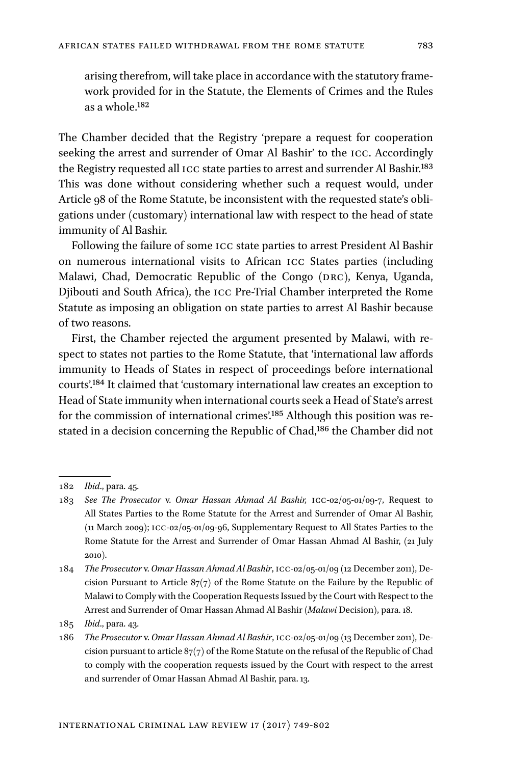arising therefrom, will take place in accordance with the statutory framework provided for in the Statute, the Elements of Crimes and the Rules as a whole.182

The Chamber decided that the Registry 'prepare a request for cooperation seeking the arrest and surrender of Omar Al Bashir' to the icc. Accordingly the Registry requested all ICC state parties to arrest and surrender Al Bashir.<sup>183</sup> This was done without considering whether such a request would, under Article 98 of the Rome Statute, be inconsistent with the requested state's obligations under (customary) international law with respect to the head of state immunity of Al Bashir.

Following the failure of some icc state parties to arrest President Al Bashir on numerous international visits to African icc States parties (including Malawi, Chad, Democratic Republic of the Congo (DRC), Kenya, Uganda, Djibouti and South Africa), the icc Pre-Trial Chamber interpreted the Rome Statute as imposing an obligation on state parties to arrest Al Bashir because of two reasons.

First, the Chamber rejected the argument presented by Malawi, with respect to states not parties to the Rome Statute, that 'international law affords immunity to Heads of States in respect of proceedings before international courts'.184 It claimed that 'customary international law creates an exception to Head of State immunity when international courts seek a Head of State's arrest for the commission of international crimes'.185 Although this position was restated in a decision concerning the Republic of Chad,<sup>186</sup> the Chamber did not

<sup>182</sup> *Ibid*., para. 45.

<sup>183</sup> *See The Prosecutor* v. *Omar Hassan Ahmad Al Bashir,* icc-02/05-01/09-7, Request to All States Parties to the Rome Statute for the Arrest and Surrender of Omar Al Bashir, (11 March 2009); icc-02/05-01/09-96, Supplementary Request to All States Parties to the Rome Statute for the Arrest and Surrender of Omar Hassan Ahmad Al Bashir, (21 July 2010).

<sup>184</sup> *The Prosecutor* v. *Omar Hassan Ahmad Al Bashir*, icc-02/05-01/09 (12 December 2011), Decision Pursuant to Article  $87(7)$  of the Rome Statute on the Failure by the Republic of Malawi to Comply with the Cooperation Requests Issued by the Court with Respect to the Arrest and Surrender of Omar Hassan Ahmad Al Bashir (*Malawi* Decision), para. 18.

<sup>185</sup> *Ibid*., para. 43.

<sup>186</sup> *The Prosecutor* v. *Omar Hassan Ahmad Al Bashir*, icc-02/05-01/09 (13 December 2011), Decision pursuant to article  $87(7)$  of the Rome Statute on the refusal of the Republic of Chad to comply with the cooperation requests issued by the Court with respect to the arrest and surrender of Omar Hassan Ahmad Al Bashir, para. 13.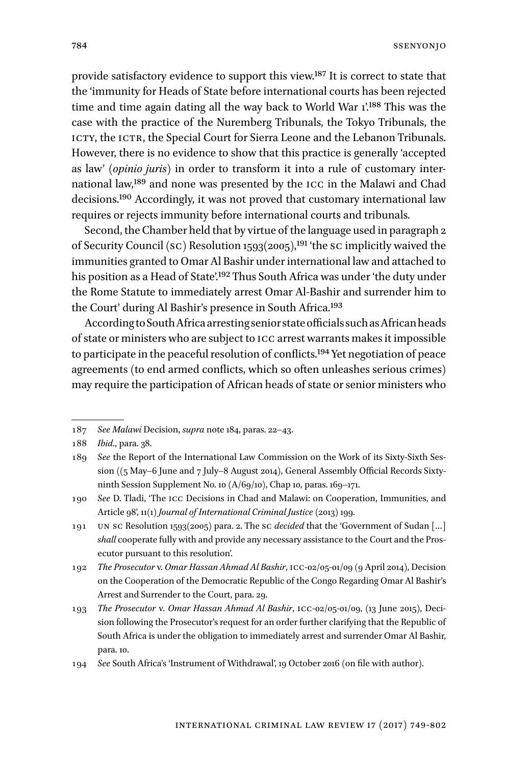provide satisfactory evidence to support this view.187 It is correct to state that the 'immunity for Heads of State before international courts has been rejected time and time again dating all the way back to World War 1'.<sup>188</sup> This was the case with the practice of the Nuremberg Tribunals, the Tokyo Tribunals, the ICTY, the ICTR, the Special Court for Sierra Leone and the Lebanon Tribunals. However, there is no evidence to show that this practice is generally 'accepted as law' (*opinio juris*) in order to transform it into a rule of customary international law,189 and none was presented by the icc in the Malawi and Chad decisions.190 Accordingly, it was not proved that customary international law requires or rejects immunity before international courts and tribunals.

Second, the Chamber held that by virtue of the language used in paragraph 2 of Security Council (sc) Resolution 1593(2005),<sup>191</sup> 'the sc implicitly waived the immunities granted to Omar Al Bashir under international law and attached to his position as a Head of State'.<sup>192</sup> Thus South Africa was under 'the duty under the Rome Statute to immediately arrest Omar Al-Bashir and surrender him to the Court' during Al Bashir's presence in South Africa.193

According to South Africa arresting senior state officials such as African heads of state or ministers who are subject to icc arrest warrants makes it impossible to participate in the peaceful resolution of conflicts.<sup>194</sup> Yet negotiation of peace agreements (to end armed conflicts, which so often unleashes serious crimes) may require the participation of African heads of state or senior ministers who

<sup>187</sup> *See Malawi* Decision, *supra* note 184, paras. 22–43.

<sup>188</sup> *Ibid*., para. 38.

<sup>189</sup> *See* the Report of the International Law Commission on the Work of its Sixty-Sixth Session ((5 May–6 June and 7 July–8 August 2014), General Assembly Official Records Sixtyninth Session Supplement No. 10 (A/69/10), Chap 10, paras. 169–171.

<sup>190</sup> *See* D. Tladi, 'The icc Decisions in Chad and Malawi: on Cooperation, Immunities, and Article 98', 11(1) *Journal of International Criminal Justice* (2013) 199.

<sup>191</sup> un sc Resolution 1593(2005) para. 2. The sc *decided* that the 'Government of Sudan […] *shall* cooperate fully with and provide any necessary assistance to the Court and the Prosecutor pursuant to this resolution'.

<sup>192</sup> *The Prosecutor* v. *Omar Hassan Ahmad Al Bashir*, icc-02/05-01/09 (9 April 2014), Decision on the Cooperation of the Democratic Republic of the Congo Regarding Omar Al Bashir's Arrest and Surrender to the Court, para. 29.

<sup>193</sup> *The Prosecutor* v*. Omar Hassan Ahmad Al Bashir*, icc-02/05-01/09, (13 June 2015), Decision following the Prosecutor's request for an order further clarifying that the Republic of South Africa is under the obligation to immediately arrest and surrender Omar Al Bashir, para. 10.

<sup>194</sup> *See* South Africa's 'Instrument of Withdrawal', 19 October 2016 (on file with author).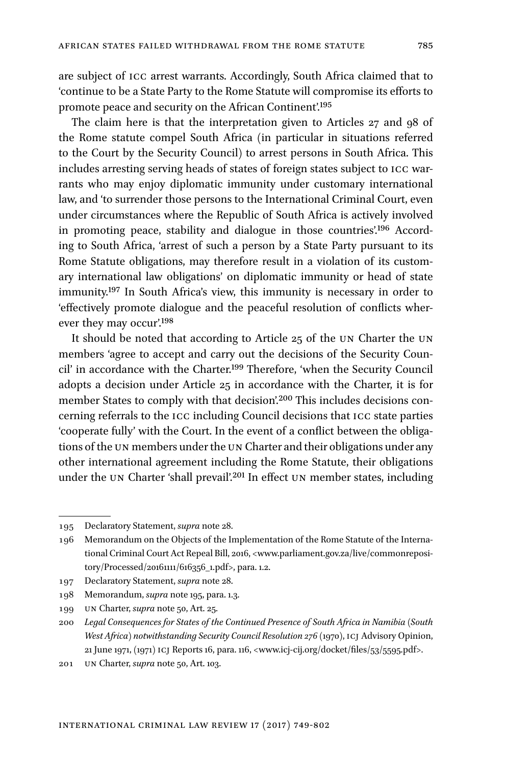are subject of icc arrest warrants. Accordingly, South Africa claimed that to 'continue to be a State Party to the Rome Statute will compromise its efforts to promote peace and security on the African Continent'.195

The claim here is that the interpretation given to Articles 27 and 98 of the Rome statute compel South Africa (in particular in situations referred to the Court by the Security Council) to arrest persons in South Africa. This includes arresting serving heads of states of foreign states subject to icc warrants who may enjoy diplomatic immunity under customary international law, and 'to surrender those persons to the International Criminal Court, even under circumstances where the Republic of South Africa is actively involved in promoting peace, stability and dialogue in those countries'.196 According to South Africa, 'arrest of such a person by a State Party pursuant to its Rome Statute obligations, may therefore result in a violation of its customary international law obligations' on diplomatic immunity or head of state immunity.197 In South Africa's view, this immunity is necessary in order to 'effectively promote dialogue and the peaceful resolution of conflicts wherever they may occur'.198

It should be noted that according to Article 25 of the un Charter the un members 'agree to accept and carry out the decisions of the Security Council' in accordance with the Charter.199 Therefore, 'when the Security Council adopts a decision under Article 25 in accordance with the Charter, it is for member States to comply with that decision'.<sup>200</sup> This includes decisions concerning referrals to the icc including Council decisions that icc state parties 'cooperate fully' with the Court. In the event of a conflict between the obligations of the un members under the un Charter and their obligations under any other international agreement including the Rome Statute, their obligations under the UN Charter 'shall prevail'.<sup>201</sup> In effect UN member states, including

<sup>195</sup> Declaratory Statement, *supra* note 28.

<sup>196</sup> Memorandum on the Objects of the Implementation of the Rome Statute of the International Criminal Court Act Repeal Bill, 2016, [<www.parliament.gov.za/live/commonreposi](http://www.parliament.gov.za/live/commonrepository/Processed/20161111/616356_1.pdf)[tory/Processed/20161111/616356\\_1.pdf>](http://www.parliament.gov.za/live/commonrepository/Processed/20161111/616356_1.pdf), para. 1.2.

<sup>197</sup> Declaratory Statement, *supra* note 28.

<sup>198</sup> Memorandum, *supra* note 195, para. 1.3.

<sup>199</sup> un Charter, *supra* note 50, Art. 25.

<sup>200</sup> *Legal Consequences for States of the Continued Presence of South Africa in Namibia (South West Africa) notwithstanding Security Council Resolution 276* (1970), icj Advisory Opinion, 21 June 1971, (1971) icj Reports 16, para. 116, [<www.icj-cij.org/docket/files/53/5595.pdf](http://www.icj-cij.org/docket/files/53/5595.pdf)>.

<sup>201</sup> un Charter, *supra* note 50, Art. 103.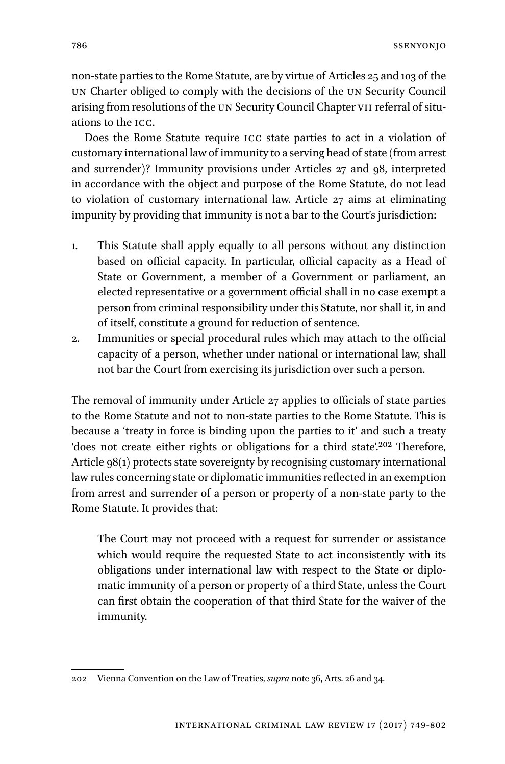non-state parties to the Rome Statute, are by virtue of Articles 25 and 103 of the un Charter obliged to comply with the decisions of the un Security Council arising from resolutions of the UN Security Council Chapter VII referral of situations to the icc.

Does the Rome Statute require icc state parties to act in a violation of customary international law of immunity to a serving head of state (from arrest and surrender)? Immunity provisions under Articles 27 and 98, interpreted in accordance with the object and purpose of the Rome Statute, do not lead to violation of customary international law. Article 27 aims at eliminating impunity by providing that immunity is not a bar to the Court's jurisdiction:

- 1. This Statute shall apply equally to all persons without any distinction based on official capacity. In particular, official capacity as a Head of State or Government, a member of a Government or parliament, an elected representative or a government official shall in no case exempt a person from criminal responsibility under this Statute, nor shall it, in and of itself, constitute a ground for reduction of sentence.
- 2. Immunities or special procedural rules which may attach to the official capacity of a person, whether under national or international law, shall not bar the Court from exercising its jurisdiction over such a person.

The removal of immunity under Article 27 applies to officials of state parties to the Rome Statute and not to non-state parties to the Rome Statute. This is because a 'treaty in force is binding upon the parties to it' and such a treaty 'does not create either rights or obligations for a third state'.<sup>202</sup> Therefore, Article 98(1) protects state sovereignty by recognising customary international law rules concerning state or diplomatic immunities reflected in an exemption from arrest and surrender of a person or property of a non-state party to the Rome Statute. It provides that:

The Court may not proceed with a request for surrender or assistance which would require the requested State to act inconsistently with its obligations under international law with respect to the State or diplomatic immunity of a person or property of a third State, unless the Court can first obtain the cooperation of that third State for the waiver of the immunity.

<sup>202</sup> Vienna Convention on the Law of Treaties, *supra* note 36, Arts. 26 and 34.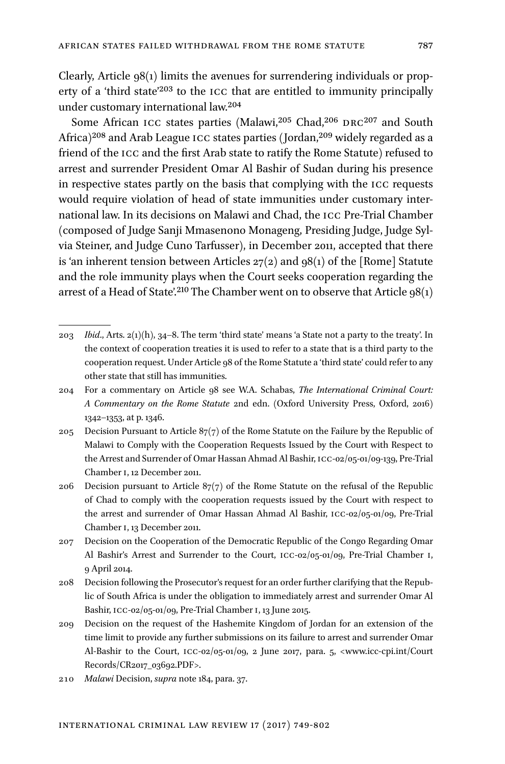Clearly, Article 98(1) limits the avenues for surrendering individuals or property of a 'third state'<sup>203</sup> to the ICC that are entitled to immunity principally under customary international law.204

Some African ICC states parties (Malawi, $205$  Chad, $206$  DRC $207$  and South Africa)<sup>208</sup> and Arab League ICC states parties (Jordan,<sup>209</sup> widely regarded as a friend of the icc and the first Arab state to ratify the Rome Statute) refused to arrest and surrender President Omar Al Bashir of Sudan during his presence in respective states partly on the basis that complying with the icc requests would require violation of head of state immunities under customary international law. In its decisions on Malawi and Chad, the icc Pre-Trial Chamber (composed of Judge Sanji Mmasenono Monageng, Presiding Judge, Judge Sylvia Steiner, and Judge Cuno Tarfusser), in December 2011, accepted that there is 'an inherent tension between Articles  $27(2)$  and  $98(1)$  of the [Rome] Statute and the role immunity plays when the Court seeks cooperation regarding the arrest of a Head of State'.<sup>210</sup> The Chamber went on to observe that Article  $98(1)$ 

- 204 For a commentary on Article 98 see W.A. Schabas, *The International Criminal Court: A Commentary on the Rome Statute* 2nd edn. (Oxford University Press, Oxford, 2016) 1342–1353, at p. 1346.
- 205 Decision Pursuant to Article  $87(7)$  of the Rome Statute on the Failure by the Republic of Malawi to Comply with the Cooperation Requests Issued by the Court with Respect to the Arrest and Surrender of Omar Hassan Ahmad Al Bashir, icc-02/05-01/09-139, Pre-Trial Chamber i, 12 December 2011.
- 206 Decision pursuant to Article  $87(7)$  of the Rome Statute on the refusal of the Republic of Chad to comply with the cooperation requests issued by the Court with respect to the arrest and surrender of Omar Hassan Ahmad Al Bashir, icc-02/05-01/09, Pre-Trial Chamber i, 13 December 2011.
- 207 Decision on the Cooperation of the Democratic Republic of the Congo Regarding Omar Al Bashir's Arrest and Surrender to the Court, icc-02/05-01/09, Pre-Trial Chamber i, 9 April 2014.
- 208 Decision following the Prosecutor's request for an order further clarifying that the Republic of South Africa is under the obligation to immediately arrest and surrender Omar Al Bashir, ICC-02/05-01/09, Pre-Trial Chamber I, 13 June 2015.
- 209 Decision on the request of the Hashemite Kingdom of Jordan for an extension of the time limit to provide any further submissions on its failure to arrest and surrender Omar Al-Bashir to the Court, icc-02/05-01/09, 2 June 2017, para. 5, <[www.icc-cpi.int/Court](http://www.icc-cpi.int/CourtRecords/CR2017_03692.PDF) [Records/CR2017\\_03692.PDF>](http://www.icc-cpi.int/CourtRecords/CR2017_03692.PDF).
- 210 *Malawi* Decision, *supra* note 184, para. 37.

<sup>203</sup> *Ibid*., Arts. 2(1)(h), 34–8. The term 'third state' means 'a State not a party to the treaty'. In the context of cooperation treaties it is used to refer to a state that is a third party to the cooperation request. Under Article 98 of the Rome Statute a 'third state' could refer to any other state that still has immunities.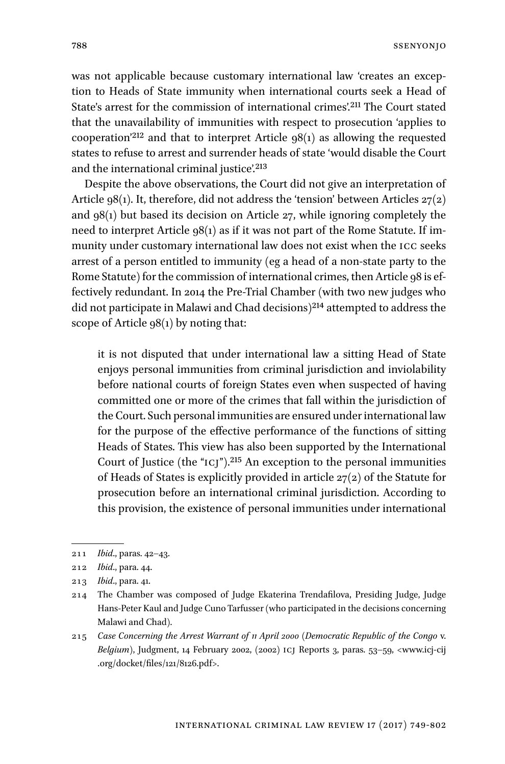was not applicable because customary international law 'creates an exception to Heads of State immunity when international courts seek a Head of State's arrest for the commission of international crimes'.211 The Court stated that the unavailability of immunities with respect to prosecution 'applies to cooperation'<sup>212</sup> and that to interpret Article  $98(1)$  as allowing the requested states to refuse to arrest and surrender heads of state 'would disable the Court and the international criminal justice'.<sup>213</sup>

Despite the above observations, the Court did not give an interpretation of Article  $98(1)$ . It, therefore, did not address the 'tension' between Articles  $27(2)$ and  $98(1)$  but based its decision on Article 27, while ignoring completely the need to interpret Article 98(1) as if it was not part of the Rome Statute. If immunity under customary international law does not exist when the icc seeks arrest of a person entitled to immunity (eg a head of a non-state party to the Rome Statute) for the commission of international crimes, then Article 98 is effectively redundant. In 2014 the Pre-Trial Chamber (with two new judges who did not participate in Malawi and Chad decisions)<sup>214</sup> attempted to address the scope of Article  $98(1)$  by noting that:

it is not disputed that under international law a sitting Head of State enjoys personal immunities from criminal jurisdiction and inviolability before national courts of foreign States even when suspected of having committed one or more of the crimes that fall within the jurisdiction of the Court. Such personal immunities are ensured under international law for the purpose of the effective performance of the functions of sitting Heads of States. This view has also been supported by the International Court of Justice (the "icj").215 An exception to the personal immunities of Heads of States is explicitly provided in article 27(2) of the Statute for prosecution before an international criminal jurisdiction. According to this provision, the existence of personal immunities under international

<sup>211</sup> *Ibid*., paras. 42–43.

<sup>212</sup> *Ibid*., para. 44.

<sup>213</sup> *Ibid*., para. 41.

<sup>214</sup> The Chamber was composed of Judge Ekaterina Trendafilova, Presiding Judge, Judge Hans-Peter Kaul and Judge Cuno Tarfusser (who participated in the decisions concerning Malawi and Chad).

<sup>215</sup> *Case Concerning the Arrest Warrant of 11 April 2000* (*Democratic Republic of the Congo* v. *Belgium*), Judgment, 14 February 2002, (2002) icj Reports 3, paras. 53–59, [<www.icj-cij](http://www.icj-cij.org/docket/files/121/8126.pdf) [.org/docket/files/121/8126.pdf>](http://www.icj-cij.org/docket/files/121/8126.pdf).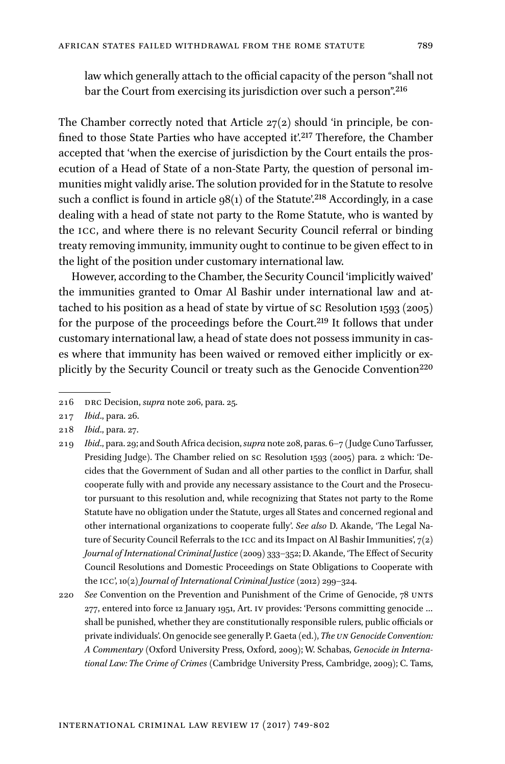law which generally attach to the official capacity of the person "shall not bar the Court from exercising its jurisdiction over such a person".<sup>216</sup>

The Chamber correctly noted that Article  $27(2)$  should 'in principle, be confined to those State Parties who have accepted it'.<sup>217</sup> Therefore, the Chamber accepted that 'when the exercise of jurisdiction by the Court entails the prosecution of a Head of State of a non-State Party, the question of personal immunities might validly arise. The solution provided for in the Statute to resolve such a conflict is found in article  $98(1)$  of the Statute'.<sup>218</sup> Accordingly, in a case dealing with a head of state not party to the Rome Statute, who is wanted by the icc, and where there is no relevant Security Council referral or binding treaty removing immunity, immunity ought to continue to be given effect to in the light of the position under customary international law.

However, according to the Chamber, the Security Council 'implicitly waived' the immunities granted to Omar Al Bashir under international law and attached to his position as a head of state by virtue of sc Resolution 1593 (2005) for the purpose of the proceedings before the Court.219 It follows that under customary international law, a head of state does not possess immunity in cases where that immunity has been waived or removed either implicitly or explicitly by the Security Council or treaty such as the Genocide Convention<sup>220</sup>

- 219 *Ibid*., para. 29; and South Africa decision, *supra* note 208, paras. 6–7 (Judge Cuno Tarfusser, Presiding Judge). The Chamber relied on sc Resolution 1593 (2005) para. 2 which: 'Decides that the Government of Sudan and all other parties to the conflict in Darfur, shall cooperate fully with and provide any necessary assistance to the Court and the Prosecutor pursuant to this resolution and, while recognizing that States not party to the Rome Statute have no obligation under the Statute, urges all States and concerned regional and other international organizations to cooperate fully'. *See also* D. Akande, 'The Legal Nature of Security Council Referrals to the icc and its Impact on Al Bashir Immunities', 7(2) *Journal of International Criminal Justice* (2009) 333–352; D. Akande, 'The Effect of Security Council Resolutions and Domestic Proceedings on State Obligations to Cooperate with the icc', 10(2) *Journal of International Criminal Justice* (2012) 299–324.
- 220 *See* Convention on the Prevention and Punishment of the Crime of Genocide, 78 unts 277, entered into force 12 January 1951, Art. iv provides: 'Persons committing genocide … shall be punished, whether they are constitutionally responsible rulers, public officials or private individuals'. On genocide see generally P. Gaeta (ed.), *The un Genocide Convention: A Commentary* (Oxford University Press, Oxford, 2009); W. Schabas, *Genocide in International Law: The Crime of Crimes* (Cambridge University Press, Cambridge, 2009); C. Tams,

<sup>216</sup> drc Decision, *supra* note 206, para. 25.

<sup>217</sup> *Ibid*., para. 26.

<sup>218</sup> *Ibid*., para. 27.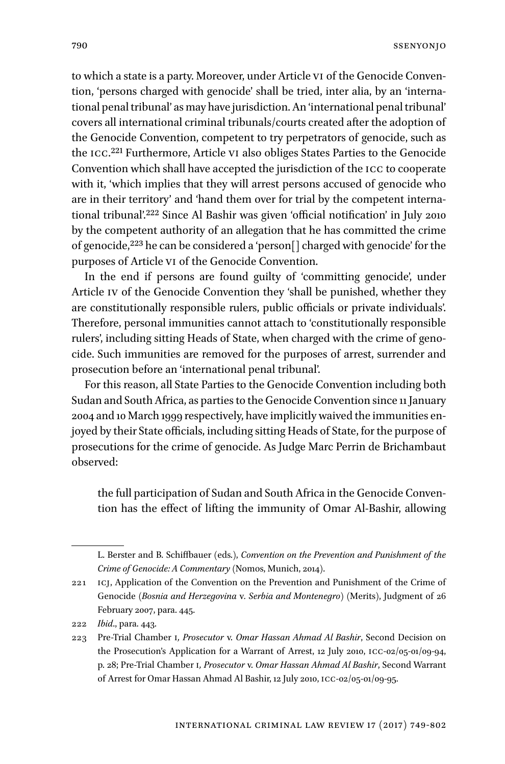to which a state is a party. Moreover, under Article vi of the Genocide Convention, 'persons charged with genocide' shall be tried, inter alia, by an 'international penal tribunal' as may have jurisdiction. An 'international penal tribunal' covers all international criminal tribunals/courts created after the adoption of the Genocide Convention, competent to try perpetrators of genocide, such as the icc.221 Furthermore, Article vi also obliges States Parties to the Genocide Convention which shall have accepted the jurisdiction of the icc to cooperate with it, 'which implies that they will arrest persons accused of genocide who are in their territory' and 'hand them over for trial by the competent international tribunal'.222 Since Al Bashir was given 'official notification' in July 2010 by the competent authority of an allegation that he has committed the crime of genocide,223 he can be considered a 'person[] charged with genocide' for the purposes of Article vi of the Genocide Convention.

In the end if persons are found guilty of 'committing genocide', under Article iv of the Genocide Convention they 'shall be punished, whether they are constitutionally responsible rulers, public officials or private individuals'. Therefore, personal immunities cannot attach to 'constitutionally responsible rulers', including sitting Heads of State, when charged with the crime of genocide. Such immunities are removed for the purposes of arrest, surrender and prosecution before an 'international penal tribunal'.

For this reason, all State Parties to the Genocide Convention including both Sudan and South Africa, as parties to the Genocide Convention since 11 January 2004 and 10 March 1999 respectively, have implicitly waived the immunities enjoyed by their State officials, including sitting Heads of State, for the purpose of prosecutions for the crime of genocide. As Judge Marc Perrin de Brichambaut observed:

the full participation of Sudan and South Africa in the Genocide Convention has the effect of lifting the immunity of Omar Al-Bashir, allowing

L. Berster and B. Schiffbauer (eds.), *Convention on the Prevention and Punishment of the Crime of Genocide: A Commentary* (Nomos, Munich, 2014).

<sup>221</sup> icj, Application of the Convention on the Prevention and Punishment of the Crime of Genocide (*Bosnia and Herzegovina* v*. Serbia and Montenegro*) (Merits), Judgment of 26 February 2007, para. 445.

<sup>222</sup> *Ibid*., para. 443.

<sup>223</sup> Pre-Trial Chamber i*, Prosecutor* v. *Omar Hassan Ahmad Al Bashir*, Second Decision on the Prosecution's Application for a Warrant of Arrest, 12 July 2010, icc-02/05-01/09-94, p. 28; Pre-Trial Chamber i*, Prosecutor* v. *Omar Hassan Ahmad Al Bashir*, Second Warrant of Arrest for Omar Hassan Ahmad Al Bashir, 12 July 2010, icc-02/05-01/09-95.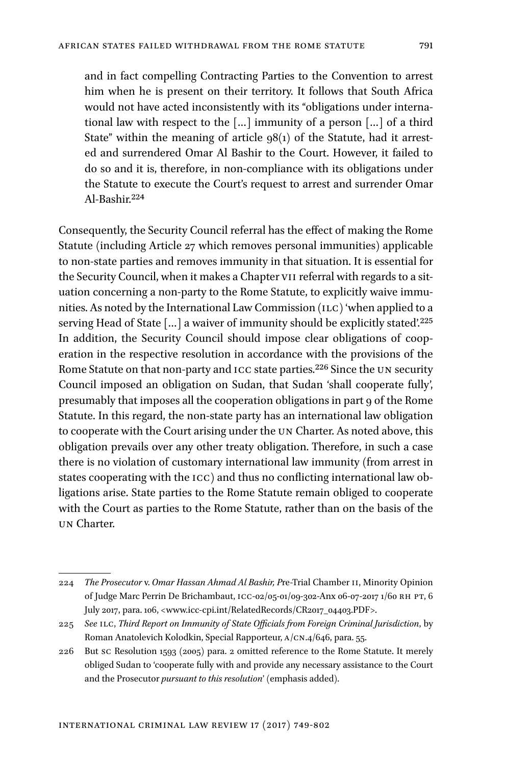and in fact compelling Contracting Parties to the Convention to arrest him when he is present on their territory. It follows that South Africa would not have acted inconsistently with its "obligations under international law with respect to the […] immunity of a person […] of a third State" within the meaning of article  $98(1)$  of the Statute, had it arrested and surrendered Omar Al Bashir to the Court. However, it failed to do so and it is, therefore, in non-compliance with its obligations under the Statute to execute the Court's request to arrest and surrender Omar Al-Bashir.224

Consequently, the Security Council referral has the effect of making the Rome Statute (including Article 27 which removes personal immunities) applicable to non-state parties and removes immunity in that situation. It is essential for the Security Council, when it makes a Chapter VII referral with regards to a situation concerning a non-party to the Rome Statute, to explicitly waive immunities. As noted by the International Law Commission (ILC) 'when applied to a serving Head of State [...] a waiver of immunity should be explicitly stated'.<sup>225</sup> In addition, the Security Council should impose clear obligations of cooperation in the respective resolution in accordance with the provisions of the Rome Statute on that non-party and ICC state parties.<sup>226</sup> Since the UN security Council imposed an obligation on Sudan, that Sudan 'shall cooperate fully', presumably that imposes all the cooperation obligations in part 9 of the Rome Statute. In this regard, the non-state party has an international law obligation to cooperate with the Court arising under the un Charter. As noted above, this obligation prevails over any other treaty obligation. Therefore, in such a case there is no violation of customary international law immunity (from arrest in states cooperating with the icc) and thus no conflicting international law obligations arise. State parties to the Rome Statute remain obliged to cooperate with the Court as parties to the Rome Statute, rather than on the basis of the un Charter.

<sup>224</sup> *The Prosecutor* v. *Omar Hassan Ahmad Al Bashir, P*re-Trial Chamber ii, Minority Opinion of Judge Marc Perrin De Brichambaut, ICC-02/05-01/09-302-Anx 06-07-2017 1/60 RH PT, 6 July 2017, para. 106, [<www.icc-cpi.int/RelatedRecords/CR2017\\_04403.PDF](http://www.icc-cpi.int/RelatedRecords/CR2017_04403.PDF)>.

<sup>225</sup> *See* ilc, *Third Report on Immunity of State Officials from Foreign Criminal Jurisdiction*, by Roman Anatolevich Kolodkin, Special Rapporteur, A/CN.4/646, para. 55.

<sup>226</sup> But sc Resolution 1593 (2005) para. 2 omitted reference to the Rome Statute. It merely obliged Sudan to 'cooperate fully with and provide any necessary assistance to the Court and the Prosecutor *pursuant to this resolution*' (emphasis added).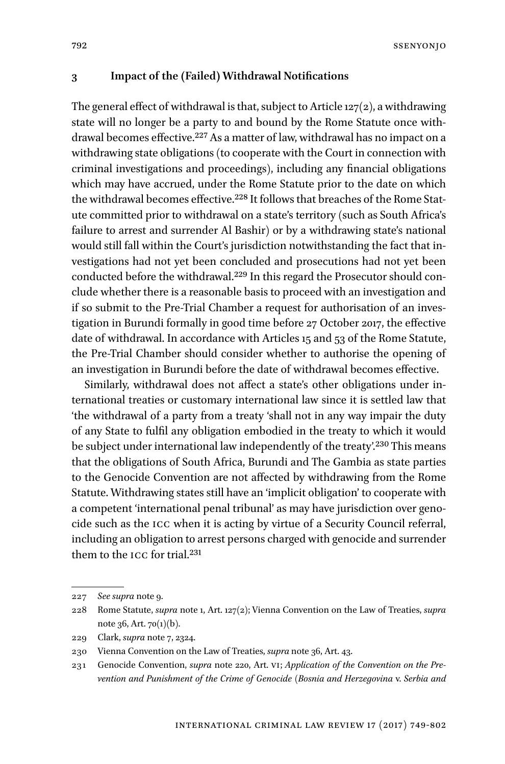#### **3 Impact of the (Failed) Withdrawal Notifications**

The general effect of withdrawal is that, subject to Article  $127(2)$ , a withdrawing state will no longer be a party to and bound by the Rome Statute once withdrawal becomes effective.227 As a matter of law, withdrawal has no impact on a withdrawing state obligations (to cooperate with the Court in connection with criminal investigations and proceedings), including any financial obligations which may have accrued, under the Rome Statute prior to the date on which the withdrawal becomes effective.<sup>228</sup> It follows that breaches of the Rome Statute committed prior to withdrawal on a state's territory (such as South Africa's failure to arrest and surrender Al Bashir) or by a withdrawing state's national would still fall within the Court's jurisdiction notwithstanding the fact that investigations had not yet been concluded and prosecutions had not yet been conducted before the withdrawal.<sup>229</sup> In this regard the Prosecutor should conclude whether there is a reasonable basis to proceed with an investigation and if so submit to the Pre-Trial Chamber a request for authorisation of an investigation in Burundi formally in good time before 27 October 2017, the effective date of withdrawal. In accordance with Articles 15 and 53 of the Rome Statute, the Pre-Trial Chamber should consider whether to authorise the opening of an investigation in Burundi before the date of withdrawal becomes effective.

Similarly, withdrawal does not affect a state's other obligations under international treaties or customary international law since it is settled law that 'the withdrawal of a party from a treaty 'shall not in any way impair the duty of any State to fulfil any obligation embodied in the treaty to which it would be subject under international law independently of the treaty'.<sup>230</sup> This means that the obligations of South Africa, Burundi and The Gambia as state parties to the Genocide Convention are not affected by withdrawing from the Rome Statute. Withdrawing states still have an 'implicit obligation' to cooperate with a competent 'international penal tribunal' as may have jurisdiction over genocide such as the icc when it is acting by virtue of a Security Council referral, including an obligation to arrest persons charged with genocide and surrender them to the ICC for trial.<sup>231</sup>

<sup>227</sup> *See supra* note 9.

<sup>228</sup> Rome Statute, *supra* note 1, Art. 127(2); Vienna Convention on the Law of Treaties, *supra*  note 36, Art. 70(1)(b).

<sup>229</sup> Clark, *supra* note 7, 2324.

<sup>230</sup> Vienna Convention on the Law of Treaties, *supra* note 36, Art. 43.

<sup>231</sup> Genocide Convention, *supra* note 220, Art. vi; *Application of the Convention on the Prevention and Punishment of the Crime of Genocide* (*Bosnia and Herzegovina* v. *Serbia and*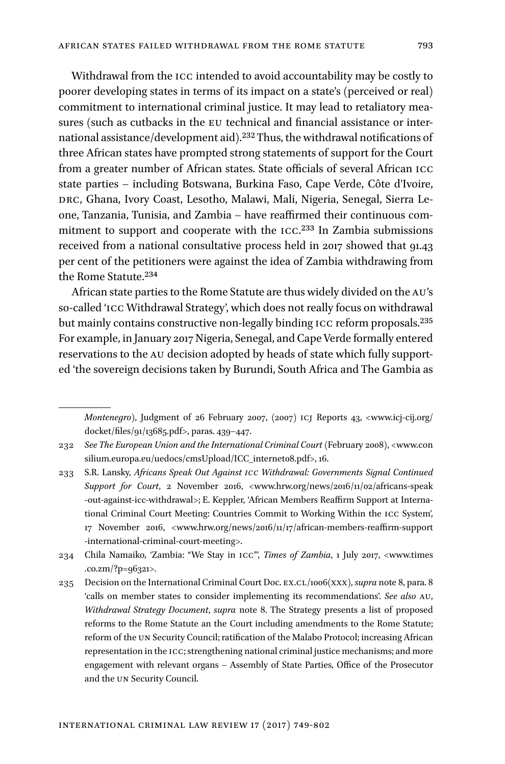Withdrawal from the icc intended to avoid accountability may be costly to poorer developing states in terms of its impact on a state's (perceived or real) commitment to international criminal justice. It may lead to retaliatory measures (such as cutbacks in the eu technical and financial assistance or international assistance/development aid).232 Thus, the withdrawal notifications of three African states have prompted strong statements of support for the Court from a greater number of African states. State officials of several African icc state parties – including Botswana, Burkina Faso, Cape Verde, Côte d'Ivoire, DRC, Ghana, Ivory Coast, Lesotho, Malawi, Mali, Nigeria, Senegal, Sierra Leone, Tanzania, Tunisia, and Zambia – have reaffirmed their continuous commitment to support and cooperate with the ICC.<sup>233</sup> In Zambia submissions received from a national consultative process held in 2017 showed that 91.43 per cent of the petitioners were against the idea of Zambia withdrawing from the Rome Statute.234

African state parties to the Rome Statute are thus widely divided on the au's so-called 'icc Withdrawal Strategy', which does not really focus on withdrawal but mainly contains constructive non-legally binding ICC reform proposals.<sup>235</sup> For example, in January 2017 Nigeria, Senegal, and Cape Verde formally entered reservations to the au decision adopted by heads of state which fully supported 'the sovereign decisions taken by Burundi, South Africa and The Gambia as

*Montenegro*), Judgment of 26 February 2007, (2007) icj Reports 43, <[www.icj-cij.org/](http://www.icj-cij.org/docket/files/91/13685.pdf) [docket/files/91/13685.pdf>](http://www.icj-cij.org/docket/files/91/13685.pdf), paras. 439–447.

<sup>232</sup> *See The European Union and the International Criminal Court* (February 2008), [<www.con](http://www.consilium.europa.eu/uedocs/cmsUpload/ICC_internet08.pdf) [silium.europa.eu/uedocs/cmsUpload/ICC\\_internet08.pdf>](http://www.consilium.europa.eu/uedocs/cmsUpload/ICC_internet08.pdf), 16.

<sup>233</sup> S.R. Lansky, *Africans Speak Out Against icc Withdrawal: Governments Signal Continued Support for Court*, 2 November 2016, [<www.hrw.org/news/2016/11/02/africans-speak](http://www.hrw.org/news/2016/11/02/africans-speak-out-against-icc-withdrawal) [-out-against-icc-withdrawal](http://www.hrw.org/news/2016/11/02/africans-speak-out-against-icc-withdrawal)>; E. Keppler, 'African Members Reaffirm Support at International Criminal Court Meeting: Countries Commit to Working Within the icc System', 17 November 2016, <[www.hrw.org/news/2016/11/17/african-members-reaffirm-support](http://www.hrw.org/news/2016/11/17/african-members-reaffirm-support-international-criminal-court-meeting) [-international-criminal-court-meeting>](http://www.hrw.org/news/2016/11/17/african-members-reaffirm-support-international-criminal-court-meeting).

<sup>234</sup> Chila Namaiko, 'Zambia: "We Stay in icc"', *Times of Zambia*, 1 July 2017, <[www.times](http://www.times.co.zm/?p=96321) [.co.zm/?p=96321>](http://www.times.co.zm/?p=96321).

<sup>235</sup> Decision on the International Criminal Court Doc. ex.cl/1006(xxx), *supra* note 8, para. 8 'calls on member states to consider implementing its recommendations'. *See also* au, *Withdrawal Strategy Document*, *supra* note 8. The Strategy presents a list of proposed reforms to the Rome Statute an the Court including amendments to the Rome Statute; reform of the un Security Council; ratification of the Malabo Protocol; increasing African representation in the icc; strengthening national criminal justice mechanisms; and more engagement with relevant organs – Assembly of State Parties, Office of the Prosecutor and the un Security Council.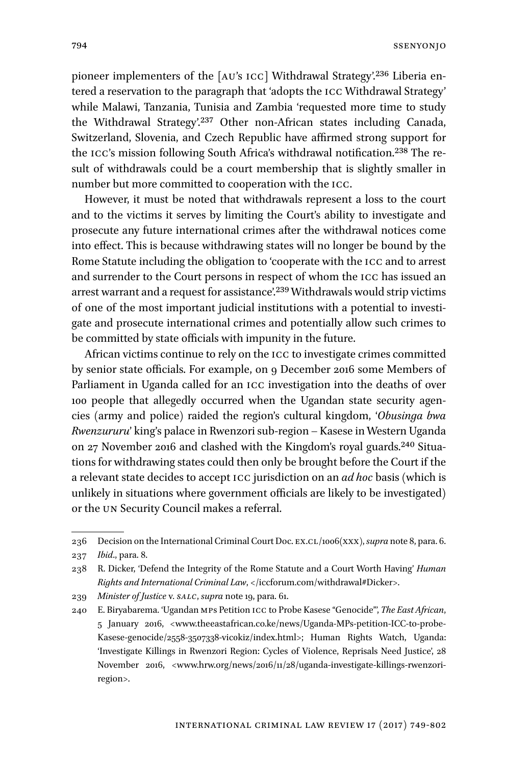pioneer implementers of the [AU's ICC] Withdrawal Strategy'.<sup>236</sup> Liberia entered a reservation to the paragraph that 'adopts the icc Withdrawal Strategy' while Malawi, Tanzania, Tunisia and Zambia 'requested more time to study the Withdrawal Strategy'.237 Other non-African states including Canada, Switzerland, Slovenia, and Czech Republic have affirmed strong support for the ICC's mission following South Africa's withdrawal notification.<sup>238</sup> The result of withdrawals could be a court membership that is slightly smaller in number but more committed to cooperation with the icc.

However, it must be noted that withdrawals represent a loss to the court and to the victims it serves by limiting the Court's ability to investigate and prosecute any future international crimes after the withdrawal notices come into effect. This is because withdrawing states will no longer be bound by the Rome Statute including the obligation to 'cooperate with the icc and to arrest and surrender to the Court persons in respect of whom the icc has issued an arrest warrant and a request for assistance'.<sup>239</sup> Withdrawals would strip victims of one of the most important judicial institutions with a potential to investigate and prosecute international crimes and potentially allow such crimes to be committed by state officials with impunity in the future.

African victims continue to rely on the icc to investigate crimes committed by senior state officials. For example, on 9 December 2016 some Members of Parliament in Uganda called for an icc investigation into the deaths of over 100 people that allegedly occurred when the Ugandan state security agencies (army and police) raided the region's cultural kingdom, '*Obusinga bwa Rwenzururu*' king's palace in Rwenzori sub-region – Kasese in Western Uganda on 27 November 2016 and clashed with the Kingdom's royal guards.240 Situations for withdrawing states could then only be brought before the Court if the a relevant state decides to accept icc jurisdiction on an *ad hoc* basis (which is unlikely in situations where government officials are likely to be investigated) or the un Security Council makes a referral.

<sup>236</sup> Decision on the International Criminal Court Doc. ex.cl/1006(xxx), *supra* note 8, para. 6. 237 *Ibid*., para. 8.

<sup>238</sup> R. Dicker, 'Defend the Integrity of the Rome Statute and a Court Worth Having' *Human Rights and International Criminal Law*, [</iccforum.com/withdrawal#Dicker>](http:///iccforum.com/withdrawal#Dicker).

<sup>239</sup> *Minister of Justice* v*. salc*, *supra* note 19, para. 61.

<sup>240</sup> E. Biryabarema. 'Ugandan mps Petition icc to Probe Kasese "Genocide"', *The East African*, 5 January 2016, <[www.theeastafrican.co.ke/news/Uganda-MPs-petition-ICC-to-probe-](http://www.theeastafrican.co.ke/news/Uganda-MPs-petition-ICC-to-probe-Kasese-genocide/2558-3507338-vic0kiz/index.html)[Kasese-genocide/2558-3507338-vic0kiz/index.html>](http://www.theeastafrican.co.ke/news/Uganda-MPs-petition-ICC-to-probe-Kasese-genocide/2558-3507338-vic0kiz/index.html); Human Rights Watch, Uganda: 'Investigate Killings in Rwenzori Region: Cycles of Violence, Reprisals Need Justice', 28 November 2016, <[www.hrw.org/news/2016/11/28/uganda-investigate-killings-rwenzori](http://www.hrw.org/news/2016/11/28/uganda-investigate-killings-rwenzori-region)[region>](http://www.hrw.org/news/2016/11/28/uganda-investigate-killings-rwenzori-region).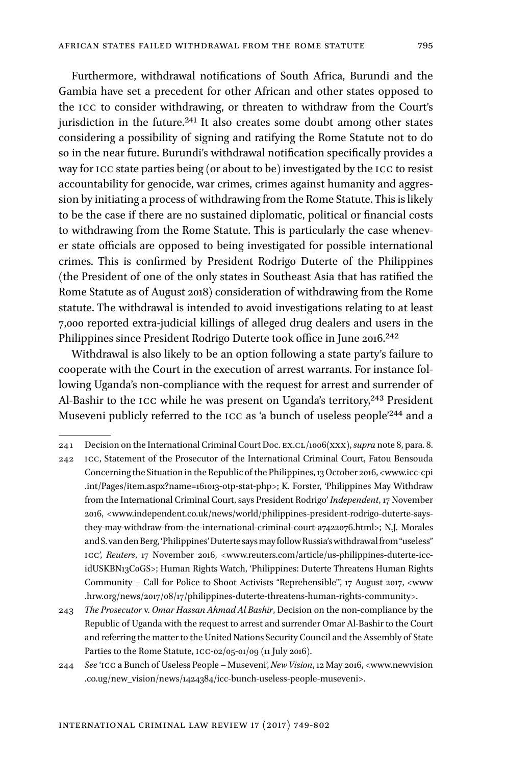Furthermore, withdrawal notifications of South Africa, Burundi and the Gambia have set a precedent for other African and other states opposed to the icc to consider withdrawing, or threaten to withdraw from the Court's jurisdiction in the future. $241$  It also creates some doubt among other states considering a possibility of signing and ratifying the Rome Statute not to do so in the near future. Burundi's withdrawal notification specifically provides a way for icc state parties being (or about to be) investigated by the icc to resist accountability for genocide, war crimes, crimes against humanity and aggression by initiating a process of withdrawing from the Rome Statute. This is likely to be the case if there are no sustained diplomatic, political or financial costs to withdrawing from the Rome Statute. This is particularly the case whenever state officials are opposed to being investigated for possible international crimes. This is confirmed by President Rodrigo Duterte of the Philippines (the President of one of the only states in Southeast Asia that has ratified the Rome Statute as of August 2018) consideration of withdrawing from the Rome statute. The withdrawal is intended to avoid investigations relating to at least 7,000 reported extra-judicial killings of alleged drug dealers and users in the Philippines since President Rodrigo Duterte took office in June 2016.<sup>242</sup>

Withdrawal is also likely to be an option following a state party's failure to cooperate with the Court in the execution of arrest warrants. For instance following Uganda's non-compliance with the request for arrest and surrender of Al-Bashir to the ICC while he was present on Uganda's territory,<sup>243</sup> President Museveni publicly referred to the icc as 'a bunch of useless people'244 and a

- 242 icc, Statement of the Prosecutor of the International Criminal Court, Fatou Bensouda Concerning the Situation in the Republic of the Philippines, 13 October 2016, <[www.icc-cpi](http://www.icc-cpi.int/Pages/item.aspx?name=161013-otp-stat-php) [.int/Pages/item.aspx?name=161013-otp-stat-php>](http://www.icc-cpi.int/Pages/item.aspx?name=161013-otp-stat-php); K. Forster, 'Philippines May Withdraw from the International Criminal Court, says President Rodrigo' *Independent*, 17 November 2016, <[www.independent.co.uk/news/world/philippines-president-rodrigo-duterte-says](http://www.independent.co.uk/news/world/philippines-president-rodrigo-duterte-says-they-may-withdraw-from-the-international-criminal-court-a7422076.html)[they-may-withdraw-from-the-international-criminal-court-a7422076.html>](http://www.independent.co.uk/news/world/philippines-president-rodrigo-duterte-says-they-may-withdraw-from-the-international-criminal-court-a7422076.html); N.J. Morales and S. van den Berg, 'Philippines' Duterte says may follow Russia's withdrawal from "useless" icc', *Reuters*, 17 November 2016, <[www.reuters.com/article/us-philippines-duterte-icc](http://www.reuters.com/article/us-philippines-duterte-icc-idUSKBN13C0GS)[idUSKBN13C0GS](http://www.reuters.com/article/us-philippines-duterte-icc-idUSKBN13C0GS)>; Human Rights Watch, 'Philippines: Duterte Threatens Human Rights Community – Call for Police to Shoot Activists "Reprehensible"', 17 August 2017, [<www](http://www.hrw.org/news/2017/08/17/philippines-duterte-threatens-human-rights-community) [.hrw.org/news/2017/08/17/philippines-duterte-threatens-human-rights-community>](http://www.hrw.org/news/2017/08/17/philippines-duterte-threatens-human-rights-community).
- 243 *The Prosecutor* v. *Omar Hassan Ahmad Al Bashir*, Decision on the non-compliance by the Republic of Uganda with the request to arrest and surrender Omar Al-Bashir to the Court and referring the matter to the United Nations Security Council and the Assembly of State Parties to the Rome Statute, ICC-02/05-01/09 (11 July 2016).
- 244 *See* 'icc a Bunch of Useless People Museveni', *New Vision*, 12 May 2016, <[www.newvision](http://www.newvision.co.ug/new_vision/news/1424384/icc-bunch-useless-people-museveni) [.co.ug/new\\_vision/news/1424384/icc-bunch-useless-people-museveni>](http://www.newvision.co.ug/new_vision/news/1424384/icc-bunch-useless-people-museveni).

<sup>241</sup> Decision on the International Criminal Court Doc. ex.cl/1006(xxx), *supra* note 8, para. 8.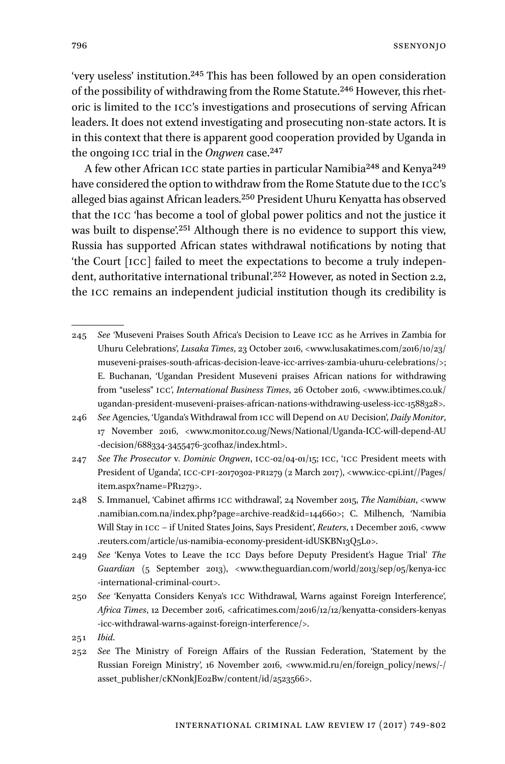'very useless' institution.245 This has been followed by an open consideration of the possibility of withdrawing from the Rome Statute.<sup>246</sup> However, this rhetoric is limited to the icc's investigations and prosecutions of serving African leaders. It does not extend investigating and prosecuting non-state actors. It is in this context that there is apparent good cooperation provided by Uganda in the ongoing ICC trial in the *Ongwen* case.<sup>247</sup>

A few other African ICC state parties in particular Namibia<sup>248</sup> and Kenya<sup>249</sup> have considered the option to withdraw from the Rome Statute due to the icc's alleged bias against African leaders.250 President Uhuru Kenyatta has observed that the icc 'has become a tool of global power politics and not the justice it was built to dispense'.<sup>251</sup> Although there is no evidence to support this view, Russia has supported African states withdrawal notifications by noting that 'the Court [icc] failed to meet the expectations to become a truly independent, authoritative international tribunal'.<sup>252</sup> However, as noted in Section 2.2, the icc remains an independent judicial institution though its credibility is

246 *See* Agencies, 'Uganda's Withdrawal from icc will Depend on au Decision', *Daily Monitor*, 17 November 2016, [<www.monitor.co.ug/News/National/Uganda-ICC-will-depend-AU](http://www.monitor.co.ug/News/National/Uganda-ICC-will-depend-AU-decision/688334-3455476-3cofhaz/index.html) [-decision/688334-3455476-3cofhaz/index.html>](http://www.monitor.co.ug/News/National/Uganda-ICC-will-depend-AU-decision/688334-3455476-3cofhaz/index.html).

247 *See The Prosecutor* v*. Dominic Ongwen*, icc-02/04-01/15; icc, 'icc President meets with President of Uganda', icc-cpi-20170302-pr1279 (2 March 2017), [<www.icc-cpi.int//Pages/](http://www.icc-cpi.int//Pages/item.aspx?name=PR1279) [item.aspx?name=PR1279](http://www.icc-cpi.int//Pages/item.aspx?name=PR1279)>.

248 S. Immanuel, 'Cabinet affirms icc withdrawal', 24 November 2015, *The Namibian*, [<www](http://www.namibian.com.na/index.php?page=archive-read&id=144660) [.namibian.com.na/index.php?page=archive-read&id=144660](http://www.namibian.com.na/index.php?page=archive-read&id=144660)>; C. Milhench, 'Namibia Will Stay in icc – if United States Joins, Says President', *Reuters*, 1 December 2016, [<www](http://www.reuters.com/article/us-namibia-economy-president-idUSKBN13Q5L0) [.reuters.com/article/us-namibia-economy-president-idUSKBN13Q5L0>](http://www.reuters.com/article/us-namibia-economy-president-idUSKBN13Q5L0).

249 *See* 'Kenya Votes to Leave the icc Days before Deputy President's Hague Trial' *The Guardian* (5 September 2013), [<www.theguardian.com/world/2013/sep/05/kenya-icc](http://www.theguardian.com/world/2013/sep/05/kenya-icc-international-criminal-court) [-international-criminal-court](http://www.theguardian.com/world/2013/sep/05/kenya-icc-international-criminal-court)>.

250 *See* 'Kenyatta Considers Kenya's icc Withdrawal, Warns against Foreign Interference', *Africa Times*, 12 December 2016, [<africatimes.com/2016/12/12/kenyatta-considers-kenyas](http://africatimes.com/2016/12/12/kenyatta-considers-kenyas-icc-withdrawal-warns-against-foreign-interference/) [-icc-withdrawal-warns-against-foreign-interference/](http://africatimes.com/2016/12/12/kenyatta-considers-kenyas-icc-withdrawal-warns-against-foreign-interference/)>.

<sup>245</sup> *See* 'Museveni Praises South Africa's Decision to Leave icc as he Arrives in Zambia for Uhuru Celebrations', *Lusaka Times*, 23 October 2016, [<www.lusakatimes.com/2016/10/23/](http://www.lusakatimes.com/2016/10/23/museveni-praises-south-africas-decision-leave-icc-arrives-zambia-uhuru-celebrations/) [museveni-praises-south-africas-decision-leave-icc-arrives-zambia-uhuru-celebrations/](http://www.lusakatimes.com/2016/10/23/museveni-praises-south-africas-decision-leave-icc-arrives-zambia-uhuru-celebrations/)>; E. Buchanan, 'Ugandan President Museveni praises African nations for withdrawing from "useless" icc', *International Business Times*, 26 October 2016, [<www.ibtimes.co.uk/](http://www.ibtimes.co.uk/ugandan-president-museveni-praises-african-nations-withdrawing-useless-icc-1588328) [ugandan-president-museveni-praises-african-nations-withdrawing-useless-icc-1588328](http://www.ibtimes.co.uk/ugandan-president-museveni-praises-african-nations-withdrawing-useless-icc-1588328)>.

<sup>251</sup> *Ibid*.

<sup>252</sup> *See* The Ministry of Foreign Affairs of the Russian Federation, 'Statement by the Russian Foreign Ministry', 16 November 2016, [<www.mid.ru/en/foreign\\_policy/news/-/](http://www.mid.ru/en/foreign_policy/news/-/asset_publisher/cKNonkJE02Bw/content/id/2523566) [asset\\_publisher/cKNonkJE02Bw/content/id/2523566](http://www.mid.ru/en/foreign_policy/news/-/asset_publisher/cKNonkJE02Bw/content/id/2523566)>.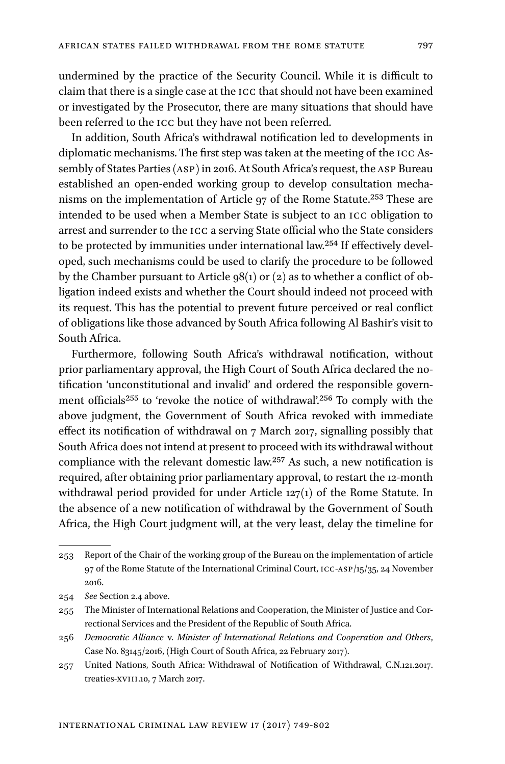undermined by the practice of the Security Council. While it is difficult to claim that there is a single case at the icc that should not have been examined or investigated by the Prosecutor, there are many situations that should have been referred to the icc but they have not been referred.

In addition, South Africa's withdrawal notification led to developments in diplomatic mechanisms. The first step was taken at the meeting of the icc Assembly of States Parties (ASP) in 2016. At South Africa's request, the ASP Bureau established an open-ended working group to develop consultation mechanisms on the implementation of Article 97 of the Rome Statute.<sup>253</sup> These are intended to be used when a Member State is subject to an icc obligation to arrest and surrender to the icc a serving State official who the State considers to be protected by immunities under international law.254 If effectively developed, such mechanisms could be used to clarify the procedure to be followed by the Chamber pursuant to Article  $98(1)$  or (2) as to whether a conflict of obligation indeed exists and whether the Court should indeed not proceed with its request. This has the potential to prevent future perceived or real conflict of obligations like those advanced by South Africa following Al Bashir's visit to South Africa.

Furthermore, following South Africa's withdrawal notification, without prior parliamentary approval, the High Court of South Africa declared the notification 'unconstitutional and invalid' and ordered the responsible government officials<sup>255</sup> to 'revoke the notice of withdrawal'.<sup>256</sup> To comply with the above judgment, the Government of South Africa revoked with immediate effect its notification of withdrawal on 7 March 2017, signalling possibly that South Africa does not intend at present to proceed with its withdrawal without compliance with the relevant domestic law.257 As such, a new notification is required, after obtaining prior parliamentary approval, to restart the 12-month withdrawal period provided for under Article  $127(1)$  of the Rome Statute. In the absence of a new notification of withdrawal by the Government of South Africa, the High Court judgment will, at the very least, delay the timeline for

254 *See* Section 2.4 above.

<sup>253</sup> Report of the Chair of the working group of the Bureau on the implementation of article 97 of the Rome Statute of the International Criminal Court, icc-asp/15/35, 24 November 2016.

<sup>255</sup> The Minister of International Relations and Cooperation, the Minister of Justice and Correctional Services and the President of the Republic of South Africa.

<sup>256</sup> *Democratic Alliance* v*. Minister of International Relations and Cooperation and Others*, Case No. 83145/2016, (High Court of South Africa, 22 February 2017).

<sup>257</sup> United Nations, South Africa: Withdrawal of Notification of Withdrawal, C.N.121.2017. treaties-xviii.10, 7 March 2017.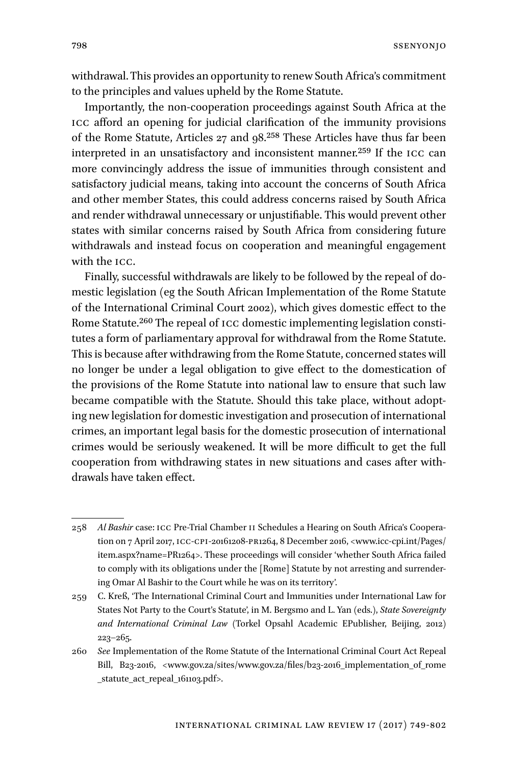withdrawal. This provides an opportunity to renew South Africa's commitment to the principles and values upheld by the Rome Statute.

Importantly, the non-cooperation proceedings against South Africa at the icc afford an opening for judicial clarification of the immunity provisions of the Rome Statute, Articles 27 and 98.258 These Articles have thus far been interpreted in an unsatisfactory and inconsistent manner.<sup>259</sup> If the ICC can more convincingly address the issue of immunities through consistent and satisfactory judicial means, taking into account the concerns of South Africa and other member States, this could address concerns raised by South Africa and render withdrawal unnecessary or unjustifiable. This would prevent other states with similar concerns raised by South Africa from considering future withdrawals and instead focus on cooperation and meaningful engagement with the icc.

Finally, successful withdrawals are likely to be followed by the repeal of domestic legislation (eg the South African Implementation of the Rome Statute of the International Criminal Court 2002), which gives domestic effect to the Rome Statute.260 The repeal of icc domestic implementing legislation constitutes a form of parliamentary approval for withdrawal from the Rome Statute. This is because after withdrawing from the Rome Statute, concerned states will no longer be under a legal obligation to give effect to the domestication of the provisions of the Rome Statute into national law to ensure that such law became compatible with the Statute. Should this take place, without adopting new legislation for domestic investigation and prosecution of international crimes, an important legal basis for the domestic prosecution of international crimes would be seriously weakened. It will be more difficult to get the full cooperation from withdrawing states in new situations and cases after withdrawals have taken effect.

<sup>258</sup> *Al Bashir* case: icc Pre-Trial Chamber ii Schedules a Hearing on South Africa's Cooperation on 7 April 2017, icc-cpi-20161208-pr1264, 8 December 2016, <[www.icc-cpi.int/Pages/](http://www.icc-cpi.int/Pages/item.aspx?name=PR1264) [item.aspx?name=PR1264>](http://www.icc-cpi.int/Pages/item.aspx?name=PR1264). These proceedings will consider 'whether South Africa failed to comply with its obligations under the [Rome] Statute by not arresting and surrendering Omar Al Bashir to the Court while he was on its territory'.

<sup>259</sup> C. Kreß, 'The International Criminal Court and Immunities under International Law for States Not Party to the Court's Statute', in M. Bergsmo and L. Yan (eds.), *State Sovereignty and International Criminal Law* (Torkel Opsahl Academic EPublisher, Beijing, 2012) 223–265.

<sup>260</sup> *See* Implementation of the Rome Statute of the International Criminal Court Act Repeal Bill, B23-2016, <[www.gov.za/sites/www.gov.za/files/b23-2016\\_implementation\\_of\\_rome](http://www.gov.za/sites/www.gov.za/files/b23-2016_implementation_of_rome_statute_act_repeal_161103.pdf) statute act repeal 161103.pdf>.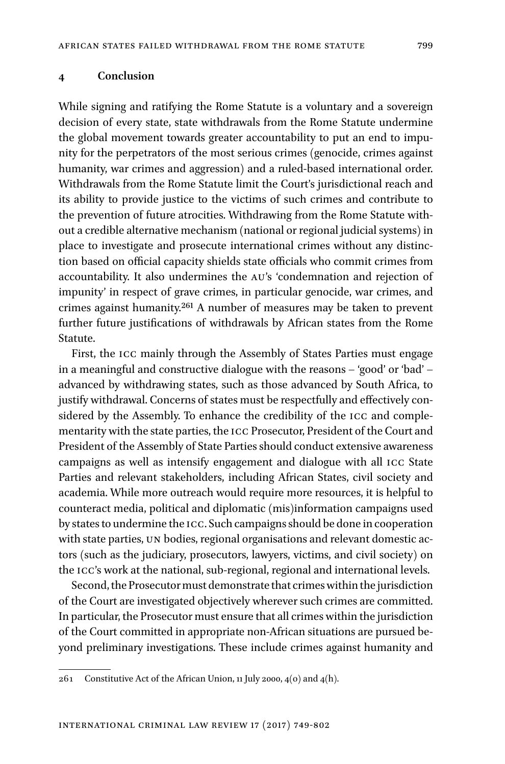#### **4 Conclusion**

While signing and ratifying the Rome Statute is a voluntary and a sovereign decision of every state, state withdrawals from the Rome Statute undermine the global movement towards greater accountability to put an end to impunity for the perpetrators of the most serious crimes (genocide, crimes against humanity, war crimes and aggression) and a ruled-based international order. Withdrawals from the Rome Statute limit the Court's jurisdictional reach and its ability to provide justice to the victims of such crimes and contribute to the prevention of future atrocities. Withdrawing from the Rome Statute without a credible alternative mechanism (national or regional judicial systems) in place to investigate and prosecute international crimes without any distinction based on official capacity shields state officials who commit crimes from accountability. It also undermines the au's 'condemnation and rejection of impunity' in respect of grave crimes, in particular genocide, war crimes, and crimes against humanity.261 A number of measures may be taken to prevent further future justifications of withdrawals by African states from the Rome Statute.

First, the icc mainly through the Assembly of States Parties must engage in a meaningful and constructive dialogue with the reasons – 'good' or 'bad' – advanced by withdrawing states, such as those advanced by South Africa, to justify withdrawal. Concerns of states must be respectfully and effectively considered by the Assembly. To enhance the credibility of the icc and complementarity with the state parties, the icc Prosecutor, President of the Court and President of the Assembly of State Parties should conduct extensive awareness campaigns as well as intensify engagement and dialogue with all icc State Parties and relevant stakeholders, including African States, civil society and academia. While more outreach would require more resources, it is helpful to counteract media, political and diplomatic (mis)information campaigns used by states to undermine the icc. Such campaigns should be done in cooperation with state parties, un bodies, regional organisations and relevant domestic actors (such as the judiciary, prosecutors, lawyers, victims, and civil society) on the icc's work at the national, sub-regional, regional and international levels.

Second, the Prosecutor must demonstrate that crimes within the jurisdiction of the Court are investigated objectively wherever such crimes are committed. In particular, the Prosecutor must ensure that all crimes within the jurisdiction of the Court committed in appropriate non-African situations are pursued beyond preliminary investigations. These include crimes against humanity and

<sup>261</sup> Constitutive Act of the African Union, 11 July 2000,  $4(0)$  and  $4(h)$ .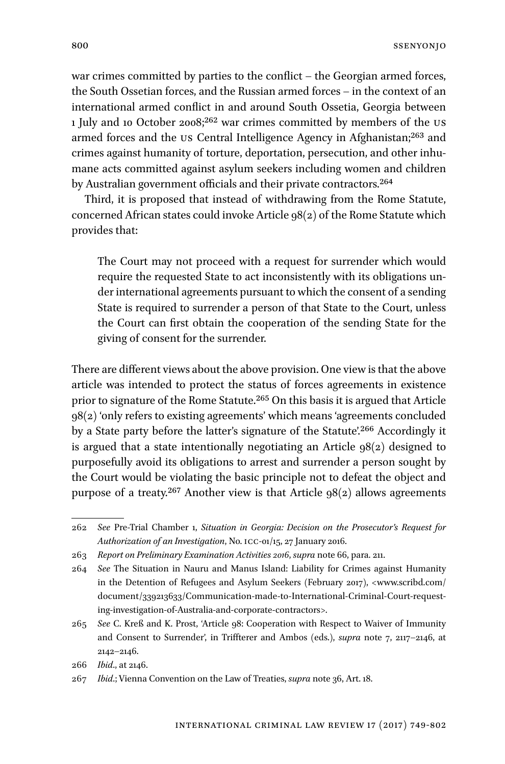war crimes committed by parties to the conflict – the Georgian armed forces, the South Ossetian forces, and the Russian armed forces – in the context of an international armed conflict in and around South Ossetia, Georgia between 1 July and 10 October 2008;262 war crimes committed by members of the us armed forces and the us Central Intelligence Agency in Afghanistan;<sup>263</sup> and crimes against humanity of torture, deportation, persecution, and other inhumane acts committed against asylum seekers including women and children by Australian government officials and their private contractors.<sup>264</sup>

Third, it is proposed that instead of withdrawing from the Rome Statute, concerned African states could invoke Article 98(2) of the Rome Statute which provides that:

The Court may not proceed with a request for surrender which would require the requested State to act inconsistently with its obligations under international agreements pursuant to which the consent of a sending State is required to surrender a person of that State to the Court, unless the Court can first obtain the cooperation of the sending State for the giving of consent for the surrender.

There are different views about the above provision. One view is that the above article was intended to protect the status of forces agreements in existence prior to signature of the Rome Statute.265 On this basis it is argued that Article 98(2) 'only refers to existing agreements' which means 'agreements concluded by a State party before the latter's signature of the Statute'.<sup>266</sup> Accordingly it is argued that a state intentionally negotiating an Article 98(2) designed to purposefully avoid its obligations to arrest and surrender a person sought by the Court would be violating the basic principle not to defeat the object and purpose of a treaty.<sup>267</sup> Another view is that Article  $98(2)$  allows agreements

<sup>262</sup> *See* Pre-Trial Chamber 1, *Situation in Georgia: Decision on the Prosecutor's Request for Authorization of an Investigation*, No. icc-01/15, 27 January 2016.

<sup>263</sup> *Report on Preliminary Examination Activities 2016*, *supra* note 66, para. 211.

<sup>264</sup> *See* The Situation in Nauru and Manus Island: Liability for Crimes against Humanity in the Detention of Refugees and Asylum Seekers (February 2017), [<www.scribd.com/](http://www.scribd.com/document/339213633/Communication-made-to-International-Criminal-Court-requesting-investigation-of-Australia-and-corporate-contractors) [document/339213633/Communication-made-to-International-Criminal-Court-request](http://www.scribd.com/document/339213633/Communication-made-to-International-Criminal-Court-requesting-investigation-of-Australia-and-corporate-contractors)[ing-investigation-of-Australia-and-corporate-contractors>](http://www.scribd.com/document/339213633/Communication-made-to-International-Criminal-Court-requesting-investigation-of-Australia-and-corporate-contractors).

<sup>265</sup> *See* C. Kreß and K. Prost, 'Article 98: Cooperation with Respect to Waiver of Immunity and Consent to Surrender', in Triffterer and Ambos (eds.), *supra* note 7, 2117–2146, at 2142–2146.

<sup>266</sup> *Ibid*., at 2146.

<sup>267</sup> *Ibid*.; Vienna Convention on the Law of Treaties, *supra* note 36, Art. 18.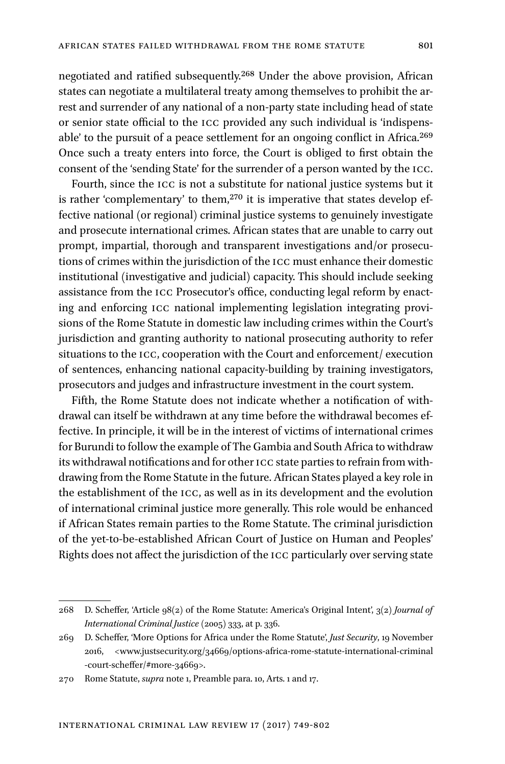negotiated and ratified subsequently.268 Under the above provision, African states can negotiate a multilateral treaty among themselves to prohibit the arrest and surrender of any national of a non-party state including head of state or senior state official to the icc provided any such individual is 'indispensable' to the pursuit of a peace settlement for an ongoing conflict in Africa.<sup>269</sup> Once such a treaty enters into force, the Court is obliged to first obtain the consent of the 'sending State' for the surrender of a person wanted by the icc.

Fourth, since the icc is not a substitute for national justice systems but it is rather 'complementary' to them,<sup>270</sup> it is imperative that states develop effective national (or regional) criminal justice systems to genuinely investigate and prosecute international crimes. African states that are unable to carry out prompt, impartial, thorough and transparent investigations and/or prosecutions of crimes within the jurisdiction of the icc must enhance their domestic institutional (investigative and judicial) capacity. This should include seeking assistance from the icc Prosecutor's office, conducting legal reform by enacting and enforcing icc national implementing legislation integrating provisions of the Rome Statute in domestic law including crimes within the Court's jurisdiction and granting authority to national prosecuting authority to refer situations to the icc, cooperation with the Court and enforcement/ execution of sentences, enhancing national capacity-building by training investigators, prosecutors and judges and infrastructure investment in the court system.

Fifth, the Rome Statute does not indicate whether a notification of withdrawal can itself be withdrawn at any time before the withdrawal becomes effective. In principle, it will be in the interest of victims of international crimes for Burundi to follow the example of The Gambia and South Africa to withdraw its withdrawal notifications and for other icc state parties to refrain from withdrawing from the Rome Statute in the future. African States played a key role in the establishment of the icc, as well as in its development and the evolution of international criminal justice more generally. This role would be enhanced if African States remain parties to the Rome Statute. The criminal jurisdiction of the yet-to-be-established African Court of Justice on Human and Peoples' Rights does not affect the jurisdiction of the icc particularly over serving state

<sup>268</sup> D. Scheffer, 'Article 98(2) of the Rome Statute: America's Original Intent', 3(2) *Journal of International Criminal Justice* (2005) 333, at p. 336.

<sup>269</sup> D. Scheffer, 'More Options for Africa under the Rome Statute', *Just Security*, 19 November 2016, [<www.justsecurity.org/34669/options-africa-rome-statute-international-criminal](http://www.justsecurity.org/34669/options-africa-rome-statute-international-criminal-court-scheffer/#more-34669) [-court-scheffer/#more-34669>](http://www.justsecurity.org/34669/options-africa-rome-statute-international-criminal-court-scheffer/#more-34669).

<sup>270</sup> Rome Statute, *supra* note 1, Preamble para. 10, Arts. 1 and 17.